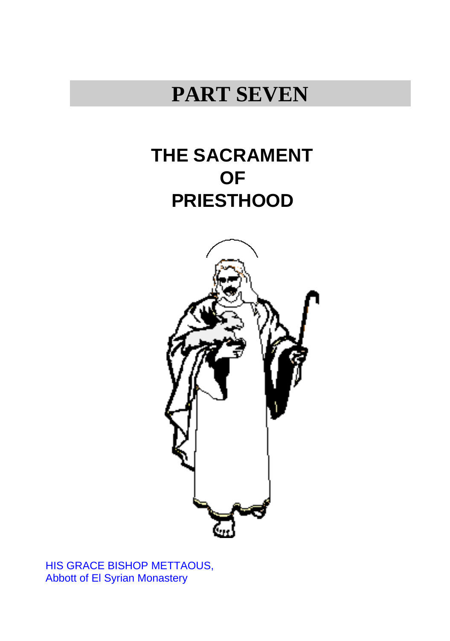# **PART SEVEN**

# **THE SACRAMENT OF PRIESTHOOD**



HIS GRACE BISHOP METTAOUS, Abbott of El Syrian Monastery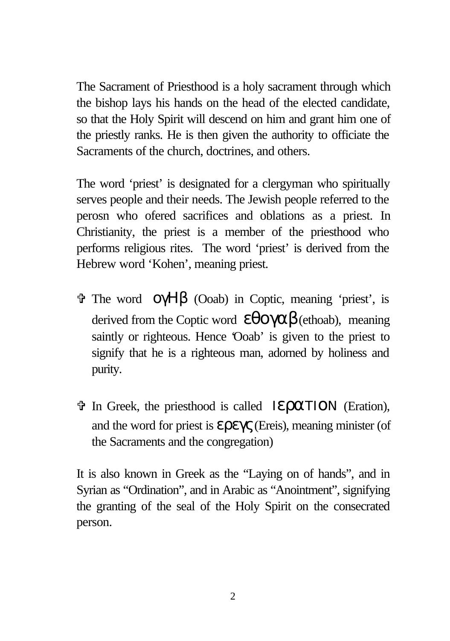The Sacrament of Priesthood is a holy sacrament through which the bishop lays his hands on the head of the elected candidate, so that the Holy Spirit will descend on him and grant him one of the priestly ranks. He is then given the authority to officiate the Sacraments of the church, doctrines, and others.

The word 'priest' is designated for a clergyman who spiritually serves people and their needs. The Jewish people referred to the perosn who ofered sacrifices and oblations as a priest. In Christianity, the priest is a member of the priesthood who performs religious rites. The word 'priest' is derived from the Hebrew word 'Kohen', meaning priest.

- $\hat{\mathbf{v}}$  The word  $\hat{\mathbf{O}}$  (VH $\hat{\mathbf{B}}$  (Ooab) in Coptic, meaning 'priest', is derived from the Coptic word  $\epsilon \theta o \gamma \alpha \beta$  (ethoab), meaning saintly or righteous. Hence 'Ooab' is given to the priest to signify that he is a righteous man, adorned by holiness and purity.
- $\hat{\mathbf{v}}$  In Greek, the priesthood is called IεραΤΙΟΝ (Eration), and the word for priest is  $\epsilon \rho \epsilon \gamma \zeta$  (Ereis), meaning minister (of the Sacraments and the congregation)

It is also known in Greek as the "Laying on of hands", and in Syrian as "Ordination", and in Arabic as "Anointment", signifying the granting of the seal of the Holy Spirit on the consecrated person.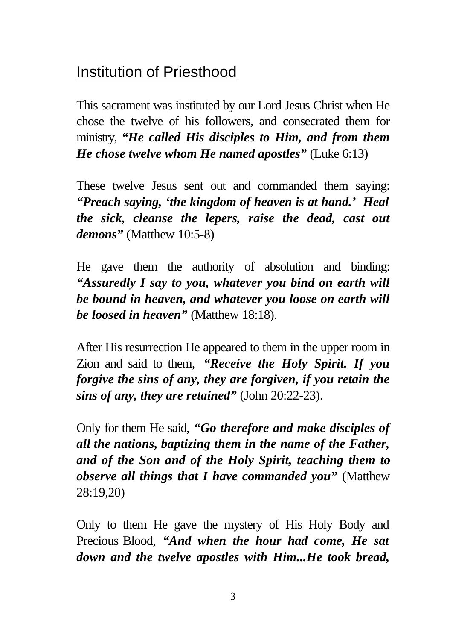# Institution of Priesthood

This sacrament was instituted by our Lord Jesus Christ when He chose the twelve of his followers, and consecrated them for ministry, *"He called His disciples to Him, and from them He chose twelve whom He named apostles"* (Luke 6:13)

These twelve Jesus sent out and commanded them saying: *"Preach saying, 'the kingdom of heaven is at hand.' Heal the sick, cleanse the lepers, raise the dead, cast out demons"* (Matthew 10:5-8)

He gave them the authority of absolution and binding: *"Assuredly I say to you, whatever you bind on earth will be bound in heaven, and whatever you loose on earth will be loosed in heaven"* (Matthew 18:18).

After His resurrection He appeared to them in the upper room in Zion and said to them, *"Receive the Holy Spirit. If you forgive the sins of any, they are forgiven, if you retain the sins of any, they are retained"* (John 20:22-23).

Only for them He said, *"Go therefore and make disciples of all the nations, baptizing them in the name of the Father, and of the Son and of the Holy Spirit, teaching them to observe all things that I have commanded you"* (Matthew 28:19,20)

Only to them He gave the mystery of His Holy Body and Precious Blood, *"And when the hour had come, He sat down and the twelve apostles with Him...He took bread,*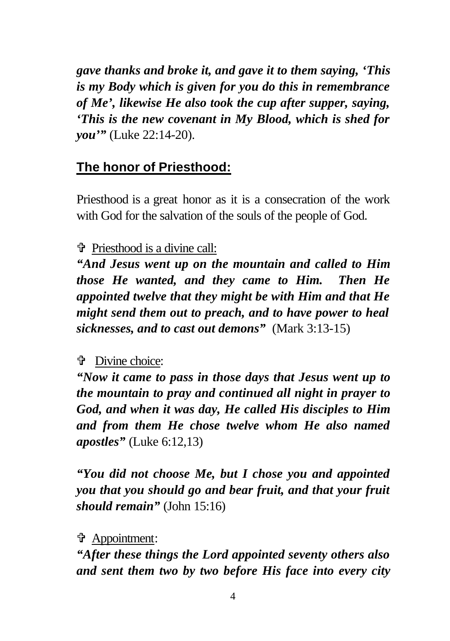*gave thanks and broke it, and gave it to them saying, 'This is my Body which is given for you do this in remembrance of Me', likewise He also took the cup after supper, saying, 'This is the new covenant in My Blood, which is shed for you'"* (Luke 22:14-20).

# **The honor of Priesthood:**

Priesthood is a great honor as it is a consecration of the work with God for the salvation of the souls of the people of God.

### V Priesthood is a divine call:

*"And Jesus went up on the mountain and called to Him those He wanted, and they came to Him. Then He appointed twelve that they might be with Him and that He might send them out to preach, and to have power to heal sicknesses, and to cast out demons"* (Mark 3:13-15)

# **f** Divine choice:

*"Now it came to pass in those days that Jesus went up to the mountain to pray and continued all night in prayer to God, and when it was day, He called His disciples to Him and from them He chose twelve whom He also named apostles"* (Luke 6:12,13)

*"You did not choose Me, but I chose you and appointed you that you should go and bear fruit, and that your fruit should remain"* (John 15:16)

V Appointment:

*"After these things the Lord appointed seventy others also and sent them two by two before His face into every city*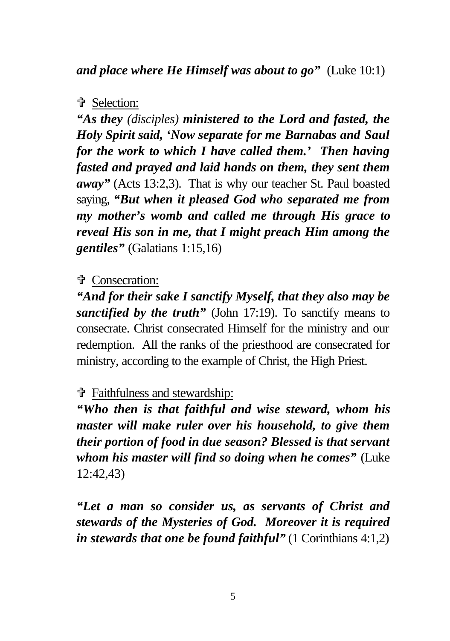# **f** Selection:

*"As they (disciples) ministered to the Lord and fasted, the Holy Spirit said, 'Now separate for me Barnabas and Saul for the work to which I have called them.' Then having fasted and prayed and laid hands on them, they sent them away"* (Acts 13:2,3)*.* That is why our teacher St. Paul boasted saying, *"But when it pleased God who separated me from my mother's womb and called me through His grace to reveal His son in me, that I might preach Him among the gentiles"* (Galatians 1:15,16)

# **t** Consecration:

*"And for their sake I sanctify Myself, that they also may be sanctified by the truth*" (John 17:19). To sanctify means to consecrate. Christ consecrated Himself for the ministry and our redemption. All the ranks of the priesthood are consecrated for ministry, according to the example of Christ, the High Priest.

# V Faithfulness and stewardship:

*"Who then is that faithful and wise steward, whom his master will make ruler over his household, to give them their portion of food in due season? Blessed is that servant whom his master will find so doing when he comes"* (Luke 12:42,43)

*"Let a man so consider us, as servants of Christ and stewards of the Mysteries of God. Moreover it is required in stewards that one be found faithful"* (1 Corinthians 4:1,2)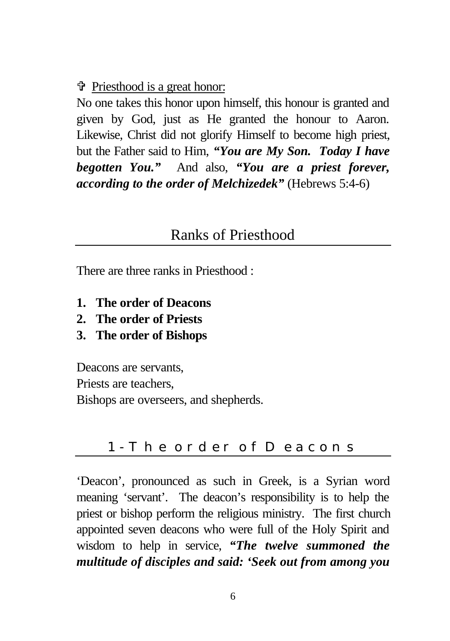#### V Priesthood is a great honor:

No one takes this honor upon himself, this honour is granted and given by God, just as He granted the honour to Aaron. Likewise, Christ did not glorify Himself to become high priest, but the Father said to Him, *"You are My Son. Today I have begotten You."* And also, *"You are a priest forever, according to the order of Melchizedek"* (Hebrews 5:4-6)

# Ranks of Priesthood

There are three ranks in Priesthood :

- **1. The order of Deacons**
- **2. The order of Priests**
- **3. The order of Bishops**

Deacons are servants, Priests are teachers, Bishops are overseers, and shepherds.

# 1- The order of Deacons

'Deacon', pronounced as such in Greek, is a Syrian word meaning 'servant'. The deacon's responsibility is to help the priest or bishop perform the religious ministry. The first church appointed seven deacons who were full of the Holy Spirit and wisdom to help in service, *"The twelve summoned the multitude of disciples and said: 'Seek out from among you*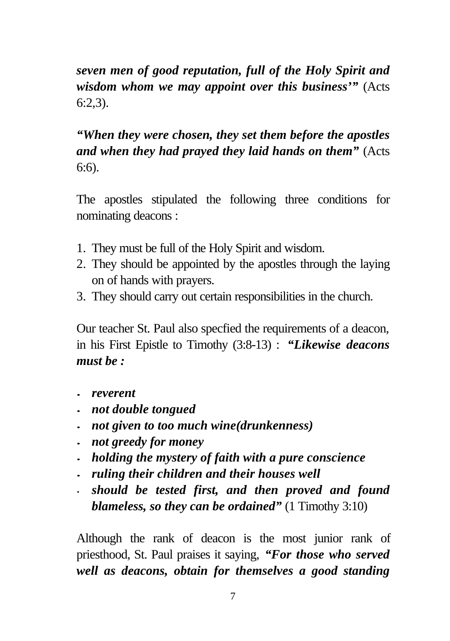*seven men of good reputation, full of the Holy Spirit and wisdom whom we may appoint over this business'"* (Acts  $6:2.3$ ).

*"When they were chosen, they set them before the apostles and when they had prayed they laid hands on them"* (Acts 6:6).

The apostles stipulated the following three conditions for nominating deacons :

- 1. They must be full of the Holy Spirit and wisdom.
- 2. They should be appointed by the apostles through the laying on of hands with prayers.
- 3. They should carry out certain responsibilities in the church.

Our teacher St. Paul also specfied the requirements of a deacon, in his First Epistle to Timothy (3:8-13) : *"Likewise deacons must be :*

- *· reverent*
- *· not double tongued*
- *· not given to too much wine(drunkenness)*
- *· not greedy for money*
- *· holding the mystery of faith with a pure conscience*
- *· ruling their children and their houses well*
- *should be tested first, and then proved and found blameless, so they can be ordained"* (1 Timothy 3:10)

Although the rank of deacon is the most junior rank of priesthood, St. Paul praises it saying, *"For those who served well as deacons, obtain for themselves a good standing*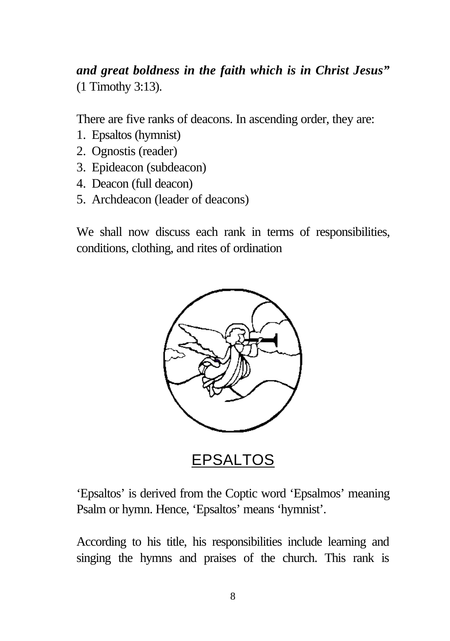*and great boldness in the faith which is in Christ Jesus"* (1 Timothy 3:13).

There are five ranks of deacons. In ascending order, they are:

- 1. Epsaltos (hymnist)
- 2. Ognostis (reader)
- 3. Epideacon (subdeacon)
- 4. Deacon (full deacon)
- 5. Archdeacon (leader of deacons)

We shall now discuss each rank in terms of responsibilities, conditions, clothing, and rites of ordination



EPSALTOS

'Epsaltos' is derived from the Coptic word 'Epsalmos' meaning Psalm or hymn. Hence, 'Epsaltos' means 'hymnist'.

According to his title, his responsibilities include learning and singing the hymns and praises of the church. This rank is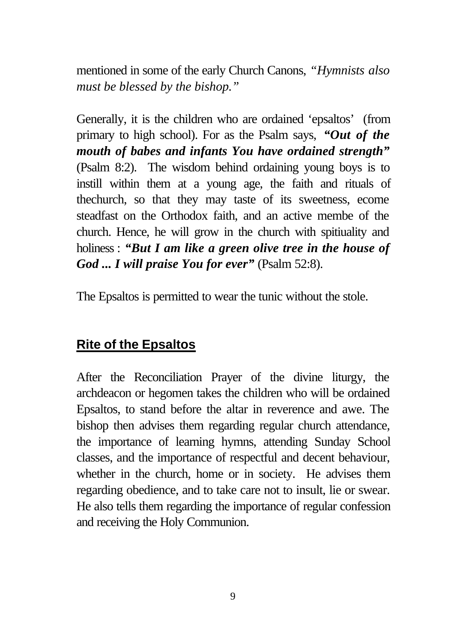mentioned in some of the early Church Canons, *"Hymnists also must be blessed by the bishop."*

Generally, it is the children who are ordained 'epsaltos' (from primary to high school). For as the Psalm says, *"Out of the mouth of babes and infants You have ordained strength"* (Psalm 8:2). The wisdom behind ordaining young boys is to instill within them at a young age, the faith and rituals of thechurch, so that they may taste of its sweetness, ecome steadfast on the Orthodox faith, and an active membe of the church. Hence, he will grow in the church with spitiuality and holiness : *"But I am like a green olive tree in the house of God ... I will praise You for ever"* (Psalm 52:8).

The Epsaltos is permitted to wear the tunic without the stole.

# **Rite of the Epsaltos**

After the Reconciliation Prayer of the divine liturgy, the archdeacon or hegomen takes the children who will be ordained Epsaltos, to stand before the altar in reverence and awe. The bishop then advises them regarding regular church attendance, the importance of learning hymns, attending Sunday School classes, and the importance of respectful and decent behaviour, whether in the church, home or in society. He advises them regarding obedience, and to take care not to insult, lie or swear. He also tells them regarding the importance of regular confession and receiving the Holy Communion.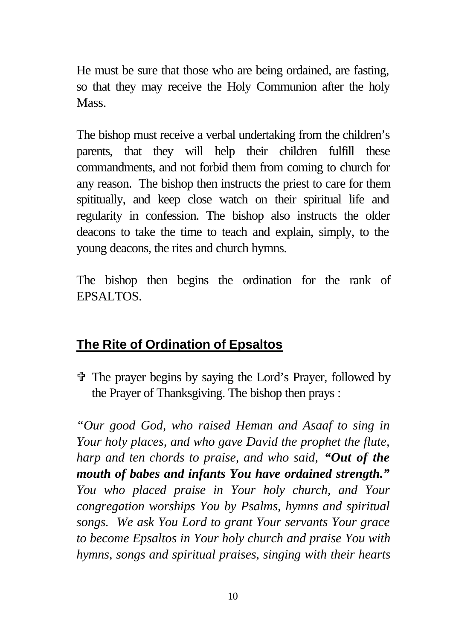He must be sure that those who are being ordained, are fasting, so that they may receive the Holy Communion after the holy Mass.

The bishop must receive a verbal undertaking from the children's parents, that they will help their children fulfill these commandments, and not forbid them from coming to church for any reason. The bishop then instructs the priest to care for them spititually, and keep close watch on their spiritual life and regularity in confession. The bishop also instructs the older deacons to take the time to teach and explain, simply, to the young deacons, the rites and church hymns.

The bishop then begins the ordination for the rank of EPSALTOS.

# **The Rite of Ordination of Epsaltos**

V The prayer begins by saying the Lord's Prayer, followed by the Prayer of Thanksgiving. The bishop then prays :

*"Our good God, who raised Heman and Asaaf to sing in Your holy places, and who gave David the prophet the flute, harp and ten chords to praise, and who said, "Out of the mouth of babes and infants You have ordained strength." You who placed praise in Your holy church, and Your congregation worships You by Psalms, hymns and spiritual songs. We ask You Lord to grant Your servants Your grace to become Epsaltos in Your holy church and praise You with hymns, songs and spiritual praises, singing with their hearts*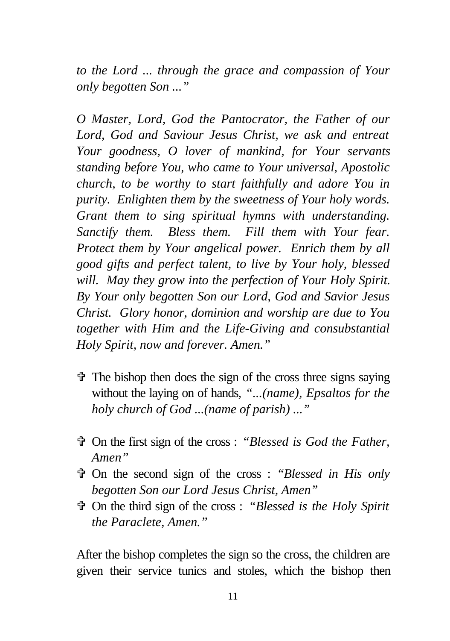*to the Lord ... through the grace and compassion of Your only begotten Son ..."*

*O Master, Lord, God the Pantocrator, the Father of our Lord, God and Saviour Jesus Christ, we ask and entreat Your goodness, O lover of mankind, for Your servants standing before You, who came to Your universal, Apostolic church, to be worthy to start faithfully and adore You in purity. Enlighten them by the sweetness of Your holy words. Grant them to sing spiritual hymns with understanding. Sanctify them. Bless them. Fill them with Your fear. Protect them by Your angelical power. Enrich them by all good gifts and perfect talent, to live by Your holy, blessed will. May they grow into the perfection of Your Holy Spirit. By Your only begotten Son our Lord, God and Savior Jesus Christ. Glory honor, dominion and worship are due to You together with Him and the Life-Giving and consubstantial Holy Spirit, now and forever. Amen."*

- $\ddot{\mathbf{v}}$  The bishop then does the sign of the cross three signs saying without the laying on of hands, *"...(name), Epsaltos for the holy church of God ...(name of parish) ..."*
- V On the first sign of the cross : *"Blessed is God the Father, Amen"*
- V On the second sign of the cross : *"Blessed in His only begotten Son our Lord Jesus Christ, Amen"*
- V On the third sign of the cross : *"Blessed is the Holy Spirit the Paraclete, Amen."*

After the bishop completes the sign so the cross, the children are given their service tunics and stoles, which the bishop then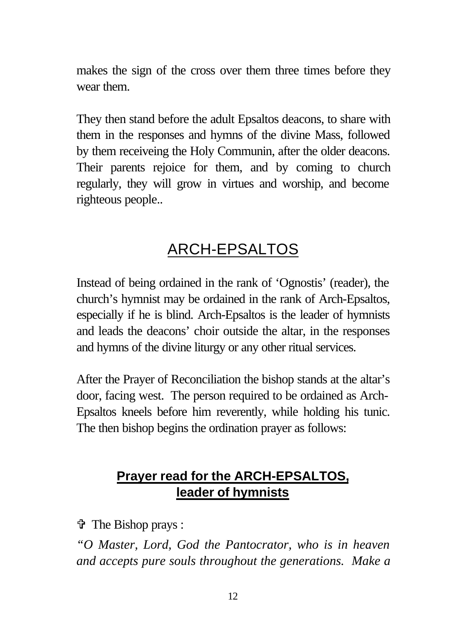makes the sign of the cross over them three times before they wear them.

They then stand before the adult Epsaltos deacons, to share with them in the responses and hymns of the divine Mass, followed by them receiveing the Holy Communin, after the older deacons. Their parents rejoice for them, and by coming to church regularly, they will grow in virtues and worship, and become righteous people..

# ARCH-EPSALTOS

Instead of being ordained in the rank of 'Ognostis' (reader), the church's hymnist may be ordained in the rank of Arch-Epsaltos, especially if he is blind. Arch-Epsaltos is the leader of hymnists and leads the deacons' choir outside the altar, in the responses and hymns of the divine liturgy or any other ritual services.

After the Prayer of Reconciliation the bishop stands at the altar's door, facing west. The person required to be ordained as Arch-Epsaltos kneels before him reverently, while holding his tunic. The then bishop begins the ordination prayer as follows:

# **Prayer read for the ARCH-EPSALTOS, leader of hymnists**

V The Bishop prays :

*"O Master, Lord, God the Pantocrator, who is in heaven and accepts pure souls throughout the generations. Make a*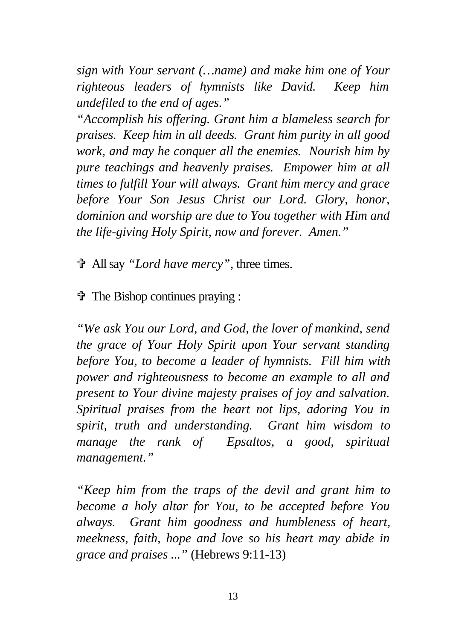*sign with Your servant (…name) and make him one of Your righteous leaders of hymnists like David. Keep him undefiled to the end of ages."*

*"Accomplish his offering. Grant him a blameless search for praises. Keep him in all deeds. Grant him purity in all good work, and may he conquer all the enemies. Nourish him by pure teachings and heavenly praises. Empower him at all times to fulfill Your will always. Grant him mercy and grace before Your Son Jesus Christ our Lord. Glory, honor, dominion and worship are due to You together with Him and the life-giving Holy Spirit, now and forever. Amen."*

V All say *"Lord have mercy"*, three times.

V The Bishop continues praying :

*"We ask You our Lord, and God, the lover of mankind, send the grace of Your Holy Spirit upon Your servant standing before You, to become a leader of hymnists. Fill him with power and righteousness to become an example to all and present to Your divine majesty praises of joy and salvation. Spiritual praises from the heart not lips, adoring You in spirit, truth and understanding. Grant him wisdom to manage the rank of Epsaltos, a good, spiritual management."*

*"Keep him from the traps of the devil and grant him to become a holy altar for You, to be accepted before You always. Grant him goodness and humbleness of heart, meekness, faith, hope and love so his heart may abide in grace and praises ..."* (Hebrews 9:11-13)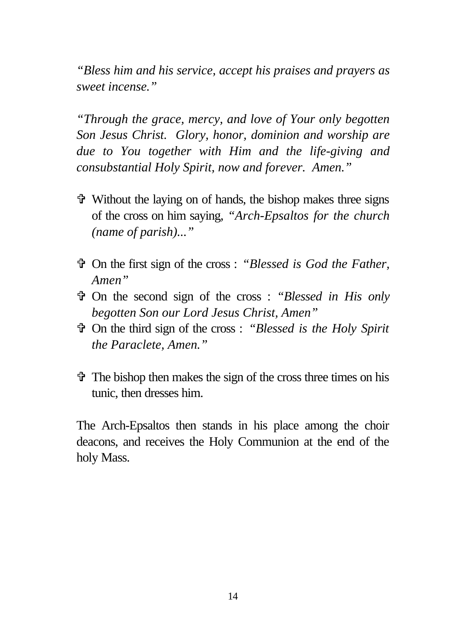*"Bless him and his service, accept his praises and prayers as sweet incense."*

*"Through the grace, mercy, and love of Your only begotten Son Jesus Christ. Glory, honor, dominion and worship are due to You together with Him and the life-giving and consubstantial Holy Spirit, now and forever. Amen."*

- $\ddot{\mathbf{\hat{v}}}$  Without the laying on of hands, the bishop makes three signs of the cross on him saying, *"Arch-Epsaltos for the church (name of parish)..."*
- V On the first sign of the cross : *"Blessed is God the Father, Amen"*
- V On the second sign of the cross : *"Blessed in His only begotten Son our Lord Jesus Christ, Amen"*
- V On the third sign of the cross : *"Blessed is the Holy Spirit the Paraclete, Amen."*
- $\hat{\mathbf{\Phi}}$  The bishop then makes the sign of the cross three times on his tunic, then dresses him.

The Arch-Epsaltos then stands in his place among the choir deacons, and receives the Holy Communion at the end of the holy Mass.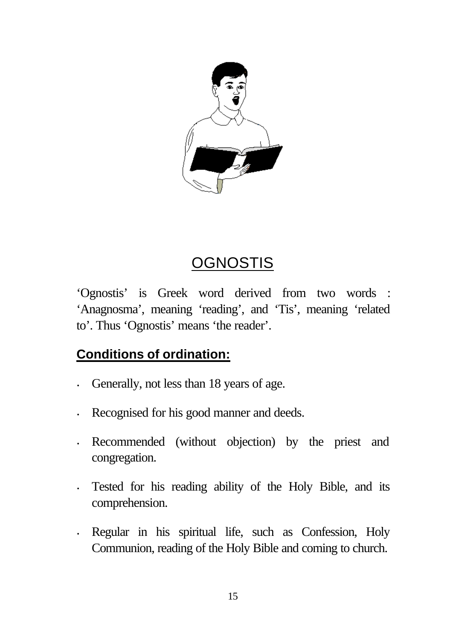

# **OGNOSTIS**

'Ognostis' is Greek word derived from two words : 'Anagnosma', meaning 'reading', and 'Tis', meaning 'related to'. Thus 'Ognostis' means 'the reader'.

# **Conditions of ordination:**

- Generally, not less than 18 years of age.
- Recognised for his good manner and deeds.
- Recommended (without objection) by the priest and congregation.
- Tested for his reading ability of the Holy Bible, and its comprehension.
- Regular in his spiritual life, such as Confession, Holy Communion, reading of the Holy Bible and coming to church.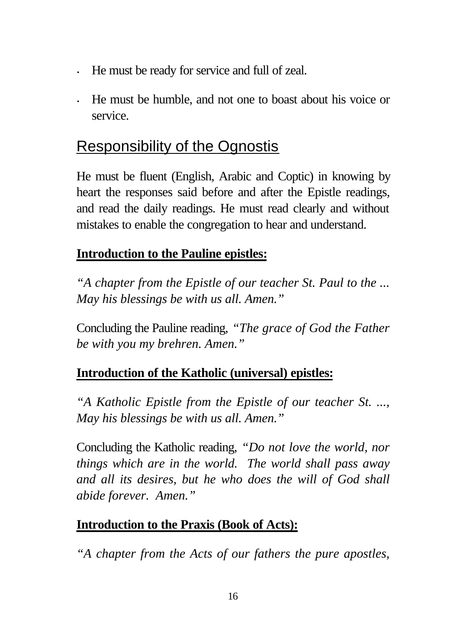- He must be ready for service and full of zeal.
- He must be humble, and not one to boast about his voice or service.

# Responsibility of the Ognostis

He must be fluent (English, Arabic and Coptic) in knowing by heart the responses said before and after the Epistle readings, and read the daily readings. He must read clearly and without mistakes to enable the congregation to hear and understand.

### **Introduction to the Pauline epistles:**

*"A chapter from the Epistle of our teacher St. Paul to the ... May his blessings be with us all. Amen."*

Concluding the Pauline reading, *"The grace of God the Father be with you my brehren. Amen."*

# **Introduction of the Katholic (universal) epistles:**

*"A Katholic Epistle from the Epistle of our teacher St. ..., May his blessings be with us all. Amen."*

Concluding the Katholic reading, *"Do not love the world, nor things which are in the world. The world shall pass away and all its desires, but he who does the will of God shall abide forever. Amen."*

### **Introduction to the Praxis (Book of Acts):**

*"A chapter from the Acts of our fathers the pure apostles,*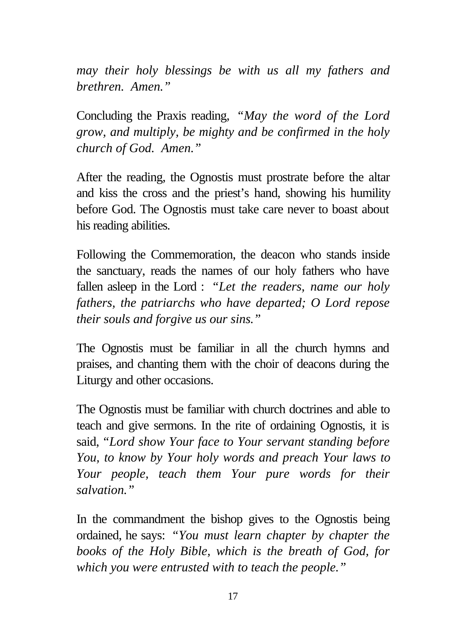*may their holy blessings be with us all my fathers and brethren. Amen."*

Concluding the Praxis reading, *"May the word of the Lord grow, and multiply, be mighty and be confirmed in the holy church of God. Amen."*

After the reading, the Ognostis must prostrate before the altar and kiss the cross and the priest's hand, showing his humility before God. The Ognostis must take care never to boast about his reading abilities.

Following the Commemoration, the deacon who stands inside the sanctuary, reads the names of our holy fathers who have fallen asleep in the Lord : *"Let the readers, name our holy fathers, the patriarchs who have departed; O Lord repose their souls and forgive us our sins."*

The Ognostis must be familiar in all the church hymns and praises, and chanting them with the choir of deacons during the Liturgy and other occasions.

The Ognostis must be familiar with church doctrines and able to teach and give sermons. In the rite of ordaining Ognostis, it is said, *"Lord show Your face to Your servant standing before You, to know by Your holy words and preach Your laws to Your people, teach them Your pure words for their salvation."*

In the commandment the bishop gives to the Ognostis being ordained, he says: *"You must learn chapter by chapter the books of the Holy Bible, which is the breath of God, for which you were entrusted with to teach the people."*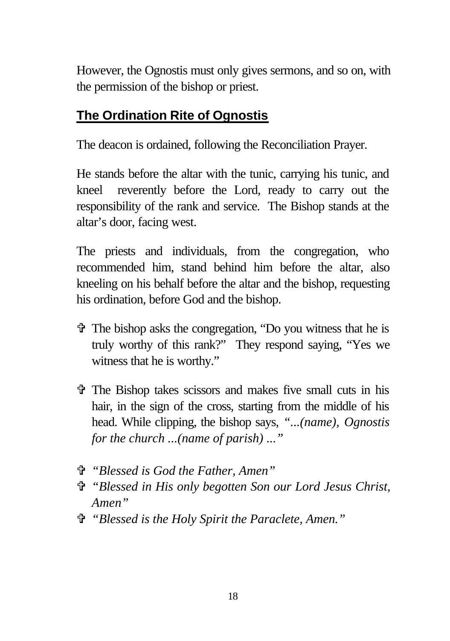However, the Ognostis must only gives sermons, and so on, with the permission of the bishop or priest.

# **The Ordination Rite of Ognostis**

The deacon is ordained, following the Reconciliation Prayer.

He stands before the altar with the tunic, carrying his tunic, and kneel reverently before the Lord, ready to carry out the responsibility of the rank and service. The Bishop stands at the altar's door, facing west.

The priests and individuals, from the congregation, who recommended him, stand behind him before the altar, also kneeling on his behalf before the altar and the bishop, requesting his ordination, before God and the bishop.

- $\hat{\mathbf{\Phi}}$  The bishop asks the congregation, "Do you witness that he is truly worthy of this rank?" They respond saying, "Yes we witness that he is worthy."
- $\hat{\tau}$  The Bishop takes scissors and makes five small cuts in his hair, in the sign of the cross, starting from the middle of his head. While clipping, the bishop says, *"...(name), Ognostis for the church ...(name of parish) ..."*
- V *"Blessed is God the Father, Amen"*
- V *"Blessed in His only begotten Son our Lord Jesus Christ, Amen"*
- V *"Blessed is the Holy Spirit the Paraclete, Amen."*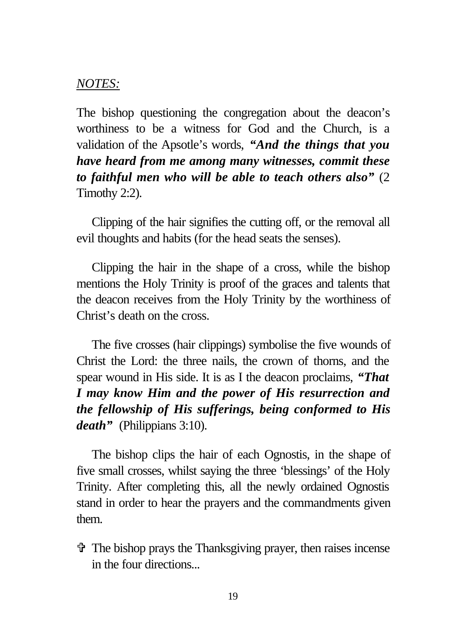#### *NOTES:*

The bishop questioning the congregation about the deacon's worthiness to be a witness for God and the Church, is a validation of the Apsotle's words, *"And the things that you have heard from me among many witnesses, commit these to faithful men who will be able to teach others also"* (2 Timothy 2:2).

Clipping of the hair signifies the cutting off, or the removal all evil thoughts and habits (for the head seats the senses).

Clipping the hair in the shape of a cross, while the bishop mentions the Holy Trinity is proof of the graces and talents that the deacon receives from the Holy Trinity by the worthiness of Christ's death on the cross.

The five crosses (hair clippings) symbolise the five wounds of Christ the Lord: the three nails, the crown of thorns, and the spear wound in His side. It is as I the deacon proclaims, *"That I may know Him and the power of His resurrection and the fellowship of His sufferings, being conformed to His death"* (Philippians 3:10).

The bishop clips the hair of each Ognostis, in the shape of five small crosses, whilst saying the three 'blessings' of the Holy Trinity. After completing this, all the newly ordained Ognostis stand in order to hear the prayers and the commandments given them.

 $\ddot{\mathbf{\Phi}}$  The bishop prays the Thanksgiving prayer, then raises incense in the four directions...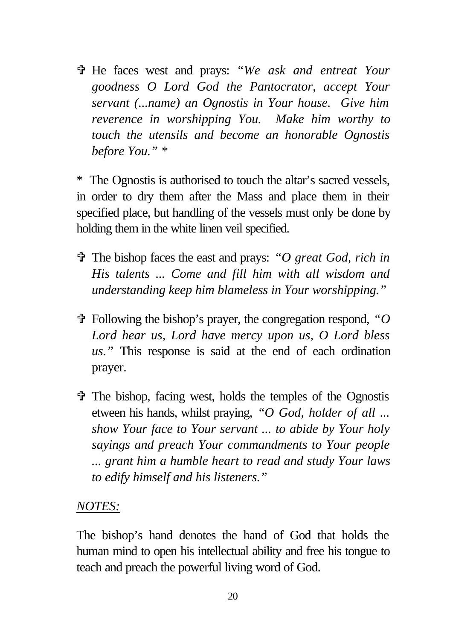V He faces west and prays: *"We ask and entreat Your goodness O Lord God the Pantocrator, accept Your servant (...name) an Ognostis in Your house. Give him reverence in worshipping You. Make him worthy to touch the utensils and become an honorable Ognostis before You." \**

\* The Ognostis is authorised to touch the altar's sacred vessels, in order to dry them after the Mass and place them in their specified place, but handling of the vessels must only be done by holding them in the white linen veil specified.

- V The bishop faces the east and prays: *"O great God, rich in His talents ... Come and fill him with all wisdom and understanding keep him blameless in Your worshipping."*
- $\mathcal{P}$  Following the bishop's prayer, the congregation respond, "O *Lord hear us, Lord have mercy upon us, O Lord bless us."* This response is said at the end of each ordination prayer.
- $\hat{\mathbf{\Phi}}$  The bishop, facing west, holds the temples of the Ognostis etween his hands, whilst praying, *"O God, holder of all ... show Your face to Your servant ... to abide by Your holy sayings and preach Your commandments to Your people ... grant him a humble heart to read and study Your laws to edify himself and his listeners."*

#### *NOTES:*

The bishop's hand denotes the hand of God that holds the human mind to open his intellectual ability and free his tongue to teach and preach the powerful living word of God.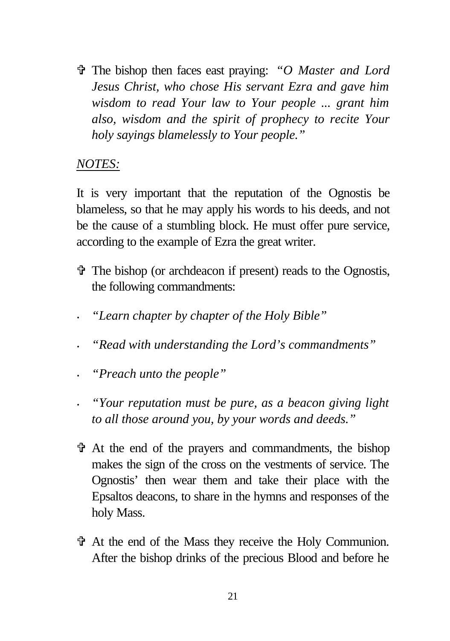V The bishop then faces east praying: *"O Master and Lord Jesus Christ, who chose His servant Ezra and gave him wisdom to read Your law to Your people ... grant him also, wisdom and the spirit of prophecy to recite Your holy sayings blamelessly to Your people."*

#### *NOTES:*

It is very important that the reputation of the Ognostis be blameless, so that he may apply his words to his deeds, and not be the cause of a stumbling block. He must offer pure service, according to the example of Ezra the great writer.

- V The bishop (or archdeacon if present) reads to the Ognostis, the following commandments:
	- *· "Learn chapter by chapter of the Holy Bible"*
	- *· "Read with understanding the Lord's commandments"*
- *· "Preach unto the people"*
- *· "Your reputation must be pure, as a beacon giving light to all those around you, by your words and deeds."*
- $\hat{\mathbf{\Phi}}$  At the end of the prayers and commandments, the bishop makes the sign of the cross on the vestments of service. The Ognostis' then wear them and take their place with the Epsaltos deacons, to share in the hymns and responses of the holy Mass.
- V At the end of the Mass they receive the Holy Communion. After the bishop drinks of the precious Blood and before he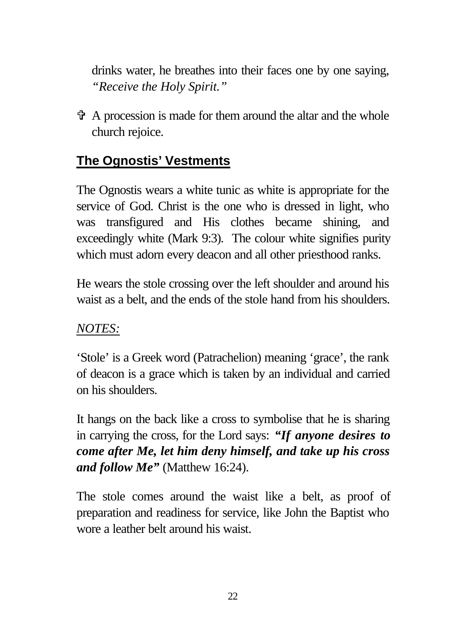drinks water, he breathes into their faces one by one saying, *"Receive the Holy Spirit."*

 $\hat{\mathbf{\Phi}}$  A procession is made for them around the altar and the whole church rejoice.

# **The Ognostis' Vestments**

The Ognostis wears a white tunic as white is appropriate for the service of God. Christ is the one who is dressed in light, who was transfigured and His clothes became shining, and exceedingly white (Mark 9:3). The colour white signifies purity which must adorn every deacon and all other priesthood ranks.

He wears the stole crossing over the left shoulder and around his waist as a belt, and the ends of the stole hand from his shoulders.

# *NOTES:*

'Stole' is a Greek word (Patrachelion) meaning 'grace', the rank of deacon is a grace which is taken by an individual and carried on his shoulders.

It hangs on the back like a cross to symbolise that he is sharing in carrying the cross, for the Lord says: *"If anyone desires to come after Me, let him deny himself, and take up his cross and follow Me"* (Matthew 16:24).

The stole comes around the waist like a belt, as proof of preparation and readiness for service, like John the Baptist who wore a leather belt around his waist.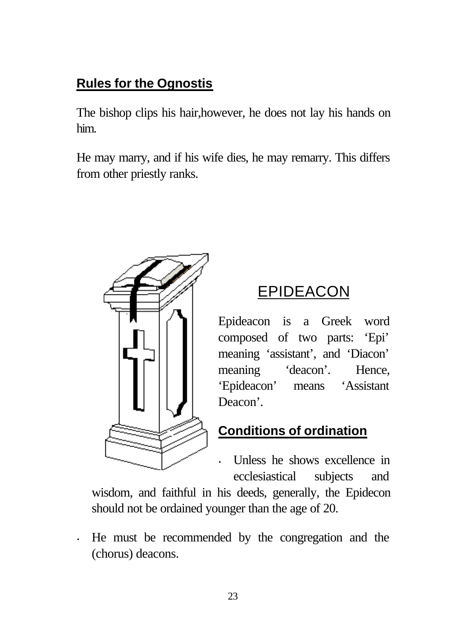# **Rules for the Ognostis**

The bishop clips his hair,however, he does not lay his hands on him.

He may marry, and if his wife dies, he may remarry. This differs from other priestly ranks.



# EPIDEACON

Epideacon is a Greek word composed of two parts: 'Epi' meaning 'assistant', and 'Diacon' meaning 'deacon'. Hence, 'Epideacon' means 'Assistant Deacon'.

# **Conditions of ordination**

• Unless he shows excellence in ecclesiastical subjects and

wisdom, and faithful in his deeds, generally, the Epidecon should not be ordained younger than the age of 20.

• He must be recommended by the congregation and the (chorus) deacons.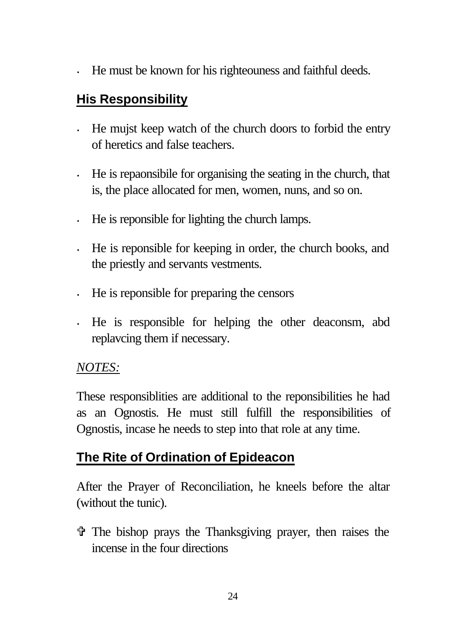• He must be known for his righteouness and faithful deeds.

# **His Responsibility**

- He mujst keep watch of the church doors to forbid the entry of heretics and false teachers.
- He is repaonsibile for organising the seating in the church, that is, the place allocated for men, women, nuns, and so on.
- He is reponsible for lighting the church lamps.
- He is reponsible for keeping in order, the church books, and the priestly and servants vestments.
- He is reponsible for preparing the censors
- He is responsible for helping the other deaconsm, abd replavcing them if necessary.

### *NOTES:*

These responsiblities are additional to the reponsibilities he had as an Ognostis. He must still fulfill the responsibilities of Ognostis, incase he needs to step into that role at any time.

# **The Rite of Ordination of Epideacon**

After the Prayer of Reconciliation, he kneels before the altar (without the tunic).

 $\hat{\tau}$  The bishop prays the Thanksgiving prayer, then raises the incense in the four directions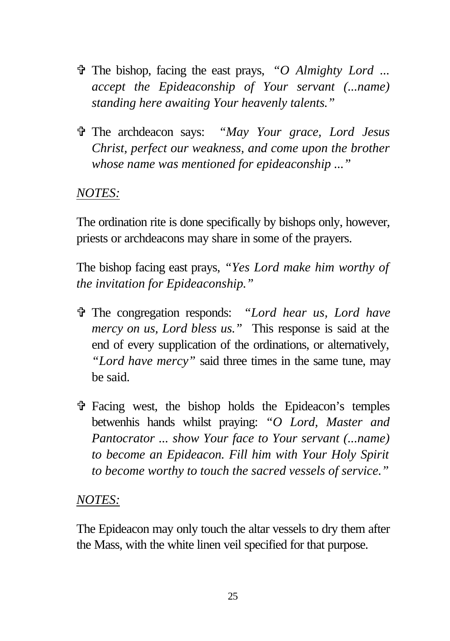- V The bishop, facing the east prays, *"O Almighty Lord ... accept the Epideaconship of Your servant (...name) standing here awaiting Your heavenly talents."*
- V The archdeacon says: *"May Your grace, Lord Jesus Christ, perfect our weakness, and come upon the brother whose name was mentioned for epideaconship ..."*

#### *NOTES:*

The ordination rite is done specifically by bishops only, however, priests or archdeacons may share in some of the prayers.

The bishop facing east prays, *"Yes Lord make him worthy of the invitation for Epideaconship."*

- V The congregation responds: *"Lord hear us, Lord have mercy on us, Lord bless us."* This response is said at the end of every supplication of the ordinations, or alternatively, *"Lord have mercy"* said three times in the same tune, may be said.
- V Facing west, the bishop holds the Epideacon's temples betwenhis hands whilst praying: *"O Lord, Master and Pantocrator ... show Your face to Your servant (...name) to become an Epideacon. Fill him with Your Holy Spirit to become worthy to touch the sacred vessels of service."*

#### *NOTES:*

The Epideacon may only touch the altar vessels to dry them after the Mass, with the white linen veil specified for that purpose.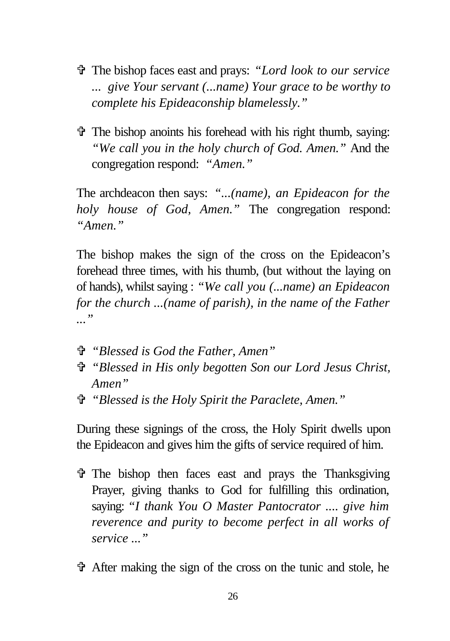- V The bishop faces east and prays: *"Lord look to our service ... give Your servant (...name) Your grace to be worthy to complete his Epideaconship blamelessly."*
- V The bishop anoints his forehead with his right thumb, saying: *"We call you in the holy church of God. Amen."* And the congregation respond: *"Amen."*

The archdeacon then says: *"...(name), an Epideacon for the holy house of God, Amen."* The congregation respond: *"Amen."*

The bishop makes the sign of the cross on the Epideacon's forehead three times, with his thumb, (but without the laying on of hands), whilst saying : *"We call you (...name) an Epideacon for the church ...(name of parish), in the name of the Father ..."*

- V *"Blessed is God the Father, Amen"*
- V *"Blessed in His only begotten Son our Lord Jesus Christ, Amen"*
- V *"Blessed is the Holy Spirit the Paraclete, Amen."*

During these signings of the cross, the Holy Spirit dwells upon the Epideacon and gives him the gifts of service required of him.

- $\hat{\tau}$  The bishop then faces east and prays the Thanksgiving Prayer, giving thanks to God for fulfilling this ordination, saying: *"I thank You O Master Pantocrator .... give him reverence and purity to become perfect in all works of service ..."*
- V After making the sign of the cross on the tunic and stole, he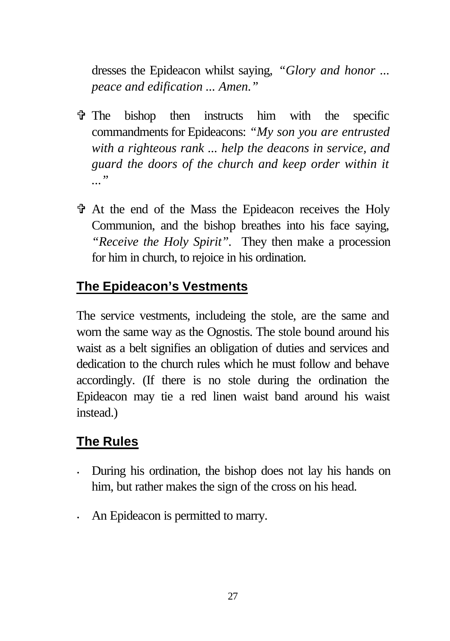dresses the Epideacon whilst saying, *"Glory and honor ... peace and edification ... Amen."*

- $\hat{\tau}$  The bishop then instructs him with the specific commandments for Epideacons: *"My son you are entrusted with a righteous rank ... help the deacons in service, and guard the doors of the church and keep order within it ..."*
- V At the end of the Mass the Epideacon receives the Holy Communion, and the bishop breathes into his face saying, *"Receive the Holy Spirit".* They then make a procession for him in church, to rejoice in his ordination.

# **The Epideacon's Vestments**

The service vestments, includeing the stole, are the same and worn the same way as the Ognostis. The stole bound around his waist as a belt signifies an obligation of duties and services and dedication to the church rules which he must follow and behave accordingly. (If there is no stole during the ordination the Epideacon may tie a red linen waist band around his waist instead.)

# **The Rules**

- During his ordination, the bishop does not lay his hands on him, but rather makes the sign of the cross on his head.
- An Epideacon is permitted to marry.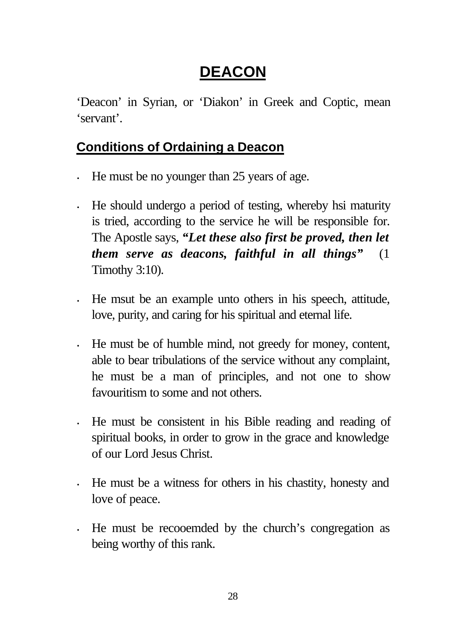# **DEACON**

'Deacon' in Syrian, or 'Diakon' in Greek and Coptic, mean 'servant'.

# **Conditions of Ordaining a Deacon**

- He must be no younger than 25 years of age.
- He should undergo a period of testing, whereby hsi maturity is tried, according to the service he will be responsible for. The Apostle says, *"Let these also first be proved, then let them serve as deacons, faithful in all things"* (1 Timothy 3:10).
- He msut be an example unto others in his speech, attitude, love, purity, and caring for his spiritual and eternal life.
- He must be of humble mind, not greedy for money, content, able to bear tribulations of the service without any complaint, he must be a man of principles, and not one to show favouritism to some and not others.
- He must be consistent in his Bible reading and reading of spiritual books, in order to grow in the grace and knowledge of our Lord Jesus Christ.
- He must be a witness for others in his chastity, honesty and love of peace.
- He must be recooemded by the church's congregation as being worthy of this rank.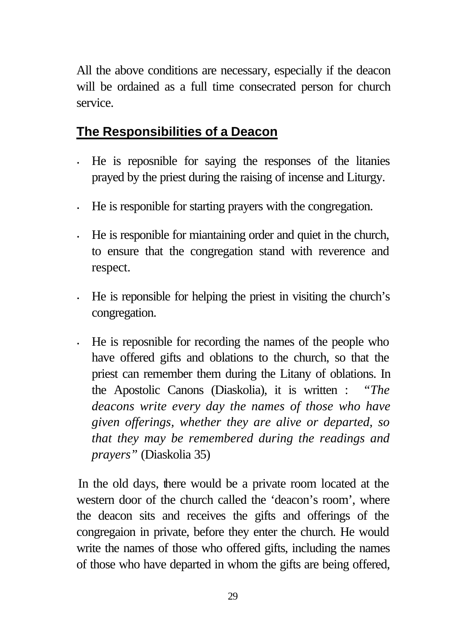All the above conditions are necessary, especially if the deacon will be ordained as a full time consecrated person for church service.

# **The Responsibilities of a Deacon**

- He is reposnible for saying the responses of the litanies prayed by the priest during the raising of incense and Liturgy.
- He is responible for starting prayers with the congregation.
- He is responible for miantaining order and quiet in the church, to ensure that the congregation stand with reverence and respect.
- He is reponsible for helping the priest in visiting the church's congregation.
- He is reposnible for recording the names of the people who have offered gifts and oblations to the church, so that the priest can remember them during the Litany of oblations. In the Apostolic Canons (Diaskolia), it is written : *"The deacons write every day the names of those who have given offerings, whether they are alive or departed, so that they may be remembered during the readings and prayers"* (Diaskolia 35)

In the old days, there would be a private room located at the western door of the church called the 'deacon's room', where the deacon sits and receives the gifts and offerings of the congregaion in private, before they enter the church. He would write the names of those who offered gifts, including the names of those who have departed in whom the gifts are being offered,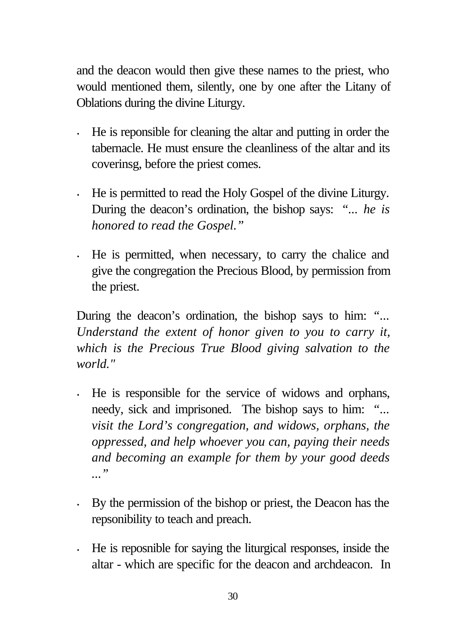and the deacon would then give these names to the priest, who would mentioned them, silently, one by one after the Litany of Oblations during the divine Liturgy.

- He is reponsible for cleaning the altar and putting in order the tabernacle. He must ensure the cleanliness of the altar and its coverinsg, before the priest comes.
- He is permitted to read the Holy Gospel of the divine Liturgy. During the deacon's ordination, the bishop says: *"... he is honored to read the Gospel."*
- He is permitted, when necessary, to carry the chalice and give the congregation the Precious Blood, by permission from the priest.

During the deacon's ordination, the bishop says to him: *"... Understand the extent of honor given to you to carry it, which is the Precious True Blood giving salvation to the world."*

- He is responsible for the service of widows and orphans, needy, sick and imprisoned. The bishop says to him: *"... visit the Lord's congregation, and widows, orphans, the oppressed, and help whoever you can, paying their needs and becoming an example for them by your good deeds ..."*
- By the permission of the bishop or priest, the Deacon has the repsonibility to teach and preach.
- He is reposnible for saying the liturgical responses, inside the altar - which are specific for the deacon and archdeacon. In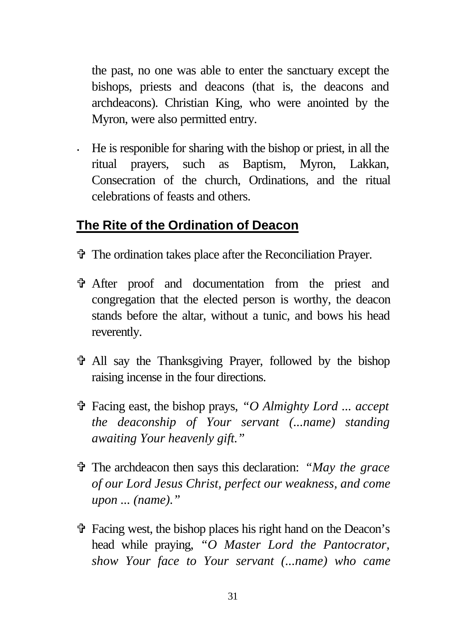the past, no one was able to enter the sanctuary except the bishops, priests and deacons (that is, the deacons and archdeacons). Christian King, who were anointed by the Myron, were also permitted entry.

• He is responible for sharing with the bishop or priest, in all the ritual prayers, such as Baptism, Myron, Lakkan, Consecration of the church, Ordinations, and the ritual celebrations of feasts and others.

### **The Rite of the Ordination of Deacon**

- V The ordination takes place after the Reconciliation Prayer.
- V After proof and documentation from the priest and congregation that the elected person is worthy, the deacon stands before the altar, without a tunic, and bows his head reverently.
- V All say the Thanksgiving Prayer, followed by the bishop raising incense in the four directions.
- V Facing east, the bishop prays, *"O Almighty Lord ... accept the deaconship of Your servant (...name) standing awaiting Your heavenly gift."*
- V The archdeacon then says this declaration: *"May the grace of our Lord Jesus Christ, perfect our weakness, and come upon ... (name)."*
- V Facing west, the bishop places his right hand on the Deacon's head while praying, *"O Master Lord the Pantocrator, show Your face to Your servant (...name) who came*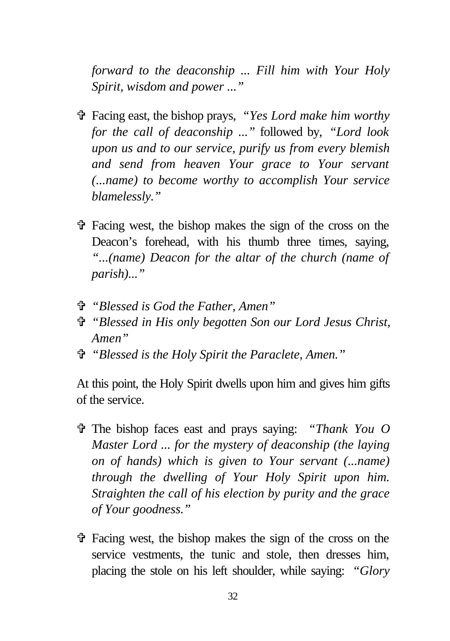*forward to the deaconship ... Fill him with Your Holy Spirit, wisdom and power ..."*

- V Facing east, the bishop prays, *"Yes Lord make him worthy for the call of deaconship ..."* followed by, *"Lord look upon us and to our service, purify us from every blemish and send from heaven Your grace to Your servant (...name) to become worthy to accomplish Your service blamelessly."*
- $\hat{\mathbf{\tau}}$  Facing west, the bishop makes the sign of the cross on the Deacon's forehead, with his thumb three times, saying, *"...(name) Deacon for the altar of the church (name of parish)..."*
- V *"Blessed is God the Father, Amen"*
- V *"Blessed in His only begotten Son our Lord Jesus Christ, Amen"*
- V *"Blessed is the Holy Spirit the Paraclete, Amen."*

At this point, the Holy Spirit dwells upon him and gives him gifts of the service.

- V The bishop faces east and prays saying: *"Thank You O Master Lord ... for the mystery of deaconship (the laying on of hands) which is given to Your servant (...name) through the dwelling of Your Holy Spirit upon him. Straighten the call of his election by purity and the grace of Your goodness."*
- $\hat{\mathbf{\tau}}$  Facing west, the bishop makes the sign of the cross on the service vestments, the tunic and stole, then dresses him, placing the stole on his left shoulder, while saying: *"Glory*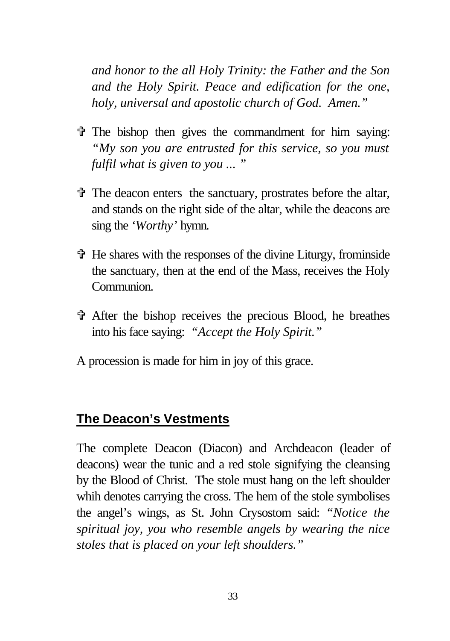*and honor to the all Holy Trinity: the Father and the Son and the Holy Spirit. Peace and edification for the one, holy, universal and apostolic church of God. Amen."*

- $\hat{\tau}$  The bishop then gives the commandment for him saying: *"My son you are entrusted for this service, so you must fulfil what is given to you ... "*
- V The deacon enters the sanctuary, prostrates before the altar, and stands on the right side of the altar, while the deacons are sing the *'Worthy'* hymn.
- $\hat{\mathbf{\Phi}}$ . He shares with the responses of the divine Liturgy, from inside the sanctuary, then at the end of the Mass, receives the Holy Communion.
- V After the bishop receives the precious Blood, he breathes into his face saying: *"Accept the Holy Spirit."*
- A procession is made for him in joy of this grace.

#### **The Deacon's Vestments**

The complete Deacon (Diacon) and Archdeacon (leader of deacons) wear the tunic and a red stole signifying the cleansing by the Blood of Christ. The stole must hang on the left shoulder whih denotes carrying the cross. The hem of the stole symbolises the angel's wings, as St. John Crysostom said: *"Notice the spiritual joy, you who resemble angels by wearing the nice stoles that is placed on your left shoulders."*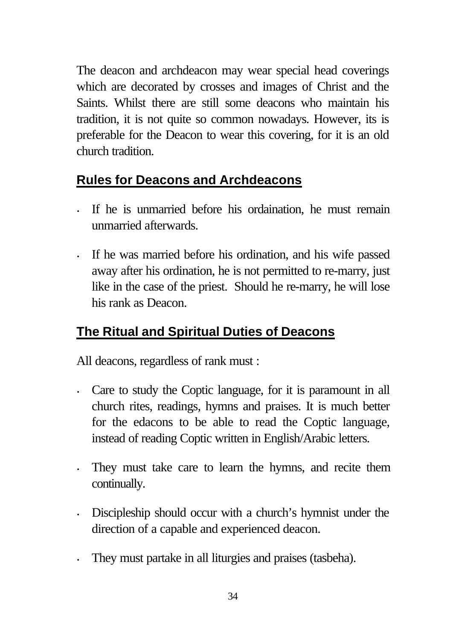The deacon and archdeacon may wear special head coverings which are decorated by crosses and images of Christ and the Saints. Whilst there are still some deacons who maintain his tradition, it is not quite so common nowadays. However, its is preferable for the Deacon to wear this covering, for it is an old church tradition.

# **Rules for Deacons and Archdeacons**

- If he is unmarried before his ordaination, he must remain unmarried afterwards.
- If he was married before his ordination, and his wife passed away after his ordination, he is not permitted to re-marry, just like in the case of the priest. Should he re-marry, he will lose his rank as Deacon.

# **The Ritual and Spiritual Duties of Deacons**

All deacons, regardless of rank must :

- Care to study the Coptic language, for it is paramount in all church rites, readings, hymns and praises. It is much better for the edacons to be able to read the Coptic language, instead of reading Coptic written in English/Arabic letters.
- They must take care to learn the hymns, and recite them continually.
- Discipleship should occur with a church's hymnist under the direction of a capable and experienced deacon.
- They must partake in all liturgies and praises (tasbeha).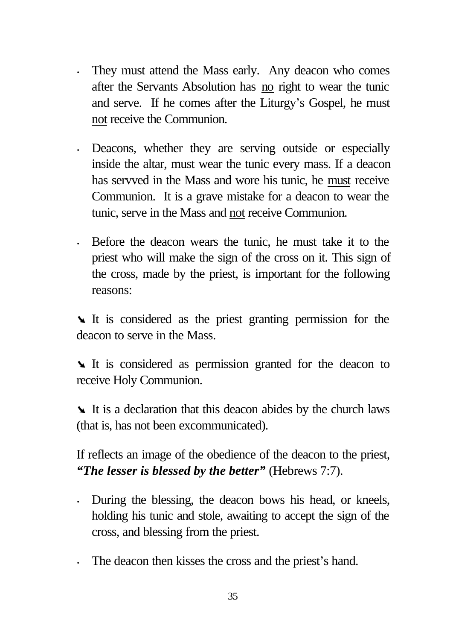- They must attend the Mass early. Any deacon who comes after the Servants Absolution has no right to wear the tunic and serve. If he comes after the Liturgy's Gospel, he must not receive the Communion.
- Deacons, whether they are serving outside or especially inside the altar, must wear the tunic every mass. If a deacon has servved in the Mass and wore his tunic, he must receive Communion. It is a grave mistake for a deacon to wear the tunic, serve in the Mass and not receive Communion.
- Before the deacon wears the tunic, he must take it to the priest who will make the sign of the cross on it. This sign of the cross, made by the priest, is important for the following reasons:

It is considered as the priest granting permission for the deacon to serve in the Mass.

It is considered as permission granted for the deacon to receive Holy Communion.

It is a declaration that this deacon abides by the church laws (that is, has not been excommunicated).

If reflects an image of the obedience of the deacon to the priest, *"The lesser is blessed by the better"* (Hebrews 7:7).

- During the blessing, the deacon bows his head, or kneels, holding his tunic and stole, awaiting to accept the sign of the cross, and blessing from the priest.
- The deacon then kisses the cross and the priest's hand.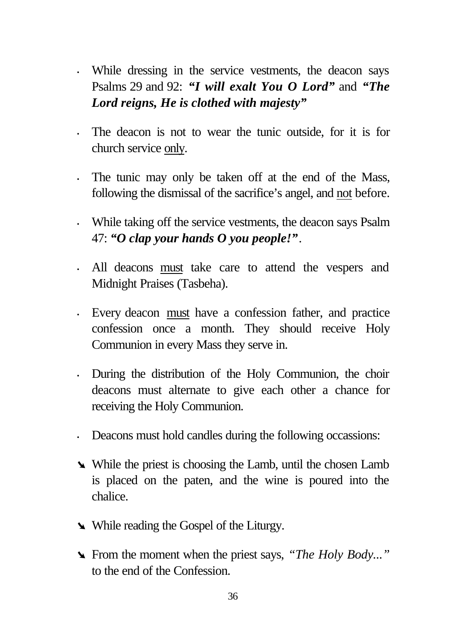- While dressing in the service vestments, the deacon says Psalms 29 and 92: *"I will exalt You O Lord"* and *"The Lord reigns, He is clothed with majesty"*
- The deacon is not to wear the tunic outside, for it is for church service only.
- The tunic may only be taken off at the end of the Mass, following the dismissal of the sacrifice's angel, and not before.
- While taking off the service vestments, the deacon says Psalm 47: *"O clap your hands O you people!"*.
- All deacons must take care to attend the vespers and Midnight Praises (Tasbeha).
- Every deacon must have a confession father, and practice confession once a month. They should receive Holy Communion in every Mass they serve in.
- During the distribution of the Holy Communion, the choir deacons must alternate to give each other a chance for receiving the Holy Communion.
- Deacons must hold candles during the following occassions:
- While the priest is choosing the Lamb, until the chosen Lamb is placed on the paten, and the wine is poured into the chalice.
- While reading the Gospel of the Liturgy.
- ÿ From the moment when the priest says, *"The Holy Body..."* to the end of the Confession.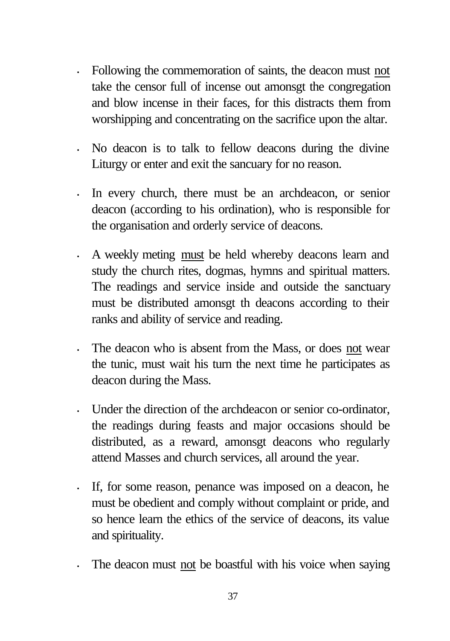- Following the commemoration of saints, the deacon must not take the censor full of incense out amonsgt the congregation and blow incense in their faces, for this distracts them from worshipping and concentrating on the sacrifice upon the altar.
- No deacon is to talk to fellow deacons during the divine Liturgy or enter and exit the sancuary for no reason.
- In every church, there must be an archdeacon, or senior deacon (according to his ordination), who is responsible for the organisation and orderly service of deacons.
- A weekly meting must be held whereby deacons learn and study the church rites, dogmas, hymns and spiritual matters. The readings and service inside and outside the sanctuary must be distributed amonsgt th deacons according to their ranks and ability of service and reading.
- The deacon who is absent from the Mass, or does not wear the tunic, must wait his turn the next time he participates as deacon during the Mass.
- Under the direction of the archdeacon or senior co-ordinator, the readings during feasts and major occasions should be distributed, as a reward, amonsgt deacons who regularly attend Masses and church services, all around the year.
- If, for some reason, penance was imposed on a deacon, he must be obedient and comply without complaint or pride, and so hence learn the ethics of the service of deacons, its value and spirituality.
- The deacon must not be boastful with his voice when saying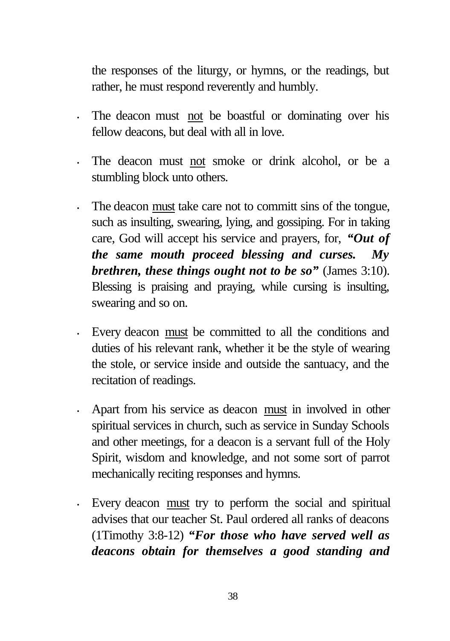the responses of the liturgy, or hymns, or the readings, but rather, he must respond reverently and humbly.

- The deacon must not be boastful or dominating over his fellow deacons, but deal with all in love.
- The deacon must not smoke or drink alcohol, or be a stumbling block unto others.
- The deacon must take care not to committ sins of the tongue, such as insulting, swearing, lying, and gossiping. For in taking care, God will accept his service and prayers, for, *"Out of the same mouth proceed blessing and curses. My brethren, these things ought not to be so"* (James 3:10). Blessing is praising and praying, while cursing is insulting, swearing and so on.
- Every deacon must be committed to all the conditions and duties of his relevant rank, whether it be the style of wearing the stole, or service inside and outside the santuacy, and the recitation of readings.
- Apart from his service as deacon must in involved in other spiritual services in church, such as service in Sunday Schools and other meetings, for a deacon is a servant full of the Holy Spirit, wisdom and knowledge, and not some sort of parrot mechanically reciting responses and hymns.
- Every deacon must try to perform the social and spiritual advises that our teacher St. Paul ordered all ranks of deacons (1Timothy 3:8-12) *"For those who have served well as deacons obtain for themselves a good standing and*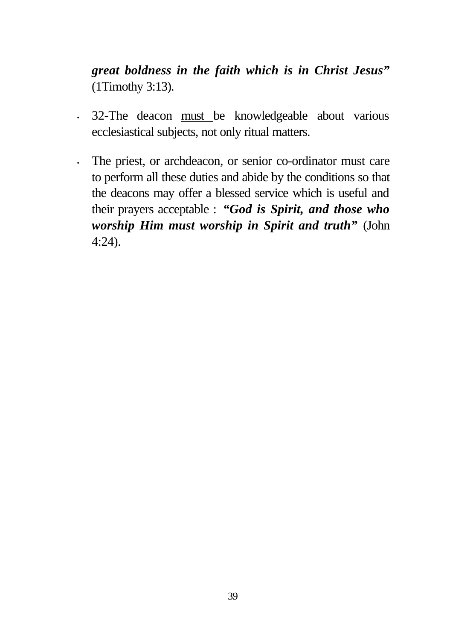*great boldness in the faith which is in Christ Jesus"* (1Timothy 3:13).

- 32-The deacon must be knowledgeable about various ecclesiastical subjects, not only ritual matters.
- *·* The priest, or archdeacon, or senior co-ordinator must care to perform all these duties and abide by the conditions so that the deacons may offer a blessed service which is useful and their prayers acceptable : *"God is Spirit, and those who worship Him must worship in Spirit and truth"* (John 4:24).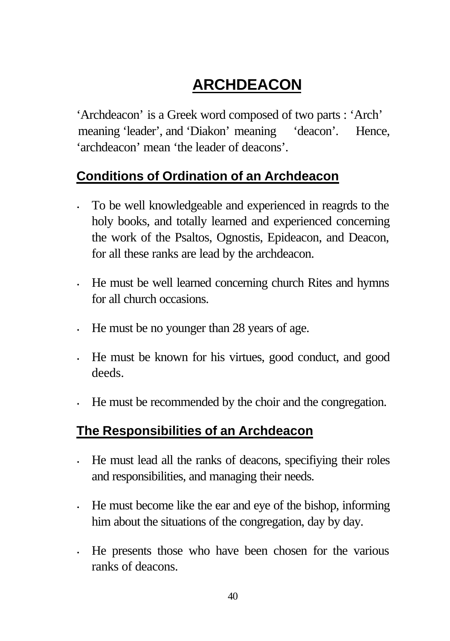# **ARCHDEACON**

'Archdeacon' is a Greek word composed of two parts : 'Arch' meaning 'leader', and 'Diakon' meaning 'deacon'. Hence, 'archdeacon' mean 'the leader of deacons'.

### **Conditions of Ordination of an Archdeacon**

- To be well knowledgeable and experienced in reagrds to the holy books, and totally learned and experienced concerning the work of the Psaltos, Ognostis, Epideacon, and Deacon, for all these ranks are lead by the archdeacon.
- He must be well learned concerning church Rites and hymns for all church occasions.
- He must be no younger than 28 years of age.
- He must be known for his virtues, good conduct, and good deeds.
- He must be recommended by the choir and the congregation.

### **The Responsibilities of an Archdeacon**

- He must lead all the ranks of deacons, specifiying their roles and responsibilities, and managing their needs.
- He must become like the ear and eye of the bishop, informing him about the situations of the congregation, day by day.
- He presents those who have been chosen for the various ranks of deacons.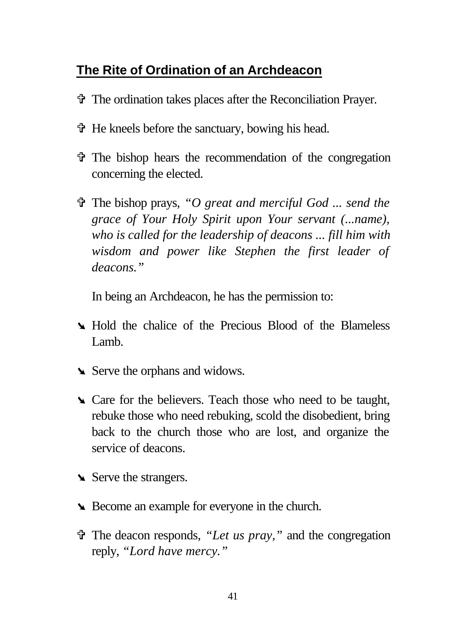### **The Rite of Ordination of an Archdeacon**

- V The ordination takes places after the Reconciliation Prayer.
- V He kneels before the sanctuary, bowing his head.
- V The bishop hears the recommendation of the congregation concerning the elected.
- V The bishop prays, *"O great and merciful God ... send the grace of Your Holy Spirit upon Your servant (...name), who is called for the leadership of deacons ... fill him with wisdom and power like Stephen the first leader of deacons."*

In being an Archdeacon, he has the permission to:

- **In Hold the chalice of the Precious Blood of the Blameless** Lamb.
- Serve the orphans and widows.
- **■** Care for the believers. Teach those who need to be taught, rebuke those who need rebuking, scold the disobedient, bring back to the church those who are lost, and organize the service of deacons.
- Serve the strangers.
- ÿ Become an example for everyone in the church.
- V The deacon responds, *"Let us pray,"* and the congregation reply, *"Lord have mercy."*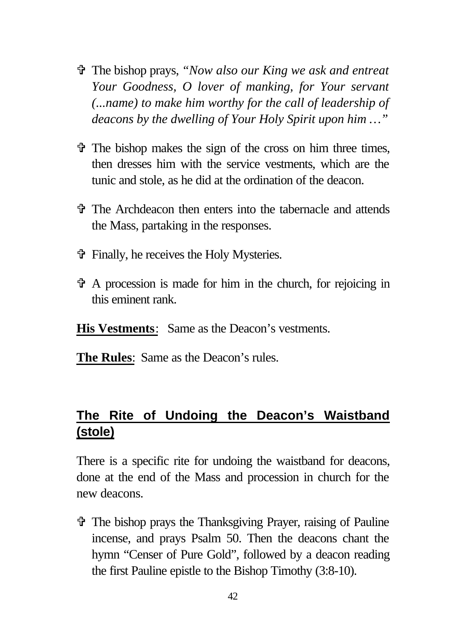- V The bishop prays, *"Now also our King we ask and entreat Your Goodness, O lover of manking, for Your servant (...name) to make him worthy for the call of leadership of deacons by the dwelling of Your Holy Spirit upon him …"*
- $\hat{\mathbf{\Phi}}$  The bishop makes the sign of the cross on him three times, then dresses him with the service vestments, which are the tunic and stole, as he did at the ordination of the deacon.
- V The Archdeacon then enters into the tabernacle and attends the Mass, partaking in the responses.
- V Finally, he receives the Holy Mysteries.
- $\mathbf{\hat{v}}$  A procession is made for him in the church, for rejoicing in this eminent rank.
- **His Vestments**: Same as the Deacon's vestments.
- **The Rules**: Same as the Deacon's rules.

### **The Rite of Undoing the Deacon's Waistband (stole)**

There is a specific rite for undoing the waistband for deacons, done at the end of the Mass and procession in church for the new deacons.

V The bishop prays the Thanksgiving Prayer, raising of Pauline incense, and prays Psalm 50. Then the deacons chant the hymn "Censer of Pure Gold", followed by a deacon reading the first Pauline epistle to the Bishop Timothy (3:8-10).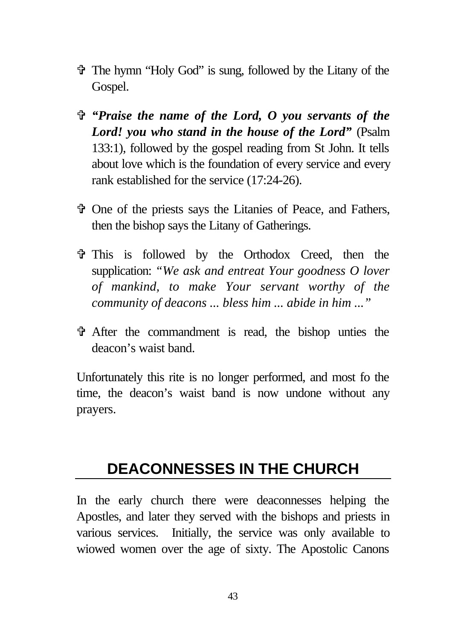- V The hymn "Holy God" is sung, followed by the Litany of the Gospel.
- V *"Praise the name of the Lord, O you servants of the Lord! you who stand in the house of the Lord"* (Psalm 133:1), followed by the gospel reading from St John. It tells about love which is the foundation of every service and every rank established for the service (17:24-26).
- V One of the priests says the Litanies of Peace, and Fathers, then the bishop says the Litany of Gatherings.
- V This is followed by the Orthodox Creed, then the supplication: *"We ask and entreat Your goodness O lover of mankind, to make Your servant worthy of the community of deacons ... bless him ... abide in him ..."*
- V After the commandment is read, the bishop unties the deacon's waist band.

Unfortunately this rite is no longer performed, and most fo the time, the deacon's waist band is now undone without any prayers.

# **DEACONNESSES IN THE CHURCH**

In the early church there were deaconnesses helping the Apostles, and later they served with the bishops and priests in various services. Initially, the service was only available to wiowed women over the age of sixty. The Apostolic Canons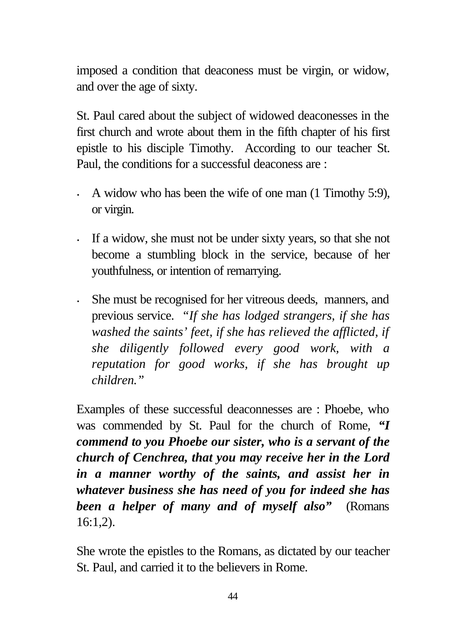imposed a condition that deaconess must be virgin, or widow, and over the age of sixty.

St. Paul cared about the subject of widowed deaconesses in the first church and wrote about them in the fifth chapter of his first epistle to his disciple Timothy. According to our teacher St. Paul, the conditions for a successful deaconess are :

- A widow who has been the wife of one man (1 Timothy 5:9), or virgin.
- If a widow, she must not be under sixty years, so that she not become a stumbling block in the service, because of her youthfulness, or intention of remarrying.
- She must be recognised for her vitreous deeds, manners, and previous service. *"If she has lodged strangers, if she has washed the saints' feet, if she has relieved the afflicted, if she diligently followed every good work, with a reputation for good works, if she has brought up children."*

Examples of these successful deaconnesses are : Phoebe, who was commended by St. Paul for the church of Rome, *"I commend to you Phoebe our sister, who is a servant of the church of Cenchrea, that you may receive her in the Lord in a manner worthy of the saints, and assist her in whatever business she has need of you for indeed she has been a helper of many and of myself also"* (Romans  $16:1.2$ ).

She wrote the epistles to the Romans, as dictated by our teacher St. Paul, and carried it to the believers in Rome.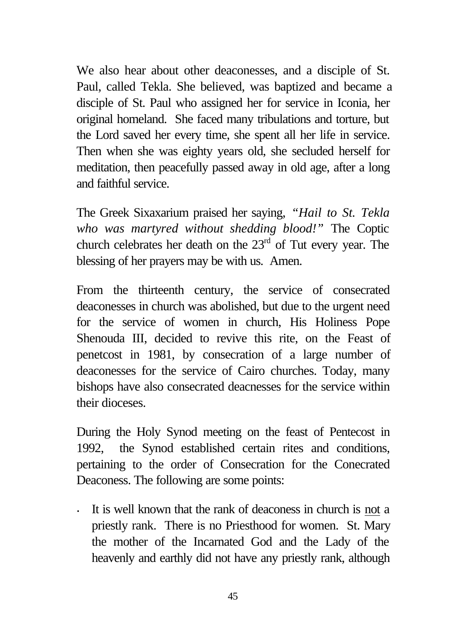We also hear about other deaconesses, and a disciple of St. Paul, called Tekla. She believed, was baptized and became a disciple of St. Paul who assigned her for service in Iconia, her original homeland. She faced many tribulations and torture, but the Lord saved her every time, she spent all her life in service. Then when she was eighty years old, she secluded herself for meditation, then peacefully passed away in old age, after a long and faithful service.

The Greek Sixaxarium praised her saying, *"Hail to St. Tekla who was martyred without shedding blood!"* The Coptic church celebrates her death on the  $23<sup>rd</sup>$  of Tut every year. The blessing of her prayers may be with us. Amen.

From the thirteenth century, the service of consecrated deaconesses in church was abolished, but due to the urgent need for the service of women in church, His Holiness Pope Shenouda III, decided to revive this rite, on the Feast of penetcost in 1981, by consecration of a large number of deaconesses for the service of Cairo churches. Today, many bishops have also consecrated deacnesses for the service within their dioceses.

During the Holy Synod meeting on the feast of Pentecost in 1992, the Synod established certain rites and conditions, pertaining to the order of Consecration for the Conecrated Deaconess. The following are some points:

• It is well known that the rank of deaconess in church is not a priestly rank. There is no Priesthood for women. St. Mary the mother of the Incarnated God and the Lady of the heavenly and earthly did not have any priestly rank, although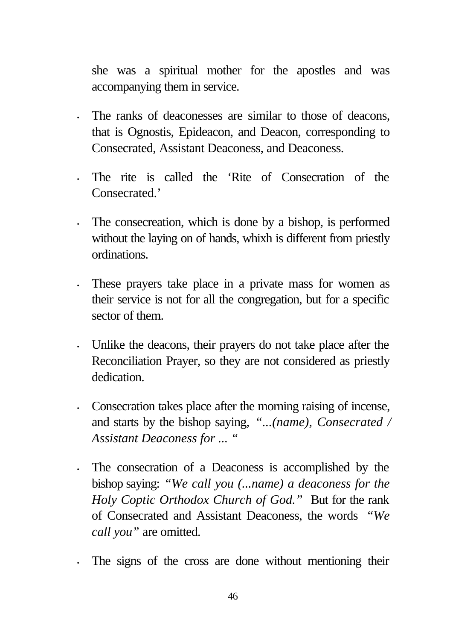she was a spiritual mother for the apostles and was accompanying them in service.

- The ranks of deaconesses are similar to those of deacons, that is Ognostis, Epideacon, and Deacon, corresponding to Consecrated, Assistant Deaconess, and Deaconess.
- The rite is called the 'Rite of Consecration of the Consecrated<sup>'</sup>
- The consecreation, which is done by a bishop, is performed without the laying on of hands, whixh is different from priestly ordinations.
- These prayers take place in a private mass for women as their service is not for all the congregation, but for a specific sector of them.
- Unlike the deacons, their prayers do not take place after the Reconciliation Prayer, so they are not considered as priestly dedication.
- Consecration takes place after the morning raising of incense, and starts by the bishop saying, *"...(name), Consecrated / Assistant Deaconess for ... "*
- The consecration of a Deaconess is accomplished by the bishop saying: *"We call you (...name) a deaconess for the Holy Coptic Orthodox Church of God."* But for the rank of Consecrated and Assistant Deaconess, the words *"We call you"* are omitted.
- The signs of the cross are done without mentioning their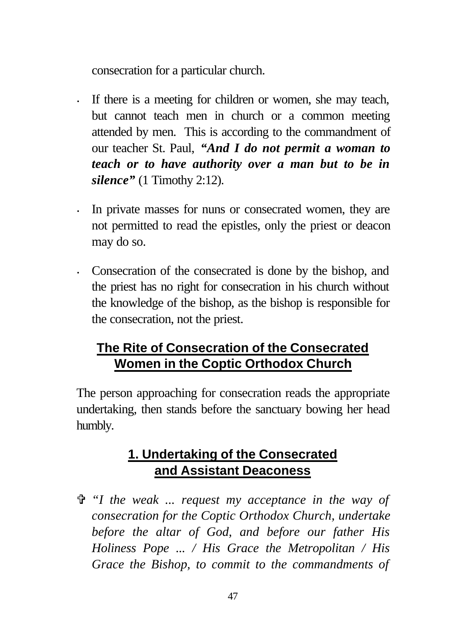consecration for a particular church.

- If there is a meeting for children or women, she may teach, but cannot teach men in church or a common meeting attended by men. This is according to the commandment of our teacher St. Paul, *"And I do not permit a woman to teach or to have authority over a man but to be in silence"* (1 Timothy 2:12).
- In private masses for nuns or consecrated women, they are not permitted to read the epistles, only the priest or deacon may do so.
- Consecration of the consecrated is done by the bishop, and the priest has no right for consecration in his church without the knowledge of the bishop, as the bishop is responsible for the consecration, not the priest.

# **The Rite of Consecration of the Consecrated Women in the Coptic Orthodox Church**

The person approaching for consecration reads the appropriate undertaking, then stands before the sanctuary bowing her head humbly.

## **1. Undertaking of the Consecrated and Assistant Deaconess**

V *"I the weak ... request my acceptance in the way of consecration for the Coptic Orthodox Church, undertake before the altar of God, and before our father His Holiness Pope ... / His Grace the Metropolitan / His Grace the Bishop, to commit to the commandments of*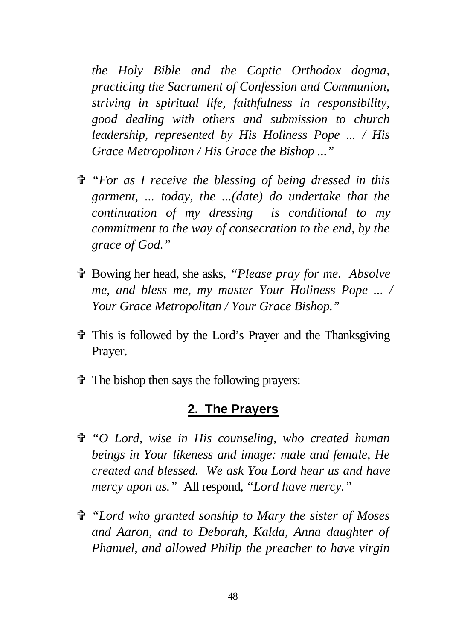*the Holy Bible and the Coptic Orthodox dogma, practicing the Sacrament of Confession and Communion, striving in spiritual life, faithfulness in responsibility, good dealing with others and submission to church leadership, represented by His Holiness Pope ... / His Grace Metropolitan / His Grace the Bishop ..."*

- V *"For as I receive the blessing of being dressed in this garment, ... today, the ...(date) do undertake that the continuation of my dressing is conditional to my commitment to the way of consecration to the end, by the grace of God."*
- V Bowing her head, she asks, *"Please pray for me. Absolve me, and bless me, my master Your Holiness Pope ... / Your Grace Metropolitan / Your Grace Bishop."*
- V This is followed by the Lord's Prayer and the Thanksgiving Prayer.
- $\hat{\mathbf{\Phi}}$  The bishop then says the following prayers:

#### **2. The Prayers**

- V *"O Lord, wise in His counseling, who created human beings in Your likeness and image: male and female, He created and blessed. We ask You Lord hear us and have mercy upon us."* All respond, *"Lord have mercy."*
- V *"Lord who granted sonship to Mary the sister of Moses and Aaron, and to Deborah, Kalda, Anna daughter of Phanuel, and allowed Philip the preacher to have virgin*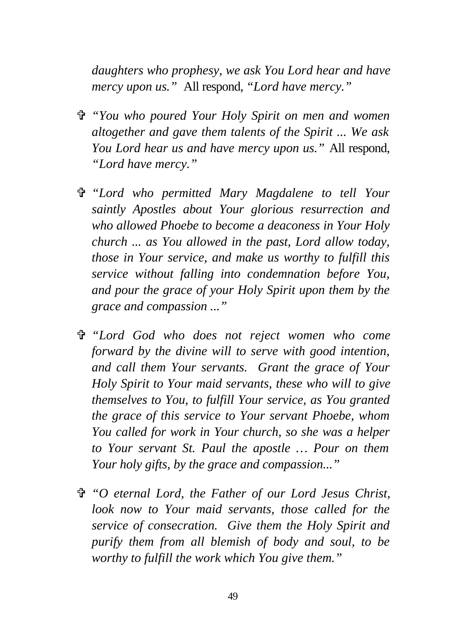*daughters who prophesy, we ask You Lord hear and have mercy upon us."* All respond, *"Lord have mercy."*

- V *"You who poured Your Holy Spirit on men and women altogether and gave them talents of the Spirit ... We ask You Lord hear us and have mercy upon us."* All respond, *"Lord have mercy."*
- V *"Lord who permitted Mary Magdalene to tell Your saintly Apostles about Your glorious resurrection and who allowed Phoebe to become a deaconess in Your Holy church ... as You allowed in the past, Lord allow today, those in Your service, and make us worthy to fulfill this service without falling into condemnation before You, and pour the grace of your Holy Spirit upon them by the grace and compassion ..."*
- V *"Lord God who does not reject women who come forward by the divine will to serve with good intention, and call them Your servants. Grant the grace of Your Holy Spirit to Your maid servants, these who will to give themselves to You, to fulfill Your service, as You granted the grace of this service to Your servant Phoebe, whom You called for work in Your church, so she was a helper to Your servant St. Paul the apostle … Pour on them Your holy gifts, by the grace and compassion..."*
- V *"O eternal Lord, the Father of our Lord Jesus Christ, look now to Your maid servants, those called for the service of consecration. Give them the Holy Spirit and purify them from all blemish of body and soul, to be worthy to fulfill the work which You give them."*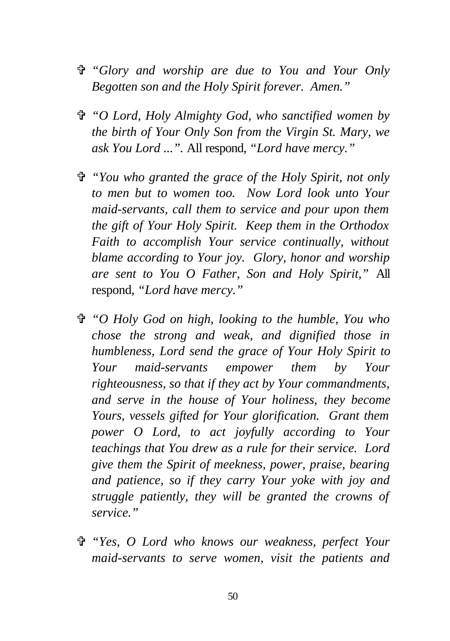- V *"Glory and worship are due to You and Your Only Begotten son and the Holy Spirit forever. Amen."*
- V *"O Lord, Holy Almighty God, who sanctified women by the birth of Your Only Son from the Virgin St. Mary, we ask You Lord ...".* All respond, *"Lord have mercy."*
- V *"You who granted the grace of the Holy Spirit, not only to men but to women too. Now Lord look unto Your maid-servants, call them to service and pour upon them the gift of Your Holy Spirit. Keep them in the Orthodox Faith to accomplish Your service continually, without blame according to Your joy. Glory, honor and worship are sent to You O Father, Son and Holy Spirit,"* All respond, *"Lord have mercy."*
- V *"O Holy God on high, looking to the humble, You who chose the strong and weak, and dignified those in humbleness, Lord send the grace of Your Holy Spirit to Your maid-servants empower them by Your righteousness, so that if they act by Your commandments, and serve in the house of Your holiness, they become Yours, vessels gifted for Your glorification. Grant them power O Lord, to act joyfully according to Your teachings that You drew as a rule for their service. Lord give them the Spirit of meekness, power, praise, bearing and patience, so if they carry Your yoke with joy and struggle patiently, they will be granted the crowns of service."*
- V *"Yes, O Lord who knows our weakness, perfect Your maid-servants to serve women, visit the patients and*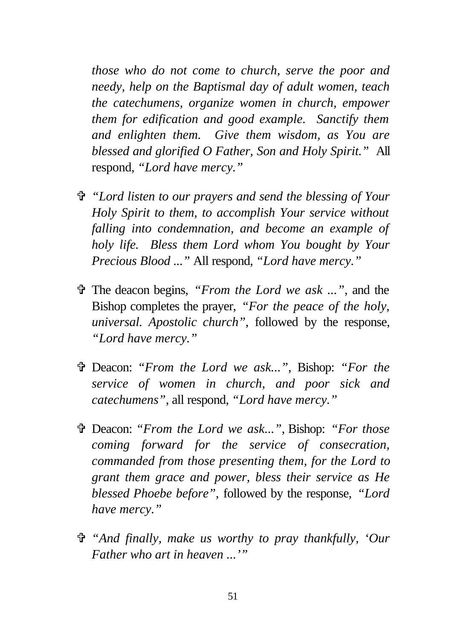*those who do not come to church, serve the poor and needy, help on the Baptismal day of adult women, teach the catechumens, organize women in church, empower them for edification and good example. Sanctify them and enlighten them. Give them wisdom, as You are blessed and glorified O Father, Son and Holy Spirit."* All respond, *"Lord have mercy."*

- V *"Lord listen to our prayers and send the blessing of Your Holy Spirit to them, to accomplish Your service without falling into condemnation, and become an example of holy life. Bless them Lord whom You bought by Your Precious Blood ..."* All respond, *"Lord have mercy."*
- V The deacon begins, *"From the Lord we ask ..."*, and the Bishop completes the prayer, *"For the peace of the holy, universal. Apostolic church"*, followed by the response, *"Lord have mercy."*
- V Deacon: *"From the Lord we ask..."*, Bishop: *"For the service of women in church, and poor sick and catechumens"*, all respond, *"Lord have mercy."*
- V Deacon: *"From the Lord we ask..."*, Bishop: *"For those coming forward for the service of consecration, commanded from those presenting them, for the Lord to grant them grace and power, bless their service as He blessed Phoebe before",* followed by the response, *"Lord have mercy."*
- V *"And finally, make us worthy to pray thankfully, 'Our Father who art in heaven ...'"*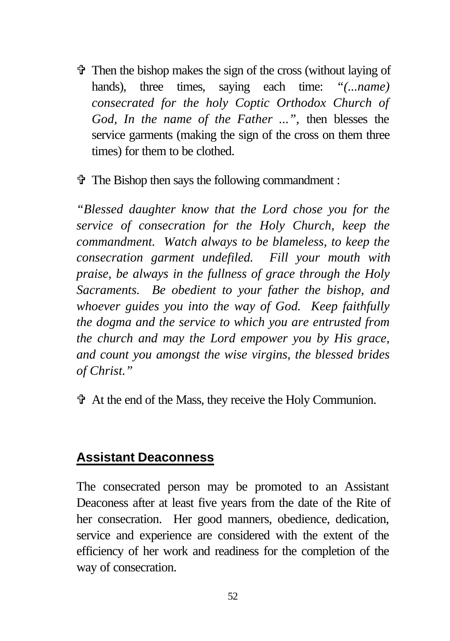$\ddot{\mathbf{\Phi}}$  Then the bishop makes the sign of the cross (without laying of hands), three times, saying each time: *"(...name) consecrated for the holy Coptic Orthodox Church of God, In the name of the Father ...",* then blesses the service garments (making the sign of the cross on them three times) for them to be clothed.

 $\mathbf{\hat{v}}$  The Bishop then says the following commandment :

*"Blessed daughter know that the Lord chose you for the service of consecration for the Holy Church, keep the commandment. Watch always to be blameless, to keep the consecration garment undefiled. Fill your mouth with praise, be always in the fullness of grace through the Holy Sacraments. Be obedient to your father the bishop, and whoever guides you into the way of God. Keep faithfully the dogma and the service to which you are entrusted from the church and may the Lord empower you by His grace, and count you amongst the wise virgins, the blessed brides of Christ."*

V At the end of the Mass, they receive the Holy Communion.

#### **Assistant Deaconness**

The consecrated person may be promoted to an Assistant Deaconess after at least five years from the date of the Rite of her consecration. Her good manners, obedience, dedication, service and experience are considered with the extent of the efficiency of her work and readiness for the completion of the way of consecration.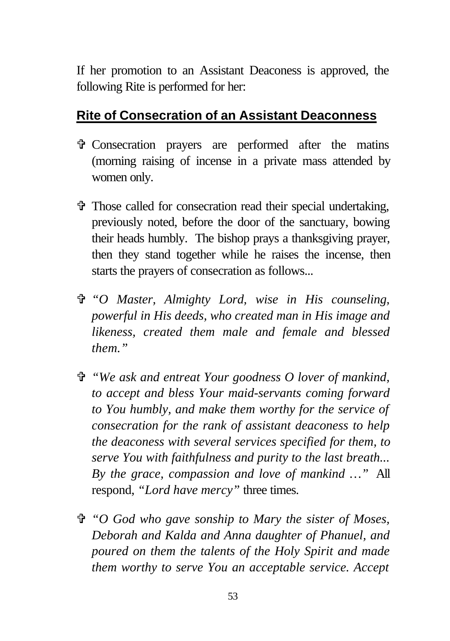If her promotion to an Assistant Deaconess is approved, the following Rite is performed for her:

#### **Rite of Consecration of an Assistant Deaconness**

- V Consecration prayers are performed after the matins (morning raising of incense in a private mass attended by women only.
- V Those called for consecration read their special undertaking, previously noted, before the door of the sanctuary, bowing their heads humbly. The bishop prays a thanksgiving prayer, then they stand together while he raises the incense, then starts the prayers of consecration as follows...
- V *"O Master, Almighty Lord, wise in His counseling, powerful in His deeds, who created man in His image and likeness, created them male and female and blessed them."*
- V *"We ask and entreat Your goodness O lover of mankind, to accept and bless Your maid-servants coming forward to You humbly, and make them worthy for the service of consecration for the rank of assistant deaconess to help the deaconess with several services specified for them, to serve You with faithfulness and purity to the last breath... By the grace, compassion and love of mankind …"* All respond, *"Lord have mercy"* three times.
- V *"O God who gave sonship to Mary the sister of Moses, Deborah and Kalda and Anna daughter of Phanuel, and poured on them the talents of the Holy Spirit and made them worthy to serve You an acceptable service. Accept*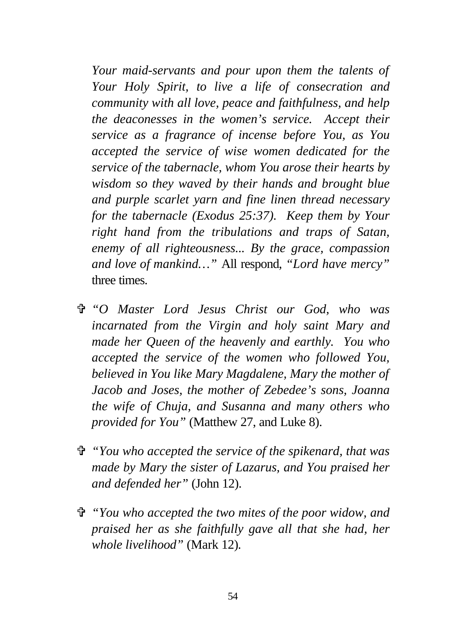*Your maid-servants and pour upon them the talents of Your Holy Spirit, to live a life of consecration and community with all love, peace and faithfulness, and help the deaconesses in the women's service. Accept their service as a fragrance of incense before You, as You accepted the service of wise women dedicated for the service of the tabernacle, whom You arose their hearts by wisdom so they waved by their hands and brought blue and purple scarlet yarn and fine linen thread necessary for the tabernacle (Exodus 25:37). Keep them by Your right hand from the tribulations and traps of Satan, enemy of all righteousness... By the grace, compassion and love of mankind…"* All respond, *"Lord have mercy"* three times.

- V *"O Master Lord Jesus Christ our God, who was incarnated from the Virgin and holy saint Mary and made her Queen of the heavenly and earthly. You who accepted the service of the women who followed You, believed in You like Mary Magdalene, Mary the mother of Jacob and Joses, the mother of Zebedee's sons, Joanna the wife of Chuja, and Susanna and many others who provided for You"* (Matthew 27, and Luke 8).
- V *"You who accepted the service of the spikenard, that was made by Mary the sister of Lazarus, and You praised her and defended her"* (John 12).
- V *"You who accepted the two mites of the poor widow, and praised her as she faithfully gave all that she had, her whole livelihood"* (Mark 12)*.*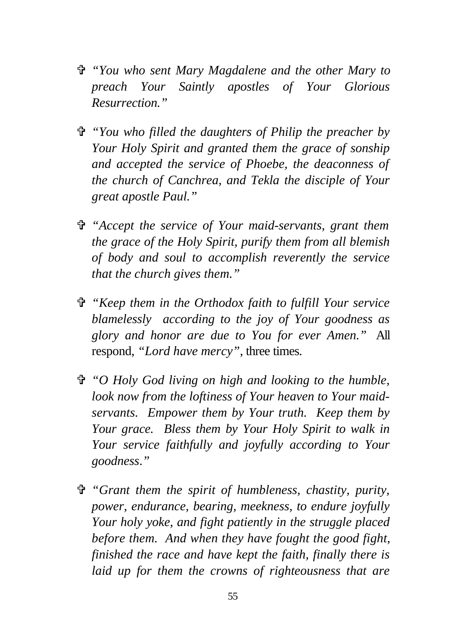- V *"You who sent Mary Magdalene and the other Mary to preach Your Saintly apostles of Your Glorious Resurrection."*
- V *"You who filled the daughters of Philip the preacher by Your Holy Spirit and granted them the grace of sonship and accepted the service of Phoebe, the deaconness of the church of Canchrea, and Tekla the disciple of Your great apostle Paul."*
- V *"Accept the service of Your maid-servants, grant them the grace of the Holy Spirit, purify them from all blemish of body and soul to accomplish reverently the service that the church gives them."*
- V *"Keep them in the Orthodox faith to fulfill Your service blamelessly according to the joy of Your goodness as glory and honor are due to You for ever Amen."* All respond, *"Lord have mercy"*, three times.
- V *"O Holy God living on high and looking to the humble, look now from the loftiness of Your heaven to Your maidservants. Empower them by Your truth. Keep them by Your grace. Bless them by Your Holy Spirit to walk in Your service faithfully and joyfully according to Your goodness*.*"*
- V *"Grant them the spirit of humbleness, chastity, purity, power, endurance, bearing, meekness, to endure joyfully Your holy yoke, and fight patiently in the struggle placed before them. And when they have fought the good fight, finished the race and have kept the faith, finally there is laid up for them the crowns of righteousness that are*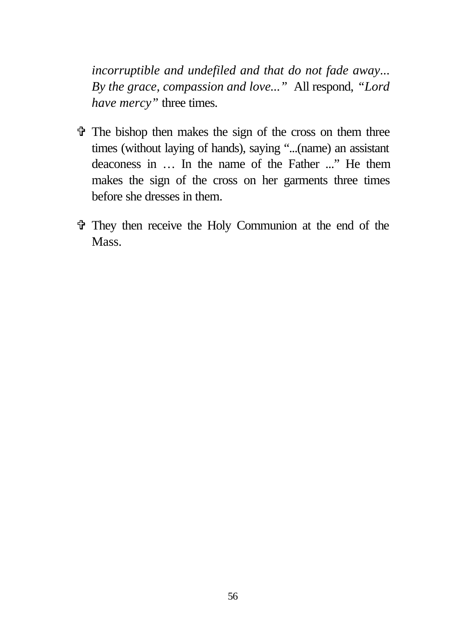*incorruptible and undefiled and that do not fade away*... *By the grace, compassion and love..."* All respond, *"Lord have mercy"* three times.

- $\hat{\mathbf{\Phi}}$  The bishop then makes the sign of the cross on them three times (without laying of hands), saying "...(name) an assistant deaconess in … In the name of the Father ..." He them makes the sign of the cross on her garments three times before she dresses in them.
- V They then receive the Holy Communion at the end of the Mass.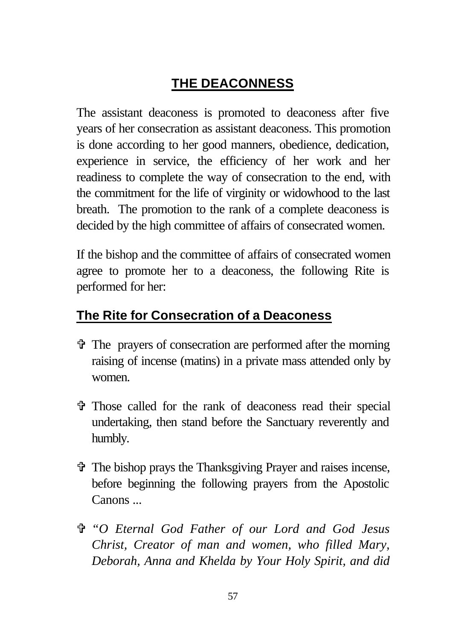# **THE DEACONNESS**

The assistant deaconess is promoted to deaconess after five years of her consecration as assistant deaconess. This promotion is done according to her good manners, obedience, dedication, experience in service, the efficiency of her work and her readiness to complete the way of consecration to the end, with the commitment for the life of virginity or widowhood to the last breath. The promotion to the rank of a complete deaconess is decided by the high committee of affairs of consecrated women.

If the bishop and the committee of affairs of consecrated women agree to promote her to a deaconess, the following Rite is performed for her:

# **The Rite for Consecration of a Deaconess**

- V The prayers of consecration are performed after the morning raising of incense (matins) in a private mass attended only by women.
- V Those called for the rank of deaconess read their special undertaking, then stand before the Sanctuary reverently and humbly.
- V The bishop prays the Thanksgiving Prayer and raises incense, before beginning the following prayers from the Apostolic Canons ...
- V *"O Eternal God Father of our Lord and God Jesus Christ, Creator of man and women, who filled Mary, Deborah, Anna and Khelda by Your Holy Spirit, and did*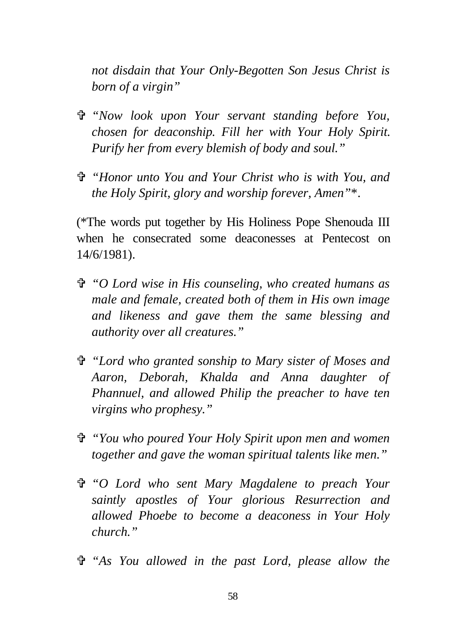*not disdain that Your Only-Begotten Son Jesus Christ is born of a virgin"*

- V *"Now look upon Your servant standing before You, chosen for deaconship. Fill her with Your Holy Spirit. Purify her from every blemish of body and soul."*
- V *"Honor unto You and Your Christ who is with You, and the Holy Spirit, glory and worship forever, Amen"*\*.

(\*The words put together by His Holiness Pope Shenouda III when he consecrated some deaconesses at Pentecost on 14/6/1981).

- V *"O Lord wise in His counseling, who created humans as male and female, created both of them in His own image and likeness and gave them the same blessing and authority over all creatures."*
- V *"Lord who granted sonship to Mary sister of Moses and Aaron, Deborah, Khalda and Anna daughter of Phannuel, and allowed Philip the preacher to have ten virgins who prophesy."*
- V *"You who poured Your Holy Spirit upon men and women together and gave the woman spiritual talents like men."*
- V *"O Lord who sent Mary Magdalene to preach Your saintly apostles of Your glorious Resurrection and allowed Phoebe to become a deaconess in Your Holy church."*
- V *"As You allowed in the past Lord, please allow the*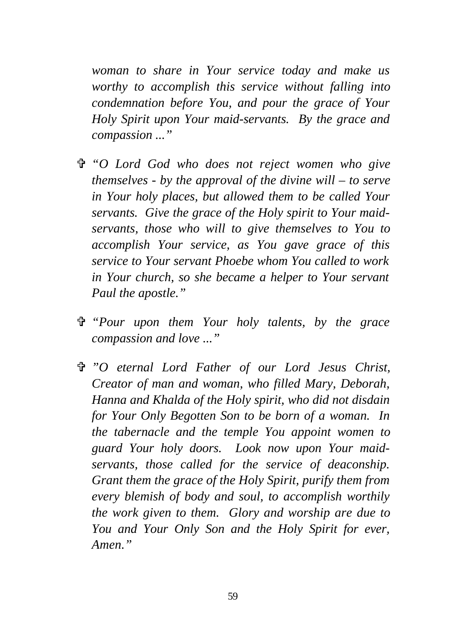*woman to share in Your service today and make us worthy to accomplish this service without falling into condemnation before You, and pour the grace of Your Holy Spirit upon Your maid-servants. By the grace and compassion ..."*

- V *"O Lord God who does not reject women who give themselves - by the approval of the divine will – to serve in Your holy places, but allowed them to be called Your servants. Give the grace of the Holy spirit to Your maidservants, those who will to give themselves to You to accomplish Your service, as You gave grace of this service to Your servant Phoebe whom You called to work in Your church, so she became a helper to Your servant Paul the apostle."*
- V *"Pour upon them Your holy talents, by the grace compassion and love ..."*
- V *"O eternal Lord Father of our Lord Jesus Christ, Creator of man and woman, who filled Mary, Deborah, Hanna and Khalda of the Holy spirit, who did not disdain for Your Only Begotten Son to be born of a woman. In the tabernacle and the temple You appoint women to guard Your holy doors. Look now upon Your maidservants, those called for the service of deaconship. Grant them the grace of the Holy Spirit, purify them from every blemish of body and soul, to accomplish worthily the work given to them. Glory and worship are due to You and Your Only Son and the Holy Spirit for ever, Amen."*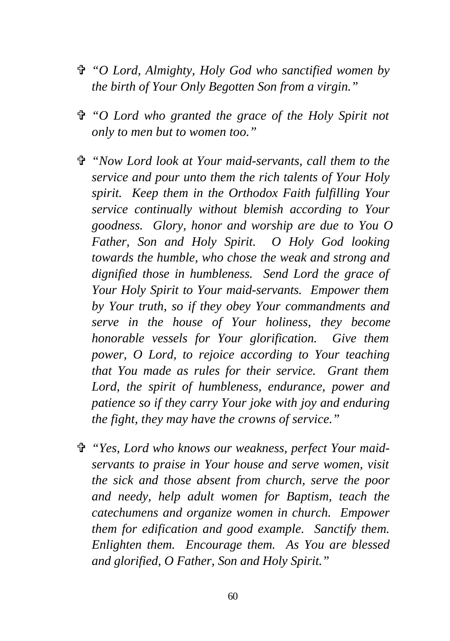- V *"O Lord, Almighty, Holy God who sanctified women by the birth of Your Only Begotten Son from a virgin."*
- V *"O Lord who granted the grace of the Holy Spirit not only to men but to women too."*
- V *"Now Lord look at Your maid-servants, call them to the service and pour unto them the rich talents of Your Holy spirit. Keep them in the Orthodox Faith fulfilling Your service continually without blemish according to Your goodness. Glory, honor and worship are due to You O Father, Son and Holy Spirit. O Holy God looking towards the humble, who chose the weak and strong and dignified those in humbleness. Send Lord the grace of Your Holy Spirit to Your maid-servants. Empower them by Your truth, so if they obey Your commandments and serve in the house of Your holiness, they become honorable vessels for Your glorification. Give them power, O Lord, to rejoice according to Your teaching that You made as rules for their service. Grant them Lord, the spirit of humbleness, endurance, power and patience so if they carry Your joke with joy and enduring the fight, they may have the crowns of service."*
- V *"Yes, Lord who knows our weakness, perfect Your maidservants to praise in Your house and serve women, visit the sick and those absent from church, serve the poor and needy, help adult women for Baptism, teach the catechumens and organize women in church. Empower them for edification and good example. Sanctify them. Enlighten them. Encourage them. As You are blessed and glorified, O Father, Son and Holy Spirit."*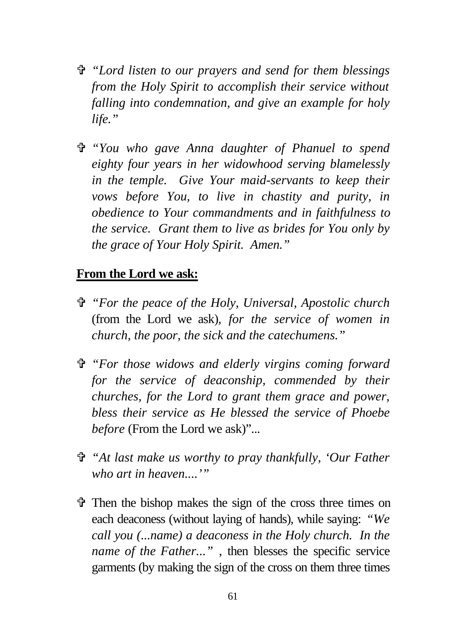- V *"Lord listen to our prayers and send for them blessings from the Holy Spirit to accomplish their service without falling into condemnation, and give an example for holy life."*
- V *"You who gave Anna daughter of Phanuel to spend eighty four years in her widowhood serving blamelessly in the temple. Give Your maid-servants to keep their vows before You, to live in chastity and purity, in obedience to Your commandments and in faithfulness to the service. Grant them to live as brides for You only by the grace of Your Holy Spirit. Amen."*

#### **From the Lord we ask:**

- V *"For the peace of the Holy, Universal, Apostolic church* (from the Lord we ask)*, for the service of women in church, the poor, the sick and the catechumens."*
- V *"For those widows and elderly virgins coming forward for the service of deaconship, commended by their churches, for the Lord to grant them grace and power, bless their service as He blessed the service of Phoebe before* (From the Lord we ask)"...
- V *"At last make us worthy to pray thankfully, 'Our Father who art in heaven....'"*
- $\hat{\mathbf{\Phi}}$  Then the bishop makes the sign of the cross three times on each deaconess (without laying of hands), while saying: *"We call you (...name) a deaconess in the Holy church. In the name of the Father...*", then blesses the specific service garments (by making the sign of the cross on them three times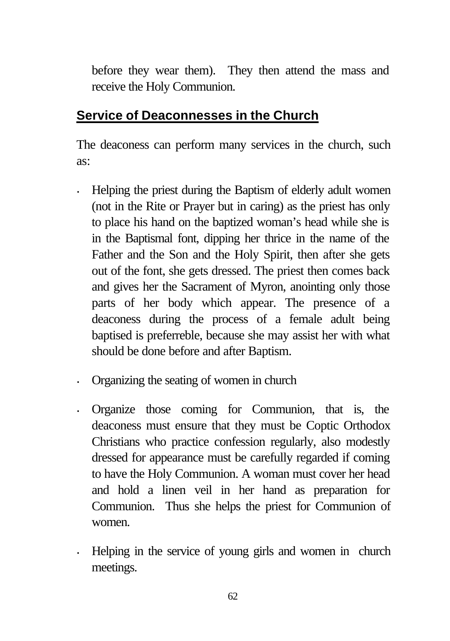before they wear them). They then attend the mass and receive the Holy Communion.

#### **Service of Deaconnesses in the Church**

The deaconess can perform many services in the church, such as:

- Helping the priest during the Baptism of elderly adult women (not in the Rite or Prayer but in caring) as the priest has only to place his hand on the baptized woman's head while she is in the Baptismal font, dipping her thrice in the name of the Father and the Son and the Holy Spirit, then after she gets out of the font, she gets dressed. The priest then comes back and gives her the Sacrament of Myron, anointing only those parts of her body which appear. The presence of a deaconess during the process of a female adult being baptised is preferreble, because she may assist her with what should be done before and after Baptism.
- Organizing the seating of women in church
- Organize those coming for Communion, that is, the deaconess must ensure that they must be Coptic Orthodox Christians who practice confession regularly, also modestly dressed for appearance must be carefully regarded if coming to have the Holy Communion. A woman must cover her head and hold a linen veil in her hand as preparation for Communion. Thus she helps the priest for Communion of women.
- Helping in the service of young girls and women in church meetings.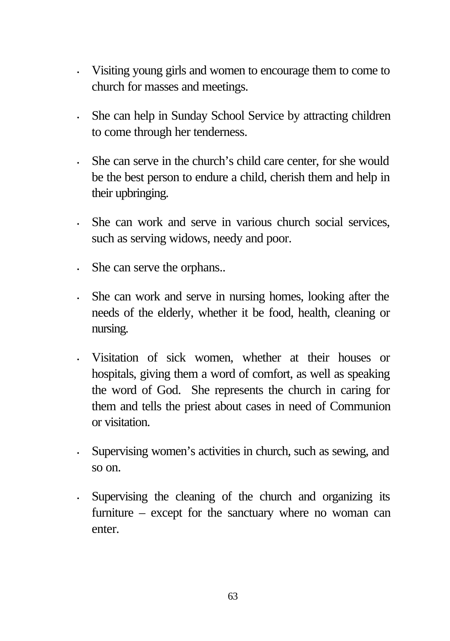- Visiting young girls and women to encourage them to come to church for masses and meetings.
- She can help in Sunday School Service by attracting children to come through her tenderness.
- She can serve in the church's child care center, for she would be the best person to endure a child, cherish them and help in their upbringing.
- She can work and serve in various church social services, such as serving widows, needy and poor.
- She can serve the orphans..
- She can work and serve in nursing homes, looking after the needs of the elderly, whether it be food, health, cleaning or nursing.
- Visitation of sick women, whether at their houses or hospitals, giving them a word of comfort, as well as speaking the word of God. She represents the church in caring for them and tells the priest about cases in need of Communion or visitation.
- Supervising women's activities in church, such as sewing, and so on.
- Supervising the cleaning of the church and organizing its furniture – except for the sanctuary where no woman can enter.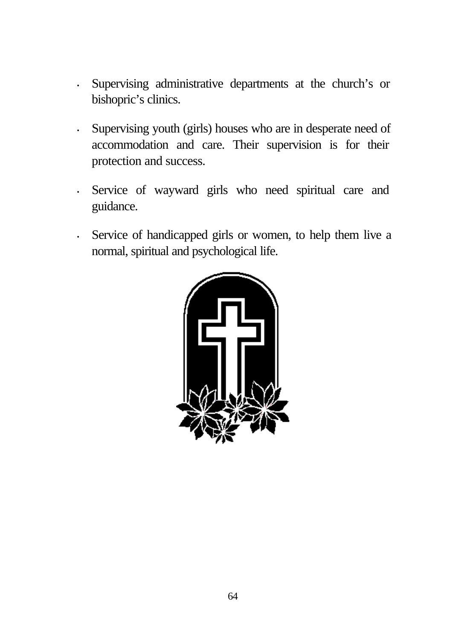- Supervising administrative departments at the church's or bishopric's clinics.
- Supervising youth (girls) houses who are in desperate need of accommodation and care. Their supervision is for their protection and success.
- Service of wayward girls who need spiritual care and guidance.
- Service of handicapped girls or women, to help them live a normal, spiritual and psychological life.

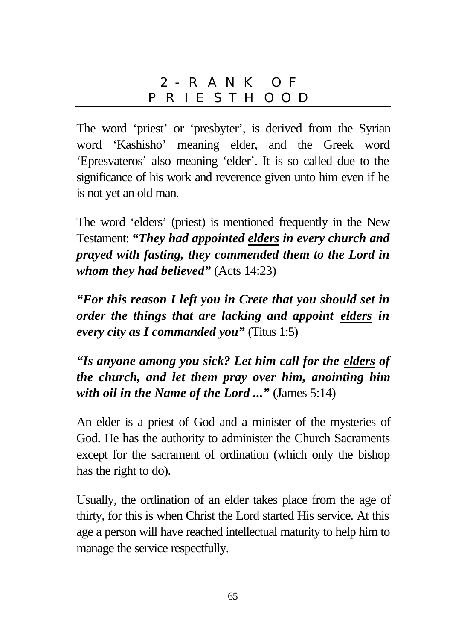## 2- RANK OF PRIESTHOOD

The word 'priest' or 'presbyter', is derived from the Syrian word 'Kashisho' meaning elder, and the Greek word 'Epresvateros' also meaning 'elder'. It is so called due to the significance of his work and reverence given unto him even if he is not yet an old man.

The word 'elders' (priest) is mentioned frequently in the New Testament: *"They had appointed elders in every church and prayed with fasting, they commended them to the Lord in whom they had believed"* (Acts 14:23)

*"For this reason I left you in Crete that you should set in order the things that are lacking and appoint elders in every city as I commanded you"* (Titus 1:5)

*"Is anyone among you sick? Let him call for the elders of the church, and let them pray over him, anointing him with oil in the Name of the Lord ..."* (James 5:14)

An elder is a priest of God and a minister of the mysteries of God. He has the authority to administer the Church Sacraments except for the sacrament of ordination (which only the bishop has the right to do).

Usually, the ordination of an elder takes place from the age of thirty, for this is when Christ the Lord started His service. At this age a person will have reached intellectual maturity to help him to manage the service respectfully.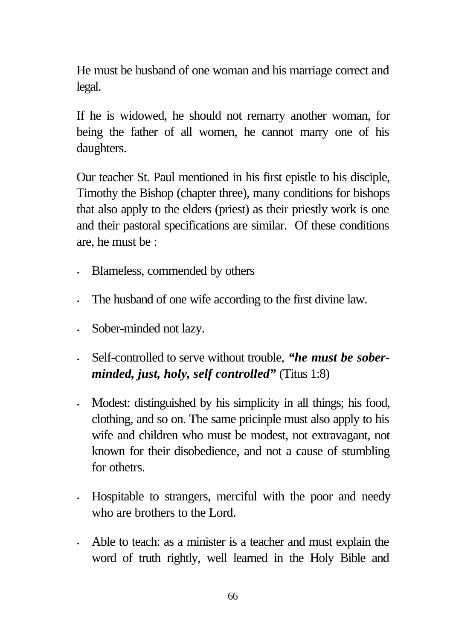He must be husband of one woman and his marriage correct and legal.

If he is widowed, he should not remarry another woman, for being the father of all women, he cannot marry one of his daughters.

Our teacher St. Paul mentioned in his first epistle to his disciple, Timothy the Bishop (chapter three), many conditions for bishops that also apply to the elders (priest) as their priestly work is one and their pastoral specifications are similar. Of these conditions are, he must be :

- Blameless, commended by others
- The husband of one wife according to the first divine law.
- Sober-minded not lazy.
- Self-controlled to serve without trouble, *"he must be soberminded, just, holy, self controlled"* (Titus 1:8)
- Modest: distinguished by his simplicity in all things; his food, clothing, and so on. The same pricinple must also apply to his wife and children who must be modest, not extravagant, not known for their disobedience, and not a cause of stumbling for othetrs.
- Hospitable to strangers, merciful with the poor and needy who are brothers to the Lord.
- Able to teach: as a minister is a teacher and must explain the word of truth rightly, well learned in the Holy Bible and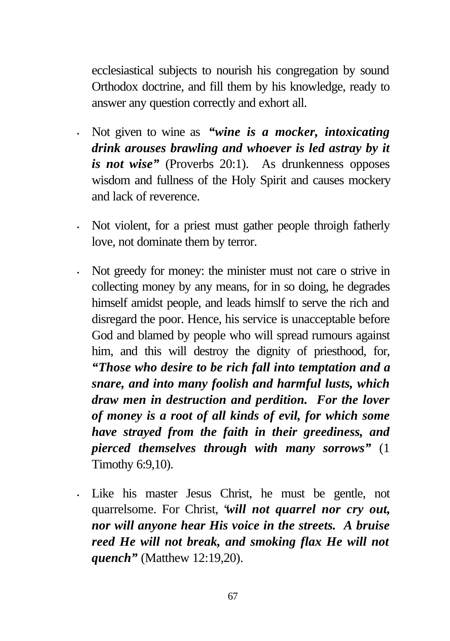ecclesiastical subjects to nourish his congregation by sound Orthodox doctrine, and fill them by his knowledge, ready to answer any question correctly and exhort all.

- Not given to wine as *"wine is a mocker, intoxicating drink arouses brawling and whoever is led astray by it is not wise"* (Proverbs 20:1).As drunkenness opposes wisdom and fullness of the Holy Spirit and causes mockery and lack of reverence.
- Not violent, for a priest must gather people throigh fatherly love, not dominate them by terror.
- Not greedy for money: the minister must not care o strive in collecting money by any means, for in so doing, he degrades himself amidst people, and leads himslf to serve the rich and disregard the poor. Hence, his service is unacceptable before God and blamed by people who will spread rumours against him, and this will destroy the dignity of priesthood, for, *"Those who desire to be rich fall into temptation and a snare, and into many foolish and harmful lusts, which draw men in destruction and perdition. For the lover of money is a root of all kinds of evil, for which some have strayed from the faith in their greediness, and pierced themselves through with many sorrows"* (1 Timothy 6:9,10).
- Like his master Jesus Christ, he must be gentle, not quarrelsome. For Christ, "*will not quarrel nor cry out, nor will anyone hear His voice in the streets. A bruise reed He will not break, and smoking flax He will not quench"* (Matthew 12:19,20).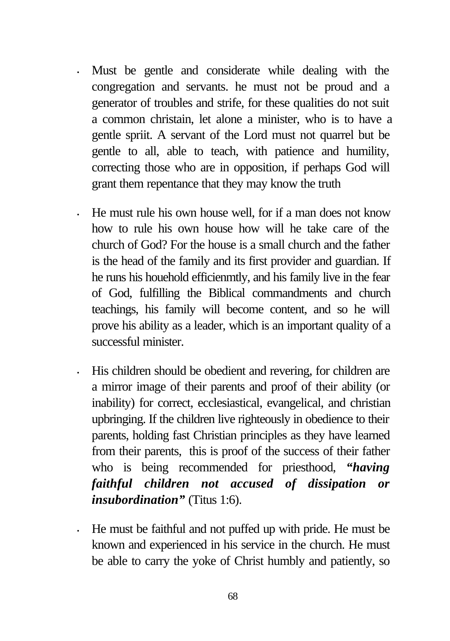- Must be gentle and considerate while dealing with the congregation and servants. he must not be proud and a generator of troubles and strife, for these qualities do not suit a common christain, let alone a minister, who is to have a gentle spriit. A servant of the Lord must not quarrel but be gentle to all, able to teach, with patience and humility, correcting those who are in opposition, if perhaps God will grant them repentance that they may know the truth
- He must rule his own house well, for if a man does not know how to rule his own house how will he take care of the church of God? For the house is a small church and the father is the head of the family and its first provider and guardian. If he runs his houehold efficienmtly, and his family live in the fear of God, fulfilling the Biblical commandments and church teachings, his family will become content, and so he will prove his ability as a leader, which is an important quality of a successful minister.
- His children should be obedient and revering, for children are a mirror image of their parents and proof of their ability (or inability) for correct, ecclesiastical, evangelical, and christian upbringing. If the children live righteously in obedience to their parents, holding fast Christian principles as they have learned from their parents, this is proof of the success of their father who is being recommended for priesthood, *"having faithful children not accused of dissipation or insubordination"* (Titus 1:6).
- He must be faithful and not puffed up with pride. He must be known and experienced in his service in the church. He must be able to carry the yoke of Christ humbly and patiently, so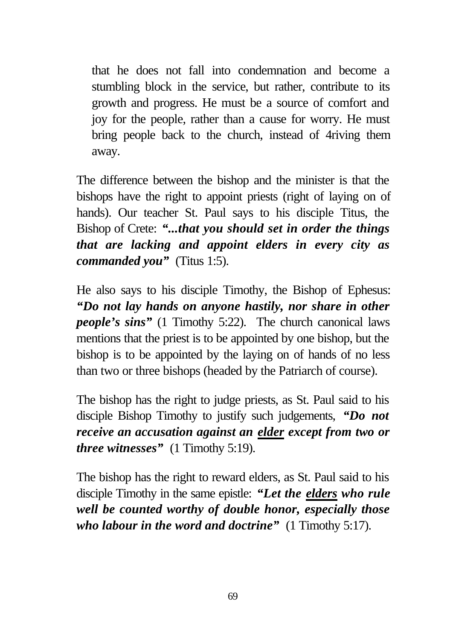that he does not fall into condemnation and become a stumbling block in the service, but rather, contribute to its growth and progress. He must be a source of comfort and joy for the people, rather than a cause for worry. He must bring people back to the church, instead of 4riving them away.

The difference between the bishop and the minister is that the bishops have the right to appoint priests (right of laying on of hands). Our teacher St. Paul says to his disciple Titus, the Bishop of Crete: *"...that you should set in order the things that are lacking and appoint elders in every city as commanded you"* (Titus 1:5).

He also says to his disciple Timothy, the Bishop of Ephesus: *"Do not lay hands on anyone hastily, nor share in other people's sins"* (1 Timothy 5:22). The church canonical laws mentions that the priest is to be appointed by one bishop, but the bishop is to be appointed by the laying on of hands of no less than two or three bishops (headed by the Patriarch of course).

The bishop has the right to judge priests, as St. Paul said to his disciple Bishop Timothy to justify such judgements, *"Do not receive an accusation against an elder except from two or three witnesses"* (1 Timothy 5:19).

The bishop has the right to reward elders, as St. Paul said to his disciple Timothy in the same epistle: *"Let the elders who rule well be counted worthy of double honor, especially those who labour in the word and doctrine"* (1 Timothy 5:17).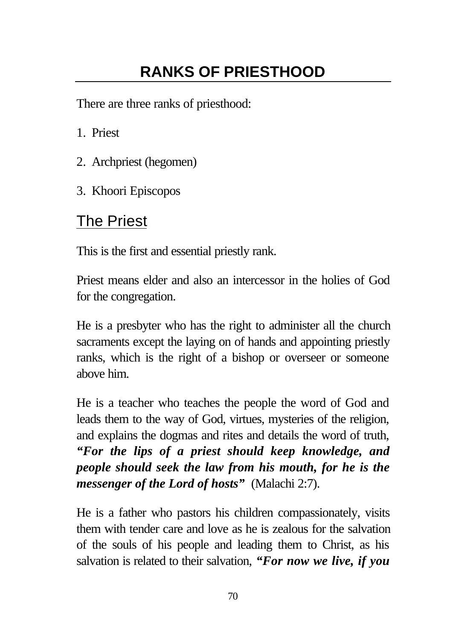# **RANKS OF PRIESTHOOD**

There are three ranks of priesthood:

- 1. Priest
- 2. Archpriest (hegomen)
- 3. Khoori Episcopos

# The Priest

This is the first and essential priestly rank.

Priest means elder and also an intercessor in the holies of God for the congregation.

He is a presbyter who has the right to administer all the church sacraments except the laying on of hands and appointing priestly ranks, which is the right of a bishop or overseer or someone above him.

He is a teacher who teaches the people the word of God and leads them to the way of God, virtues, mysteries of the religion, and explains the dogmas and rites and details the word of truth, *"For the lips of a priest should keep knowledge, and people should seek the law from his mouth, for he is the messenger of the Lord of hosts"* (Malachi 2:7).

He is a father who pastors his children compassionately, visits them with tender care and love as he is zealous for the salvation of the souls of his people and leading them to Christ, as his salvation is related to their salvation, *"For now we live, if you*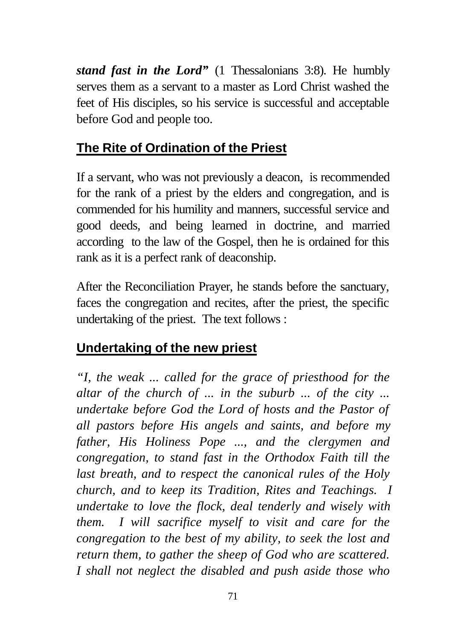*stand fast in the Lord"* (1 Thessalonians 3:8). He humbly serves them as a servant to a master as Lord Christ washed the feet of His disciples, so his service is successful and acceptable before God and people too.

# **The Rite of Ordination of the Priest**

If a servant, who was not previously a deacon, is recommended for the rank of a priest by the elders and congregation, and is commended for his humility and manners, successful service and good deeds, and being learned in doctrine, and married according to the law of the Gospel, then he is ordained for this rank as it is a perfect rank of deaconship.

After the Reconciliation Prayer, he stands before the sanctuary, faces the congregation and recites, after the priest, the specific undertaking of the priest. The text follows :

# **Undertaking of the new priest**

*"I, the weak ... called for the grace of priesthood for the altar of the church of ... in the suburb ... of the city ... undertake before God the Lord of hosts and the Pastor of all pastors before His angels and saints, and before my father, His Holiness Pope ..., and the clergymen and congregation, to stand fast in the Orthodox Faith till the last breath, and to respect the canonical rules of the Holy church, and to keep its Tradition, Rites and Teachings. I undertake to love the flock, deal tenderly and wisely with them. I will sacrifice myself to visit and care for the congregation to the best of my ability, to seek the lost and return them, to gather the sheep of God who are scattered. I shall not neglect the disabled and push aside those who*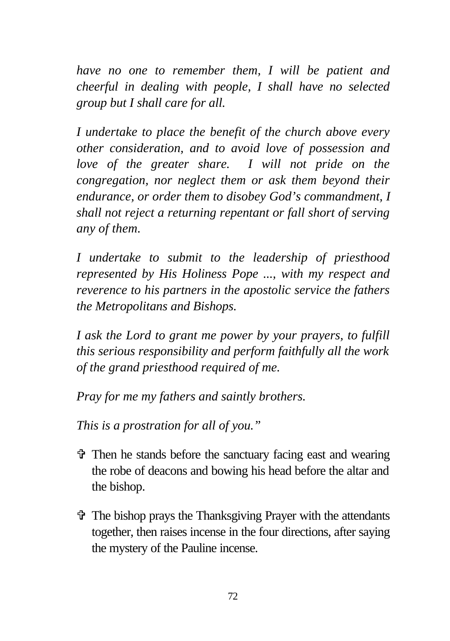*have no one to remember them, I will be patient and cheerful in dealing with people, I shall have no selected group but I shall care for all.*

*I undertake to place the benefit of the church above every other consideration, and to avoid love of possession and love of the greater share. I will not pride on the congregation, nor neglect them or ask them beyond their endurance, or order them to disobey God's commandment, I shall not reject a returning repentant or fall short of serving any of them.*

*I undertake to submit to the leadership of priesthood represented by His Holiness Pope ..., with my respect and reverence to his partners in the apostolic service the fathers the Metropolitans and Bishops.*

*I ask the Lord to grant me power by your prayers, to fulfill this serious responsibility and perform faithfully all the work of the grand priesthood required of me.*

*Pray for me my fathers and saintly brothers.*

*This is a prostration for all of you."*

- $\hat{\mathbf{\Phi}}$  Then he stands before the sanctuary facing east and wearing the robe of deacons and bowing his head before the altar and the bishop.
- $\hat{\mathbf{v}}$  The bishop prays the Thanksgiving Prayer with the attendants together, then raises incense in the four directions, after saying the mystery of the Pauline incense.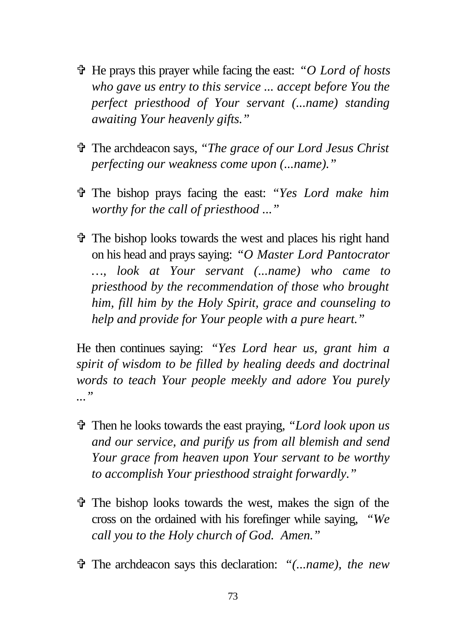- V He prays this prayer while facing the east: *"O Lord of hosts who gave us entry to this service ... accept before You the perfect priesthood of Your servant (...name) standing awaiting Your heavenly gifts."*
- V The archdeacon says, *"The grace of our Lord Jesus Christ perfecting our weakness come upon (...name)."*
- V The bishop prays facing the east: *"Yes Lord make him worthy for the call of priesthood ..."*
- $\hat{\mathbf{\Phi}}$  The bishop looks towards the west and places his right hand on his head and prays saying: *"O Master Lord Pantocrator …, look at Your servant (...name) who came to priesthood by the recommendation of those who brought him, fill him by the Holy Spirit, grace and counseling to help and provide for Your people with a pure heart."*

He then continues saying: *"Yes Lord hear us, grant him a spirit of wisdom to be filled by healing deeds and doctrinal words to teach Your people meekly and adore You purely ..."*

- V Then he looks towards the east praying, *"Lord look upon us and our service, and purify us from all blemish and send Your grace from heaven upon Your servant to be worthy to accomplish Your priesthood straight forwardly."*
- $\hat{\mathbf{\Phi}}$  The bishop looks towards the west, makes the sign of the cross on the ordained with his forefinger while saying, *"We call you to the Holy church of God. Amen."*
- V The archdeacon says this declaration: *"(...name), the new*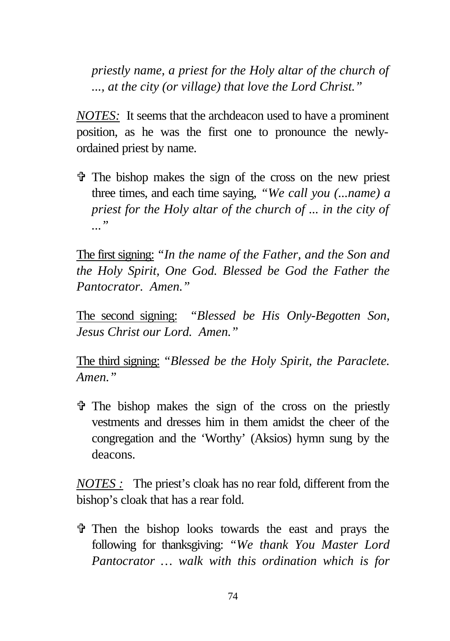*priestly name, a priest for the Holy altar of the church of ..., at the city (or village) that love the Lord Christ."*

*NOTES:* It seems that the archdeacon used to have a prominent position, as he was the first one to pronounce the newlyordained priest by name.

 $\hat{\tau}$  The bishop makes the sign of the cross on the new priest three times, and each time saying, *"We call you (...name) a priest for the Holy altar of the church of ... in the city of ..."*

The first signing: *"In the name of the Father, and the Son and the Holy Spirit, One God. Blessed be God the Father the Pantocrator. Amen."*

The second signing: *"Blessed be His Only-Begotten Son, Jesus Christ our Lord. Amen."*

The third signing: *"Blessed be the Holy Spirit, the Paraclete. Amen."*

 $\hat{\tau}$  The bishop makes the sign of the cross on the priestly vestments and dresses him in them amidst the cheer of the congregation and the 'Worthy' (Aksios) hymn sung by the deacons.

*NOTES :* The priest's cloak has no rear fold, different from the bishop's cloak that has a rear fold.

 $\hat{\tau}$  Then the bishop looks towards the east and prays the following for thanksgiving: *"We thank You Master Lord Pantocrator … walk with this ordination which is for*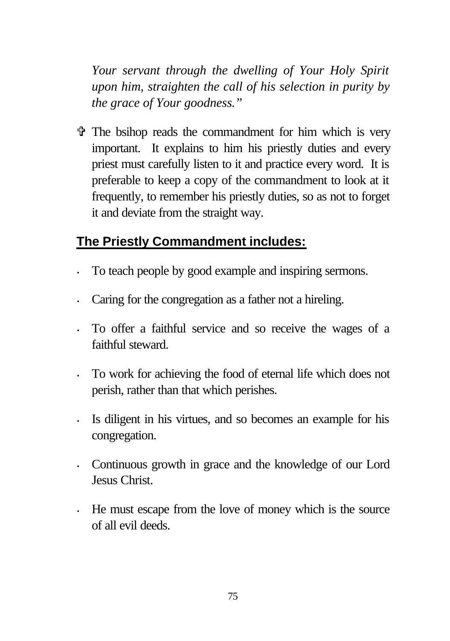*Your servant through the dwelling of Your Holy Spirit upon him, straighten the call of his selection in purity by the grace of Your goodness."*

 $\hat{\mathbf{v}}$  The bsihop reads the commandment for him which is very important. It explains to him his priestly duties and every priest must carefully listen to it and practice every word. It is preferable to keep a copy of the commandment to look at it frequently, to remember his priestly duties, so as not to forget it and deviate from the straight way.

# **The Priestly Commandment includes:**

- To teach people by good example and inspiring sermons.
- Caring for the congregation as a father not a hireling.
- To offer a faithful service and so receive the wages of a faithful steward.
- To work for achieving the food of eternal life which does not perish, rather than that which perishes.
- Is diligent in his virtues, and so becomes an example for his congregation.
- Continuous growth in grace and the knowledge of our Lord Jesus Christ.
- He must escape from the love of money which is the source of all evil deeds.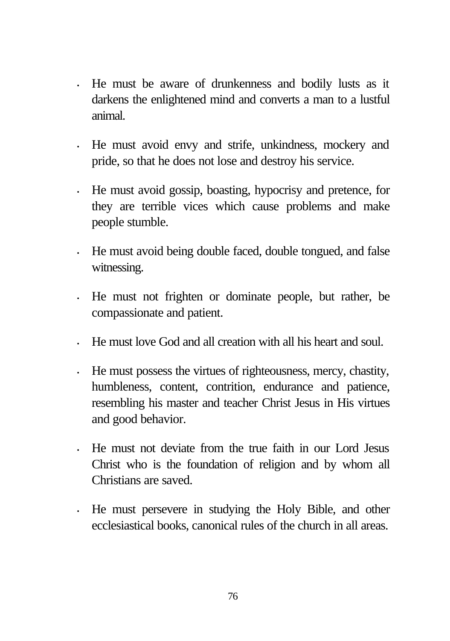- He must be aware of drunkenness and bodily lusts as it darkens the enlightened mind and converts a man to a lustful animal.
- He must avoid envy and strife, unkindness, mockery and pride, so that he does not lose and destroy his service.
- He must avoid gossip, boasting, hypocrisy and pretence, for they are terrible vices which cause problems and make people stumble.
- He must avoid being double faced, double tongued, and false witnessing.
- He must not frighten or dominate people, but rather, be compassionate and patient.
- He must love God and all creation with all his heart and soul.
- He must possess the virtues of righteousness, mercy, chastity, humbleness, content, contrition, endurance and patience, resembling his master and teacher Christ Jesus in His virtues and good behavior.
- He must not deviate from the true faith in our Lord Jesus Christ who is the foundation of religion and by whom all Christians are saved.
- He must persevere in studying the Holy Bible, and other ecclesiastical books, canonical rules of the church in all areas.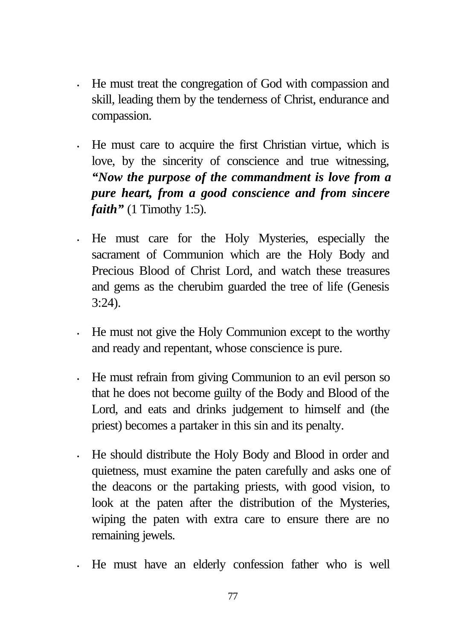- He must treat the congregation of God with compassion and skill, leading them by the tenderness of Christ, endurance and compassion.
- He must care to acquire the first Christian virtue, which is love, by the sincerity of conscience and true witnessing, *"Now the purpose of the commandment is love from a pure heart, from a good conscience and from sincere faith"* (1 Timothy 1:5).
- He must care for the Holy Mysteries, especially the sacrament of Communion which are the Holy Body and Precious Blood of Christ Lord, and watch these treasures and gems as the cherubim guarded the tree of life (Genesis 3:24).
- He must not give the Holy Communion except to the worthy and ready and repentant, whose conscience is pure.
- He must refrain from giving Communion to an evil person so that he does not become guilty of the Body and Blood of the Lord, and eats and drinks judgement to himself and (the priest) becomes a partaker in this sin and its penalty.
- He should distribute the Holy Body and Blood in order and quietness, must examine the paten carefully and asks one of the deacons or the partaking priests, with good vision, to look at the paten after the distribution of the Mysteries, wiping the paten with extra care to ensure there are no remaining jewels.
- He must have an elderly confession father who is well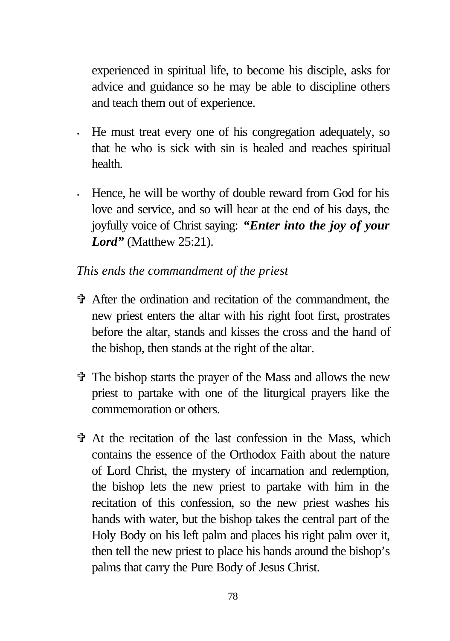experienced in spiritual life, to become his disciple, asks for advice and guidance so he may be able to discipline others and teach them out of experience.

- He must treat every one of his congregation adequately, so that he who is sick with sin is healed and reaches spiritual health.
- Hence, he will be worthy of double reward from God for his love and service, and so will hear at the end of his days, the joyfully voice of Christ saying: *"Enter into the joy of your Lord*" (Matthew 25:21).

#### *This ends the commandment of the priest*

- V After the ordination and recitation of the commandment, the new priest enters the altar with his right foot first, prostrates before the altar, stands and kisses the cross and the hand of the bishop, then stands at the right of the altar.
- V The bishop starts the prayer of the Mass and allows the new priest to partake with one of the liturgical prayers like the commemoration or others.
- V At the recitation of the last confession in the Mass, which contains the essence of the Orthodox Faith about the nature of Lord Christ, the mystery of incarnation and redemption, the bishop lets the new priest to partake with him in the recitation of this confession, so the new priest washes his hands with water, but the bishop takes the central part of the Holy Body on his left palm and places his right palm over it, then tell the new priest to place his hands around the bishop's palms that carry the Pure Body of Jesus Christ.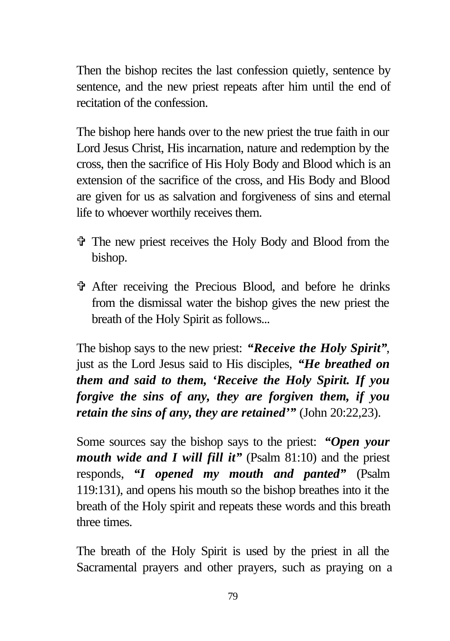Then the bishop recites the last confession quietly, sentence by sentence, and the new priest repeats after him until the end of recitation of the confession.

The bishop here hands over to the new priest the true faith in our Lord Jesus Christ, His incarnation, nature and redemption by the cross, then the sacrifice of His Holy Body and Blood which is an extension of the sacrifice of the cross, and His Body and Blood are given for us as salvation and forgiveness of sins and eternal life to whoever worthily receives them.

- V The new priest receives the Holy Body and Blood from the bishop.
- V After receiving the Precious Blood, and before he drinks from the dismissal water the bishop gives the new priest the breath of the Holy Spirit as follows...

The bishop says to the new priest: *"Receive the Holy Spirit"*, just as the Lord Jesus said to His disciples, *"He breathed on them and said to them, 'Receive the Holy Spirit. If you forgive the sins of any, they are forgiven them, if you retain the sins of any, they are retained'"* (John 20:22,23).

Some sources say the bishop says to the priest: *"Open your mouth wide and I will fill it*" (Psalm 81:10) and the priest responds, *"I opened my mouth and panted"* (Psalm 119:131), and opens his mouth so the bishop breathes into it the breath of the Holy spirit and repeats these words and this breath three times.

The breath of the Holy Spirit is used by the priest in all the Sacramental prayers and other prayers, such as praying on a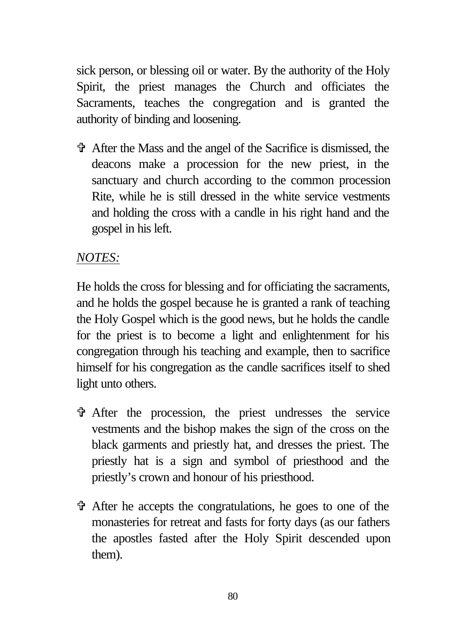sick person, or blessing oil or water. By the authority of the Holy Spirit, the priest manages the Church and officiates the Sacraments, teaches the congregation and is granted the authority of binding and loosening.

V After the Mass and the angel of the Sacrifice is dismissed, the deacons make a procession for the new priest, in the sanctuary and church according to the common procession Rite, while he is still dressed in the white service vestments and holding the cross with a candle in his right hand and the gospel in his left.

#### *NOTES:*

He holds the cross for blessing and for officiating the sacraments, and he holds the gospel because he is granted a rank of teaching the Holy Gospel which is the good news, but he holds the candle for the priest is to become a light and enlightenment for his congregation through his teaching and example, then to sacrifice himself for his congregation as the candle sacrifices itself to shed light unto others.

- V After the procession, the priest undresses the service vestments and the bishop makes the sign of the cross on the black garments and priestly hat, and dresses the priest. The priestly hat is a sign and symbol of priesthood and the priestly's crown and honour of his priesthood.
- V After he accepts the congratulations, he goes to one of the monasteries for retreat and fasts for forty days (as our fathers the apostles fasted after the Holy Spirit descended upon them).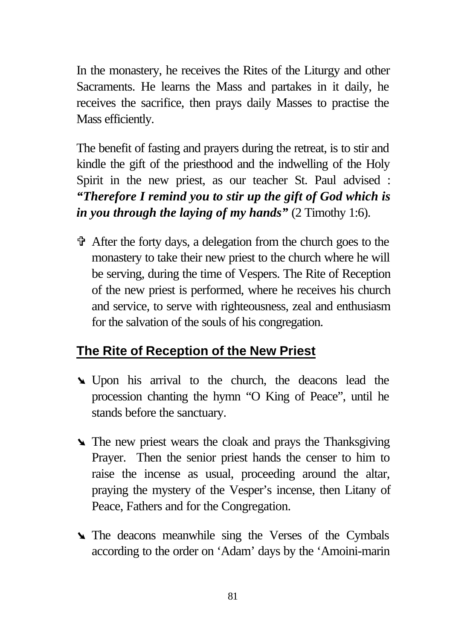In the monastery, he receives the Rites of the Liturgy and other Sacraments. He learns the Mass and partakes in it daily, he receives the sacrifice, then prays daily Masses to practise the Mass efficiently.

The benefit of fasting and prayers during the retreat, is to stir and kindle the gift of the priesthood and the indwelling of the Holy Spirit in the new priest, as our teacher St. Paul advised : *"Therefore I remind you to stir up the gift of God which is in you through the laying of my hands"* (2 Timothy 1:6).

 $\hat{\mathbf{\Phi}}$  After the forty days, a delegation from the church goes to the monastery to take their new priest to the church where he will be serving, during the time of Vespers. The Rite of Reception of the new priest is performed, where he receives his church and service, to serve with righteousness, zeal and enthusiasm for the salvation of the souls of his congregation.

# **The Rite of Reception of the New Priest**

- ÿ Upon his arrival to the church, the deacons lead the procession chanting the hymn "O King of Peace", until he stands before the sanctuary.
- $\blacktriangle$  The new priest wears the cloak and prays the Thanksgiving Prayer. Then the senior priest hands the censer to him to raise the incense as usual, proceeding around the altar, praying the mystery of the Vesper's incense, then Litany of Peace, Fathers and for the Congregation.
- **The deacons meanwhile sing the Verses of the Cymbals** according to the order on 'Adam' days by the 'Amoini-marin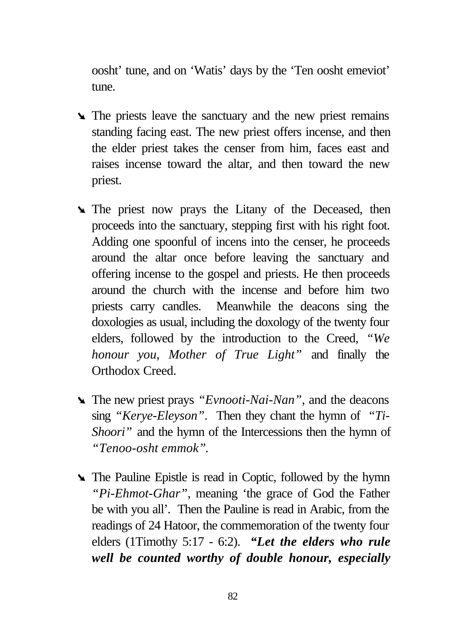oosht' tune, and on 'Watis' days by the 'Ten oosht emeviot' tune.

- **►** The priests leave the sanctuary and the new priest remains standing facing east. The new priest offers incense, and then the elder priest takes the censer from him, faces east and raises incense toward the altar, and then toward the new priest.
- In The priest now prays the Litany of the Deceased, then proceeds into the sanctuary, stepping first with his right foot. Adding one spoonful of incens into the censer, he proceeds around the altar once before leaving the sanctuary and offering incense to the gospel and priests. He then proceeds around the church with the incense and before him two priests carry candles. Meanwhile the deacons sing the doxologies as usual, including the doxology of the twenty four elders, followed by the introduction to the Creed, *"We honour you, Mother of True Light"* and finally the Orthodox Creed.
- ÿ The new priest prays *"Evnooti-Nai-Nan"*, and the deacons sing *"Kerye-Eleyson"*. Then they chant the hymn of *"Ti-Shoori*" and the hymn of the Intercessions then the hymn of *"Tenoo-osht emmok"*.
- **►** The Pauline Epistle is read in Coptic, followed by the hymn *"Pi-Ehmot-Ghar"*, meaning 'the grace of God the Father be with you all'. Then the Pauline is read in Arabic, from the readings of 24 Hatoor, the commemoration of the twenty four elders (1Timothy 5:17 - 6:2). *"Let the elders who rule well be counted worthy of double honour, especially*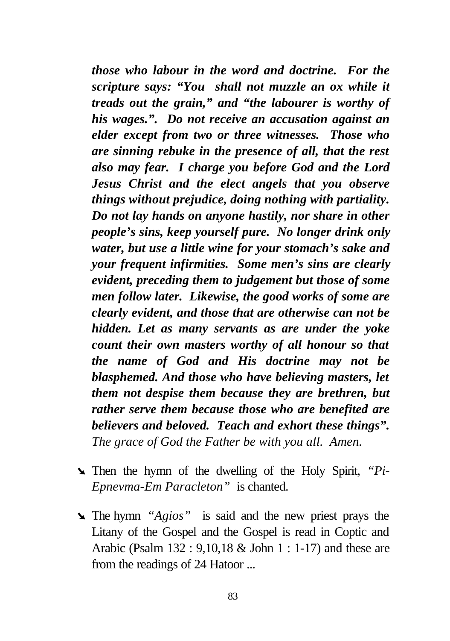*those who labour in the word and doctrine. For the scripture says: "You shall not muzzle an ox while it treads out the grain," and "the labourer is worthy of his wages.". Do not receive an accusation against an elder except from two or three witnesses. Those who are sinning rebuke in the presence of all, that the rest also may fear. I charge you before God and the Lord Jesus Christ and the elect angels that you observe things without prejudice, doing nothing with partiality. Do not lay hands on anyone hastily, nor share in other people's sins, keep yourself pure. No longer drink only water, but use a little wine for your stomach's sake and your frequent infirmities. Some men's sins are clearly evident, preceding them to judgement but those of some men follow later. Likewise, the good works of some are clearly evident, and those that are otherwise can not be hidden. Let as many servants as are under the yoke count their own masters worthy of all honour so that the name of God and His doctrine may not be blasphemed. And those who have believing masters, let them not despise them because they are brethren, but rather serve them because those who are benefited are believers and beloved. Teach and exhort these things". The grace of God the Father be with you all. Amen.*

- ÿ Then the hymn of the dwelling of the Holy Spirit, *"Pi-Epnevma-Em Paracleton"* is chanted.
- ÿ The hymn *"Agios"* is said and the new priest prays the Litany of the Gospel and the Gospel is read in Coptic and Arabic (Psalm 132 : 9,10,18 & John 1 : 1-17) and these are from the readings of 24 Hatoor ...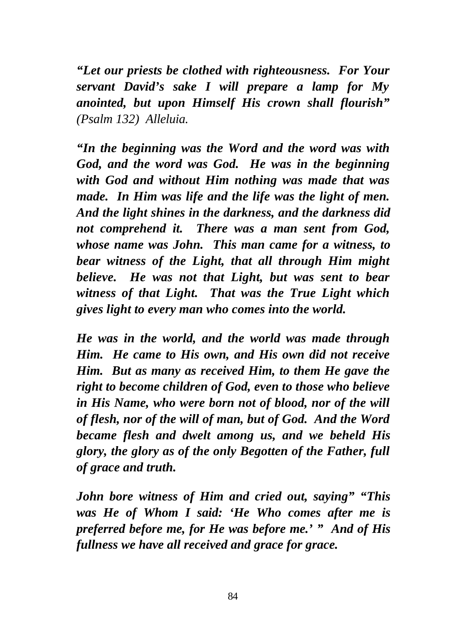*"Let our priests be clothed with righteousness. For Your servant David's sake I will prepare a lamp for My anointed, but upon Himself His crown shall flourish" (Psalm 132) Alleluia.*

*"In the beginning was the Word and the word was with God, and the word was God. He was in the beginning with God and without Him nothing was made that was made. In Him was life and the life was the light of men. And the light shines in the darkness, and the darkness did not comprehend it. There was a man sent from God, whose name was John. This man came for a witness, to bear witness of the Light, that all through Him might believe. He was not that Light, but was sent to bear witness of that Light. That was the True Light which gives light to every man who comes into the world.*

*He was in the world, and the world was made through Him. He came to His own, and His own did not receive Him. But as many as received Him, to them He gave the right to become children of God, even to those who believe in His Name, who were born not of blood, nor of the will of flesh, nor of the will of man, but of God. And the Word became flesh and dwelt among us, and we beheld His glory, the glory as of the only Begotten of the Father, full of grace and truth.*

*John bore witness of Him and cried out, saying" "This was He of Whom I said: 'He Who comes after me is preferred before me, for He was before me.' " And of His fullness we have all received and grace for grace.*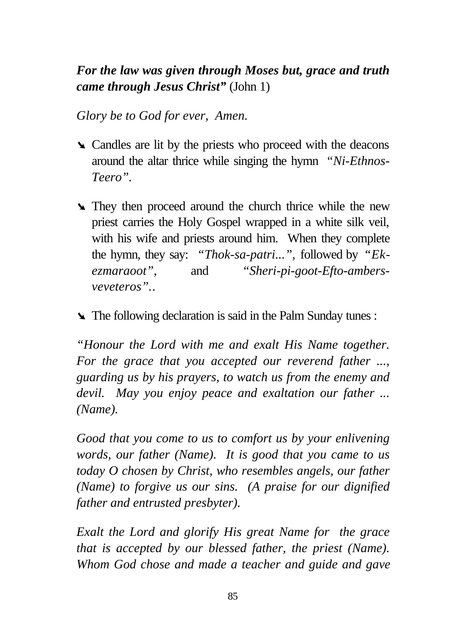# *For the law was given through Moses but, grace and truth came through Jesus Christ"* (John 1)

*Glory be to God for ever, Amen.*

- **►** Candles are lit by the priests who proceed with the deacons around the altar thrice while singing the hymn *"Ni-Ethnos-Teero".*
- **►** They then proceed around the church thrice while the new priest carries the Holy Gospel wrapped in a white silk veil, with his wife and priests around him. When they complete the hymn, they say: *"Thok-sa-patri...",* followed by *"Ekezmaraoot",* and *"Sheri-pi-goot-Efto-ambersveveteros".*.
- ÿ The following declaration is said in the Palm Sunday tunes :

*"Honour the Lord with me and exalt His Name together. For the grace that you accepted our reverend father ..., guarding us by his prayers, to watch us from the enemy and devil. May you enjoy peace and exaltation our father ... (Name).*

*Good that you come to us to comfort us by your enlivening words, our father (Name). It is good that you came to us today O chosen by Christ, who resembles angels, our father (Name) to forgive us our sins. (A praise for our dignified father and entrusted presbyter).*

*Exalt the Lord and glorify His great Name for the grace that is accepted by our blessed father, the priest (Name). Whom God chose and made a teacher and guide and gave*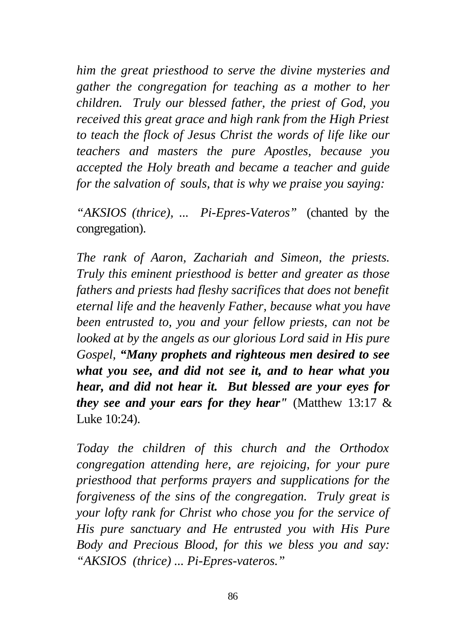*him the great priesthood to serve the divine mysteries and gather the congregation for teaching as a mother to her children. Truly our blessed father, the priest of God, you received this great grace and high rank from the High Priest to teach the flock of Jesus Christ the words of life like our teachers and masters the pure Apostles, because you accepted the Holy breath and became a teacher and guide for the salvation of souls, that is why we praise you saying:*

*"AKSIOS (thrice), ... Pi-Epres-Vateros"* (chanted by the congregation).

*The rank of Aaron, Zachariah and Simeon, the priests. Truly this eminent priesthood is better and greater as those fathers and priests had fleshy sacrifices that does not benefit eternal life and the heavenly Father, because what you have been entrusted to, you and your fellow priests, can not be looked at by the angels as our glorious Lord said in His pure Gospel, "Many prophets and righteous men desired to see what you see, and did not see it, and to hear what you hear, and did not hear it. But blessed are your eyes for they see and your ears for they hear"* (Matthew 13:17 & Luke 10:24).

*Today the children of this church and the Orthodox congregation attending here, are rejoicing, for your pure priesthood that performs prayers and supplications for the forgiveness of the sins of the congregation. Truly great is your lofty rank for Christ who chose you for the service of His pure sanctuary and He entrusted you with His Pure Body and Precious Blood, for this we bless you and say: "AKSIOS (thrice) ... Pi-Epres-vateros."*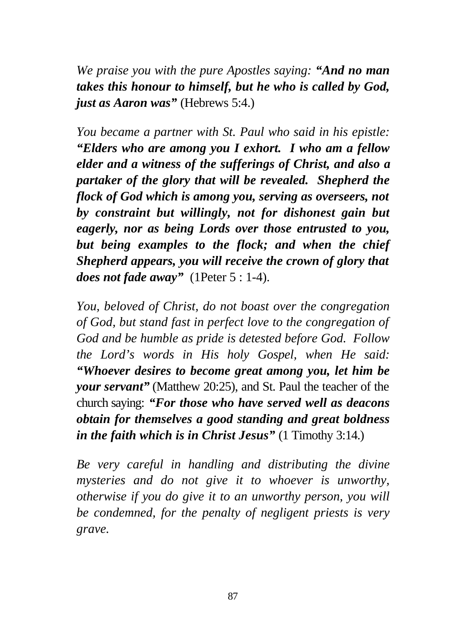*We praise you with the pure Apostles saying: "And no man takes this honour to himself, but he who is called by God, just as Aaron was"* (Hebrews 5:4.)

*You became a partner with St. Paul who said in his epistle: "Elders who are among you I exhort. I who am a fellow elder and a witness of the sufferings of Christ, and also a partaker of the glory that will be revealed. Shepherd the flock of God which is among you, serving as overseers, not by constraint but willingly, not for dishonest gain but eagerly, nor as being Lords over those entrusted to you, but being examples to the flock; and when the chief Shepherd appears, you will receive the crown of glory that does not fade away"* (1Peter 5 : 1-4).

*You, beloved of Christ, do not boast over the congregation of God, but stand fast in perfect love to the congregation of God and be humble as pride is detested before God. Follow the Lord's words in His holy Gospel, when He said: "Whoever desires to become great among you, let him be your servant"* (Matthew 20:25), and St. Paul the teacher of the church saying: *"For those who have served well as deacons obtain for themselves a good standing and great boldness in the faith which is in Christ Jesus"* (1 Timothy 3:14.)

*Be very careful in handling and distributing the divine mysteries and do not give it to whoever is unworthy, otherwise if you do give it to an unworthy person, you will be condemned, for the penalty of negligent priests is very grave.*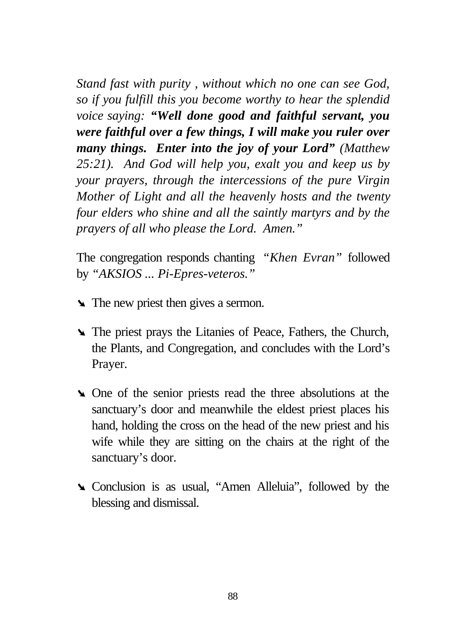*Stand fast with purity , without which no one can see God, so if you fulfill this you become worthy to hear the splendid voice saying: "Well done good and faithful servant, you were faithful over a few things, I will make you ruler over many things. Enter into the joy of your Lord" (Matthew 25:21). And God will help you, exalt you and keep us by your prayers, through the intercessions of the pure Virgin Mother of Light and all the heavenly hosts and the twenty four elders who shine and all the saintly martyrs and by the prayers of all who please the Lord. Amen."*

The congregation responds chanting *"Khen Evran"* followed by *"AKSIOS ... Pi-Epres-veteros."*

- ÿ The new priest then gives a sermon.
- ÿ The priest prays the Litanies of Peace, Fathers, the Church, the Plants, and Congregation, and concludes with the Lord's Prayer.
- ÿ One of the senior priests read the three absolutions at the sanctuary's door and meanwhile the eldest priest places his hand, holding the cross on the head of the new priest and his wife while they are sitting on the chairs at the right of the sanctuary's door.
- ÿ Conclusion is as usual, "Amen Alleluia", followed by the blessing and dismissal.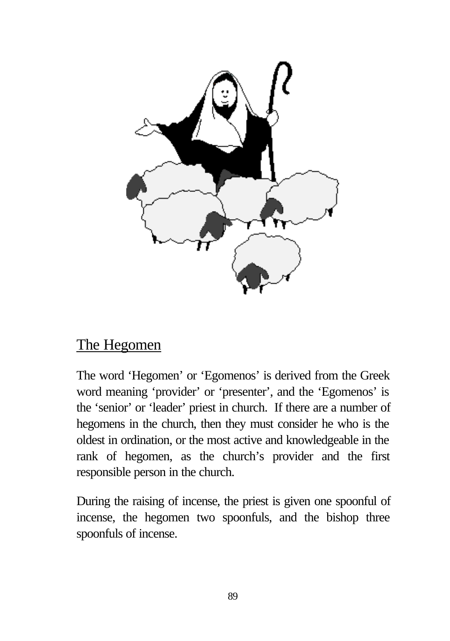

# The Hegomen

The word 'Hegomen' or 'Egomenos' is derived from the Greek word meaning 'provider' or 'presenter', and the 'Egomenos' is the 'senior' or 'leader' priest in church. If there are a number of hegomens in the church, then they must consider he who is the oldest in ordination, or the most active and knowledgeable in the rank of hegomen, as the church's provider and the first responsible person in the church.

During the raising of incense, the priest is given one spoonful of incense, the hegomen two spoonfuls, and the bishop three spoonfuls of incense.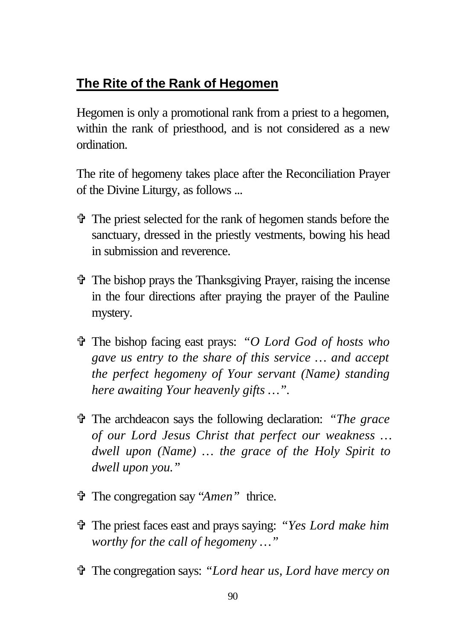# **The Rite of the Rank of Hegomen**

Hegomen is only a promotional rank from a priest to a hegomen, within the rank of priesthood, and is not considered as a new ordination.

The rite of hegomeny takes place after the Reconciliation Prayer of the Divine Liturgy, as follows ...

- V The priest selected for the rank of hegomen stands before the sanctuary, dressed in the priestly vestments, bowing his head in submission and reverence.
- $\hat{\tau}$  The bishop prays the Thanksgiving Prayer, raising the incense in the four directions after praying the prayer of the Pauline mystery.
- V The bishop facing east prays: *"O Lord God of hosts who gave us entry to the share of this service … and accept the perfect hegomeny of Your servant (Name) standing here awaiting Your heavenly gifts …".*
- V The archdeacon says the following declaration: *"The grace of our Lord Jesus Christ that perfect our weakness … dwell upon (Name) … the grace of the Holy Spirit to dwell upon you."*
- V The congregation say "*Amen"* thrice.
- V The priest faces east and prays saying: *"Yes Lord make him worthy for the call of hegomeny …"*
- V The congregation says: *"Lord hear us, Lord have mercy on*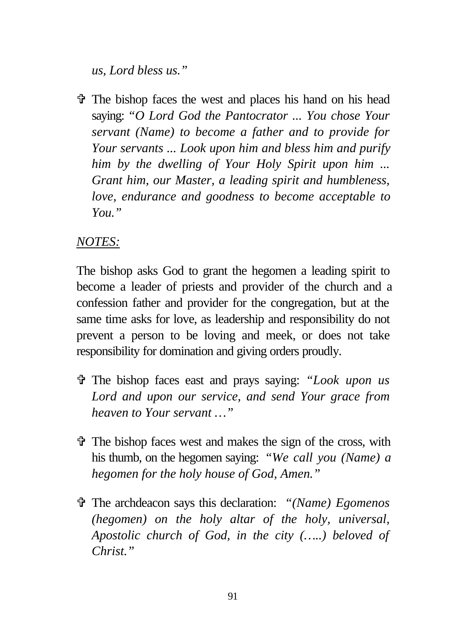*us, Lord bless us."*

 $\hat{\mathbf{\Phi}}$  The bishop faces the west and places his hand on his head saying: *"O Lord God the Pantocrator ... You chose Your servant (Name) to become a father and to provide for Your servants ... Look upon him and bless him and purify him by the dwelling of Your Holy Spirit upon him ... Grant him, our Master, a leading spirit and humbleness, love, endurance and goodness to become acceptable to You."*

### *NOTES:*

The bishop asks God to grant the hegomen a leading spirit to become a leader of priests and provider of the church and a confession father and provider for the congregation, but at the same time asks for love, as leadership and responsibility do not prevent a person to be loving and meek, or does not take responsibility for domination and giving orders proudly.

- V The bishop faces east and prays saying: *"Look upon us Lord and upon our service, and send Your grace from heaven to Your servant …"*
- V The bishop faces west and makes the sign of the cross, with his thumb, on the hegomen saying: *"We call you (Name) a hegomen for the holy house of God, Amen."*
- V The archdeacon says this declaration: *"(Name) Egomenos (hegomen) on the holy altar of the holy, universal, Apostolic church of God, in the city (…..) beloved of Christ."*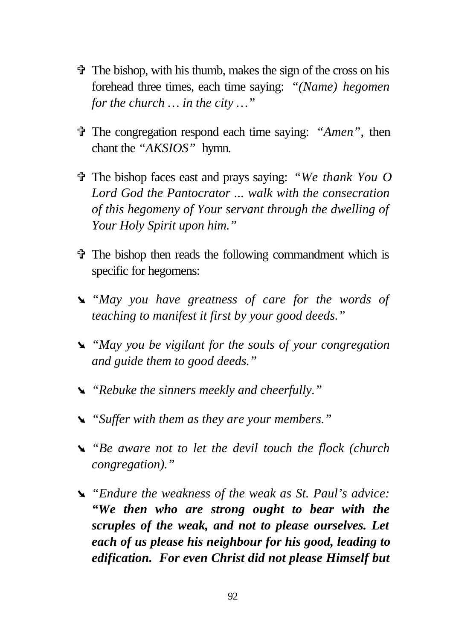- $\ddot{\mathbf{v}}$  The bishop, with his thumb, makes the sign of the cross on his forehead three times, each time saying: *"(Name) hegomen for the church … in the city …"*
- V The congregation respond each time saying: *"Amen"*, then chant the *"AKSIOS"* hymn.
- V The bishop faces east and prays saying: *"We thank You O Lord God the Pantocrator ... walk with the consecration of this hegomeny of Your servant through the dwelling of Your Holy Spirit upon him."*
- $\hat{\tau}$  The bishop then reads the following commandment which is specific for hegomens:
- ÿ *"May you have greatness of care for the words of teaching to manifest it first by your good deeds."*
- ÿ *"May you be vigilant for the souls of your congregation and guide them to good deeds."*
- ÿ *"Rebuke the sinners meekly and cheerfully."*
- ÿ *"Suffer with them as they are your members."*
- ÿ *"Be aware not to let the devil touch the flock (church congregation)."*
- ÿ *"Endure the weakness of the weak as St. Paul's advice: "We then who are strong ought to bear with the scruples of the weak, and not to please ourselves. Let each of us please his neighbour for his good, leading to edification. For even Christ did not please Himself but*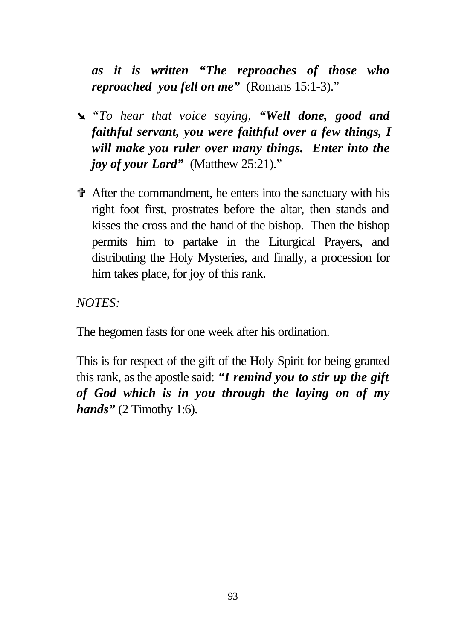*as it is written "The reproaches of those who reproached you fell on me"* (Romans 15:1-3)."

- ÿ *"To hear that voice saying, "Well done, good and faithful servant, you were faithful over a few things, I will make you ruler over many things. Enter into the joy of your Lord*" (Matthew 25:21)."
- $\hat{\mathbf{\Phi}}$  After the commandment, he enters into the sanctuary with his right foot first, prostrates before the altar, then stands and kisses the cross and the hand of the bishop. Then the bishop permits him to partake in the Liturgical Prayers, and distributing the Holy Mysteries, and finally, a procession for him takes place, for joy of this rank.

*NOTES:*

The hegomen fasts for one week after his ordination.

This is for respect of the gift of the Holy Spirit for being granted this rank, as the apostle said: *"I remind you to stir up the gift of God which is in you through the laying on of my hands"* (2 Timothy 1:6).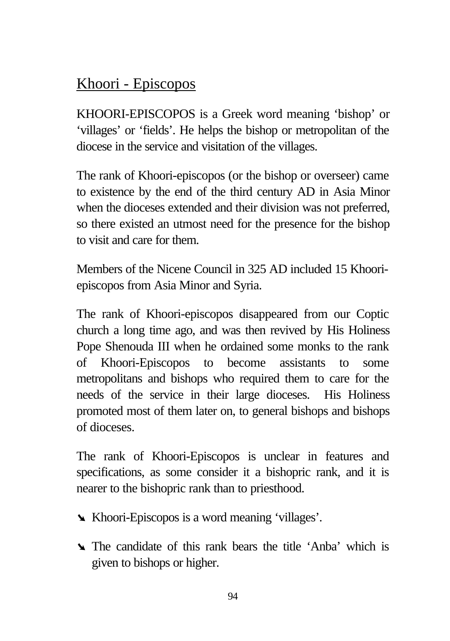# Khoori - Episcopos

KHOORI-EPISCOPOS is a Greek word meaning 'bishop' or 'villages' or 'fields'. He helps the bishop or metropolitan of the diocese in the service and visitation of the villages.

The rank of Khoori-episcopos (or the bishop or overseer) came to existence by the end of the third century AD in Asia Minor when the dioceses extended and their division was not preferred, so there existed an utmost need for the presence for the bishop to visit and care for them.

Members of the Nicene Council in 325 AD included 15 Khooriepiscopos from Asia Minor and Syria.

The rank of Khoori-episcopos disappeared from our Coptic church a long time ago, and was then revived by His Holiness Pope Shenouda III when he ordained some monks to the rank of Khoori-Episcopos to become assistants to some metropolitans and bishops who required them to care for the needs of the service in their large dioceses. His Holiness promoted most of them later on, to general bishops and bishops of dioceses.

The rank of Khoori-Episcopos is unclear in features and specifications, as some consider it a bishopric rank, and it is nearer to the bishopric rank than to priesthood.

- ÿ Khoori-Episcopos is a word meaning 'villages'.
- **The candidate of this rank bears the title 'Anba' which is** given to bishops or higher.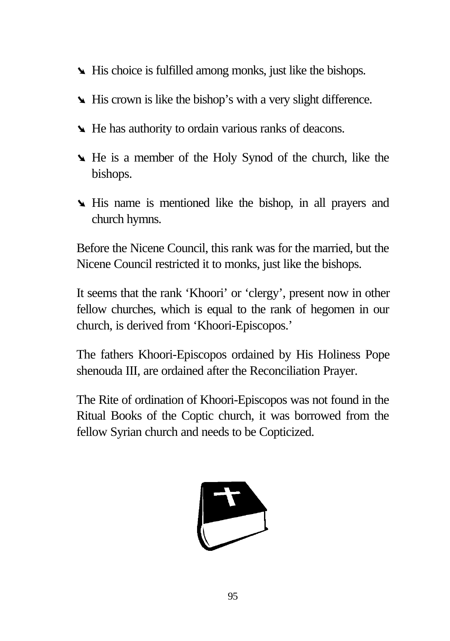- ÿ His choice is fulfilled among monks, just like the bishops.
- **If His crown is like the bishop's with a very slight difference.**
- ÿ He has authority to ordain various ranks of deacons.
- ÿ He is a member of the Holy Synod of the church, like the bishops.
- **If** His name is mentioned like the bishop, in all prayers and church hymns.

Before the Nicene Council, this rank was for the married, but the Nicene Council restricted it to monks, just like the bishops.

It seems that the rank 'Khoori' or 'clergy', present now in other fellow churches, which is equal to the rank of hegomen in our church, is derived from 'Khoori-Episcopos.'

The fathers Khoori-Episcopos ordained by His Holiness Pope shenouda III, are ordained after the Reconciliation Prayer.

The Rite of ordination of Khoori-Episcopos was not found in the Ritual Books of the Coptic church, it was borrowed from the fellow Syrian church and needs to be Copticized.

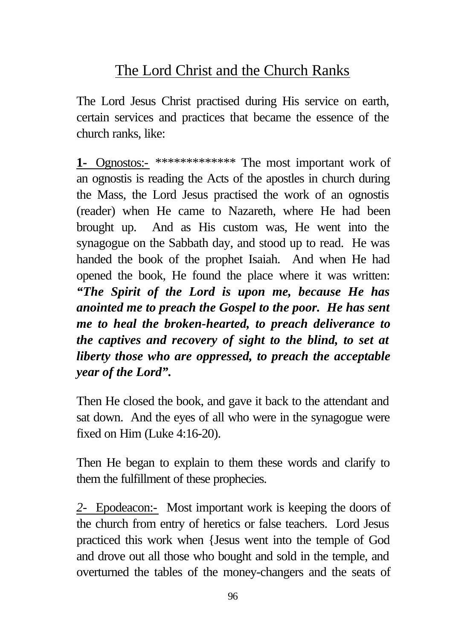# The Lord Christ and the Church Ranks

The Lord Jesus Christ practised during His service on earth, certain services and practices that became the essence of the church ranks, like:

**1-** Ognostos:- \*\*\*\*\*\*\*\*\*\*\*\*\* The most important work of an ognostis is reading the Acts of the apostles in church during the Mass, the Lord Jesus practised the work of an ognostis (reader) when He came to Nazareth, where He had been brought up. And as His custom was, He went into the synagogue on the Sabbath day, and stood up to read. He was handed the book of the prophet Isaiah. And when He had opened the book, He found the place where it was written: *"The Spirit of the Lord is upon me, because He has anointed me to preach the Gospel to the poor. He has sent me to heal the broken-hearted, to preach deliverance to the captives and recovery of sight to the blind, to set at liberty those who are oppressed, to preach the acceptable year of the Lord".*

Then He closed the book, and gave it back to the attendant and sat down. And the eyes of all who were in the synagogue were fixed on Him (Luke 4:16-20).

Then He began to explain to them these words and clarify to them the fulfillment of these prophecies.

*2-* Epodeacon:- Most important work is keeping the doors of the church from entry of heretics or false teachers. Lord Jesus practiced this work when {Jesus went into the temple of God and drove out all those who bought and sold in the temple, and overturned the tables of the money-changers and the seats of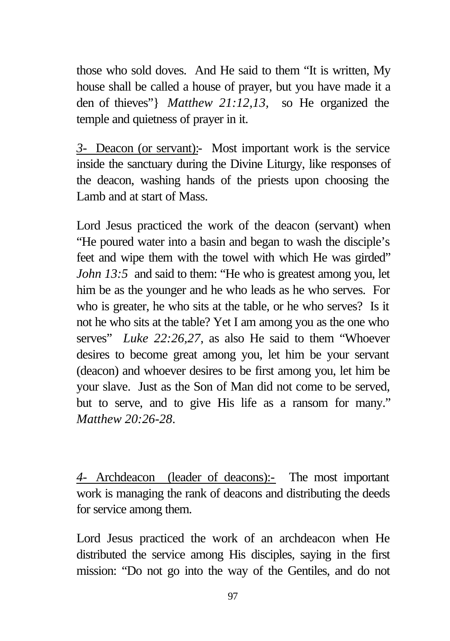those who sold doves. And He said to them "It is written, My house shall be called a house of prayer, but you have made it a den of thieves"} *Matthew 21:12,13,* so He organized the temple and quietness of prayer in it.

*3-* Deacon (or servant):- Most important work is the service inside the sanctuary during the Divine Liturgy, like responses of the deacon, washing hands of the priests upon choosing the Lamb and at start of Mass.

Lord Jesus practiced the work of the deacon (servant) when "He poured water into a basin and began to wash the disciple's feet and wipe them with the towel with which He was girded" *John 13:5* and said to them: "He who is greatest among you, let him be as the younger and he who leads as he who serves. For who is greater, he who sits at the table, or he who serves? Is it not he who sits at the table? Yet I am among you as the one who serves" *Luke 22:26,27*, as also He said to them "Whoever desires to become great among you, let him be your servant (deacon) and whoever desires to be first among you, let him be your slave. Just as the Son of Man did not come to be served, but to serve, and to give His life as a ransom for many." *Matthew 20:26-28*.

*4-* Archdeacon (leader of deacons):- The most important work is managing the rank of deacons and distributing the deeds for service among them.

Lord Jesus practiced the work of an archdeacon when He distributed the service among His disciples, saying in the first mission: "Do not go into the way of the Gentiles, and do not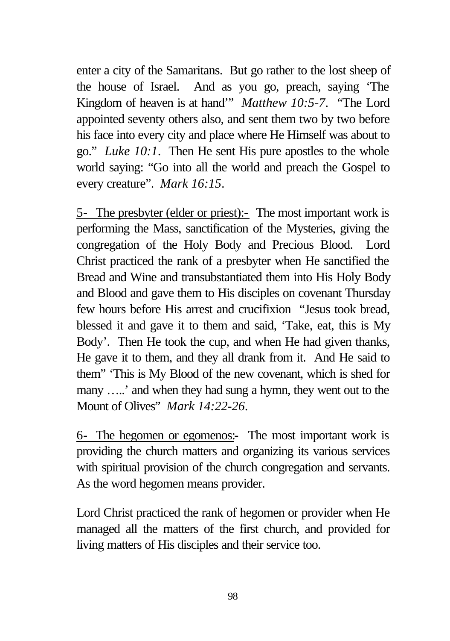enter a city of the Samaritans. But go rather to the lost sheep of the house of Israel. And as you go, preach, saying 'The Kingdom of heaven is at hand'" *Matthew 10:5-7*. "The Lord appointed seventy others also, and sent them two by two before his face into every city and place where He Himself was about to go." *Luke 10:1*. Then He sent His pure apostles to the whole world saying: "Go into all the world and preach the Gospel to every creature". *Mark 16:15*.

5- The presbyter (elder or priest):- The most important work is performing the Mass, sanctification of the Mysteries, giving the congregation of the Holy Body and Precious Blood. Lord Christ practiced the rank of a presbyter when He sanctified the Bread and Wine and transubstantiated them into His Holy Body and Blood and gave them to His disciples on covenant Thursday few hours before His arrest and crucifixion "Jesus took bread, blessed it and gave it to them and said, 'Take, eat, this is My Body'. Then He took the cup, and when He had given thanks, He gave it to them, and they all drank from it. And He said to them" 'This is My Blood of the new covenant, which is shed for many …..' and when they had sung a hymn, they went out to the Mount of Olives" *Mark 14:22-26*.

6- The hegomen or egomenos:- The most important work is providing the church matters and organizing its various services with spiritual provision of the church congregation and servants. As the word hegomen means provider.

Lord Christ practiced the rank of hegomen or provider when He managed all the matters of the first church, and provided for living matters of His disciples and their service too.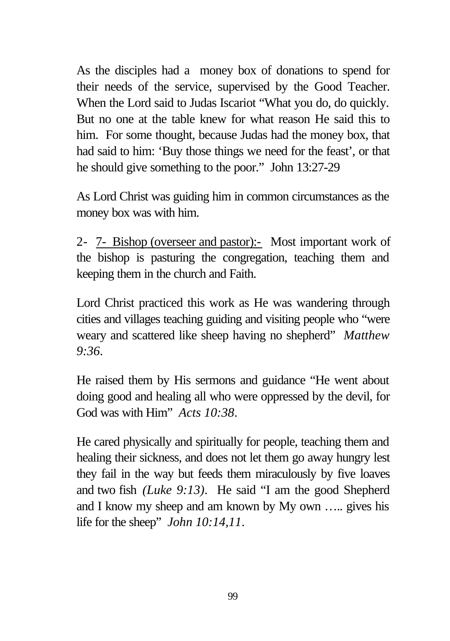As the disciples had a money box of donations to spend for their needs of the service, supervised by the Good Teacher. When the Lord said to Judas Iscariot "What you do, do quickly. But no one at the table knew for what reason He said this to him. For some thought, because Judas had the money box, that had said to him: 'Buy those things we need for the feast', or that he should give something to the poor." John 13:27-29

As Lord Christ was guiding him in common circumstances as the money box was with him.

2- 7- Bishop (overseer and pastor):- Most important work of the bishop is pasturing the congregation, teaching them and keeping them in the church and Faith.

Lord Christ practiced this work as He was wandering through cities and villages teaching guiding and visiting people who "were weary and scattered like sheep having no shepherd" *Matthew 9:36*.

He raised them by His sermons and guidance "He went about doing good and healing all who were oppressed by the devil, for God was with Him" *Acts 10:38*.

He cared physically and spiritually for people, teaching them and healing their sickness, and does not let them go away hungry lest they fail in the way but feeds them miraculously by five loaves and two fish *(Luke 9:13)*. He said "I am the good Shepherd and I know my sheep and am known by My own ….. gives his life for the sheep" *John 10:14,11*.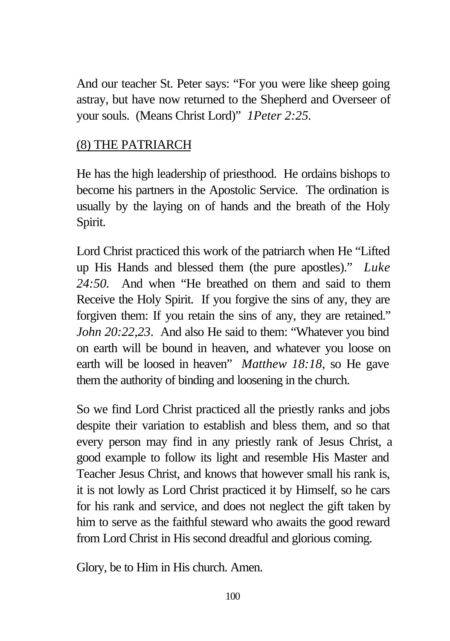And our teacher St. Peter says: "For you were like sheep going astray, but have now returned to the Shepherd and Overseer of your souls. (Means Christ Lord)" *1Peter 2:25.*

#### (8) THE PATRIARCH

He has the high leadership of priesthood. He ordains bishops to become his partners in the Apostolic Service. The ordination is usually by the laying on of hands and the breath of the Holy Spirit.

Lord Christ practiced this work of the patriarch when He "Lifted up His Hands and blessed them (the pure apostles)." *Luke 24:50.* And when "He breathed on them and said to them Receive the Holy Spirit. If you forgive the sins of any, they are forgiven them: If you retain the sins of any, they are retained." *John 20:22,23*. And also He said to them: "Whatever you bind on earth will be bound in heaven, and whatever you loose on earth will be loosed in heaven" *Matthew 18:18*, so He gave them the authority of binding and loosening in the church.

So we find Lord Christ practiced all the priestly ranks and jobs despite their variation to establish and bless them, and so that every person may find in any priestly rank of Jesus Christ, a good example to follow its light and resemble His Master and Teacher Jesus Christ, and knows that however small his rank is, it is not lowly as Lord Christ practiced it by Himself, so he cars for his rank and service, and does not neglect the gift taken by him to serve as the faithful steward who awaits the good reward from Lord Christ in His second dreadful and glorious coming.

Glory, be to Him in His church. Amen.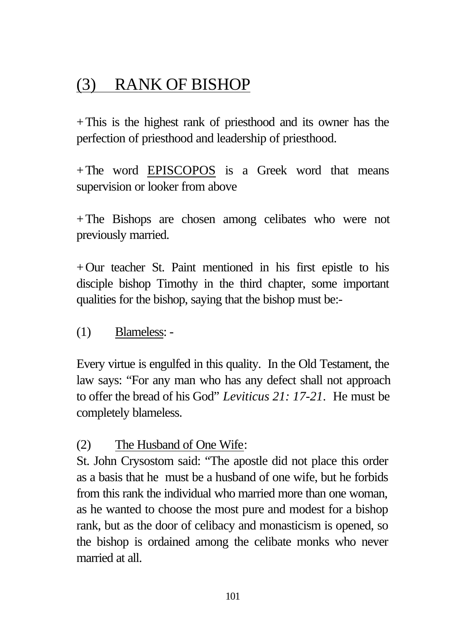# (3) RANK OF BISHOP

+This is the highest rank of priesthood and its owner has the perfection of priesthood and leadership of priesthood.

+The word EPISCOPOS is a Greek word that means supervision or looker from above

+The Bishops are chosen among celibates who were not previously married.

+Our teacher St. Paint mentioned in his first epistle to his disciple bishop Timothy in the third chapter, some important qualities for the bishop, saying that the bishop must be:-

#### (1) Blameless: -

Every virtue is engulfed in this quality. In the Old Testament, the law says: "For any man who has any defect shall not approach to offer the bread of his God" *Leviticus 21: 17-21*. He must be completely blameless.

#### (2) The Husband of One Wife:

St. John Crysostom said: "The apostle did not place this order as a basis that he must be a husband of one wife, but he forbids from this rank the individual who married more than one woman, as he wanted to choose the most pure and modest for a bishop rank, but as the door of celibacy and monasticism is opened, so the bishop is ordained among the celibate monks who never married at all.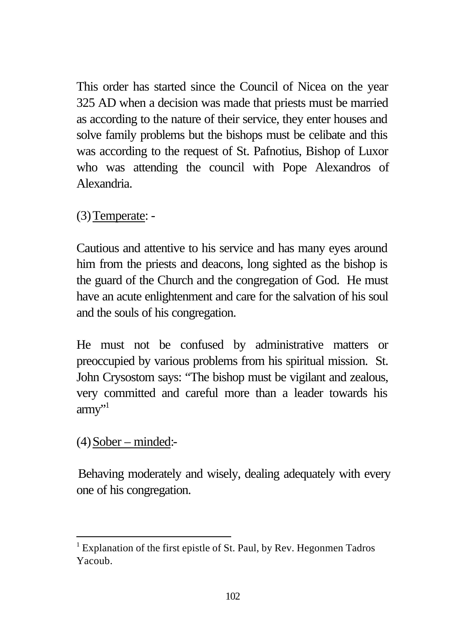This order has started since the Council of Nicea on the year 325 AD when a decision was made that priests must be married as according to the nature of their service, they enter houses and solve family problems but the bishops must be celibate and this was according to the request of St. Pafnotius, Bishop of Luxor who was attending the council with Pope Alexandros of Alexandria.

(3)Temperate: -

Cautious and attentive to his service and has many eyes around him from the priests and deacons, long sighted as the bishop is the guard of the Church and the congregation of God. He must have an acute enlightenment and care for the salvation of his soul and the souls of his congregation.

He must not be confused by administrative matters or preoccupied by various problems from his spiritual mission. St. John Crysostom says: "The bishop must be vigilant and zealous, very committed and careful more than a leader towards his  $army$ <sup>''</sup>

 $(4)$ Sober – minded:-

l

Behaving moderately and wisely, dealing adequately with every one of his congregation.

<sup>&</sup>lt;sup>1</sup> Explanation of the first epistle of St. Paul, by Rev. Hegonmen Tadros Yacoub.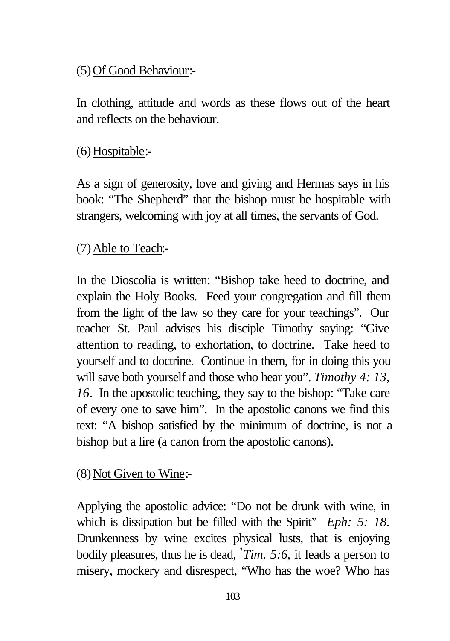# (5)Of Good Behaviour:-

In clothing, attitude and words as these flows out of the heart and reflects on the behaviour.

# (6)Hospitable:-

As a sign of generosity, love and giving and Hermas says in his book: "The Shepherd" that the bishop must be hospitable with strangers, welcoming with joy at all times, the servants of God.

# (7)Able to Teach:-

In the Dioscolia is written: "Bishop take heed to doctrine, and explain the Holy Books. Feed your congregation and fill them from the light of the law so they care for your teachings". Our teacher St. Paul advises his disciple Timothy saying: "Give attention to reading, to exhortation, to doctrine. Take heed to yourself and to doctrine. Continue in them, for in doing this you will save both yourself and those who hear you". *Timothy 4: 13, 16*. In the apostolic teaching, they say to the bishop: "Take care of every one to save him". In the apostolic canons we find this text: "A bishop satisfied by the minimum of doctrine, is not a bishop but a lire (a canon from the apostolic canons).

# $(8)$  Not Given to Wine:-

Applying the apostolic advice: "Do not be drunk with wine, in which is dissipation but be filled with the Spirit" *Eph:* 5: 18. Drunkenness by wine excites physical lusts, that is enjoying bodily pleasures, thus he is dead, *<sup>1</sup> Tim. 5:6*, it leads a person to misery, mockery and disrespect, "Who has the woe? Who has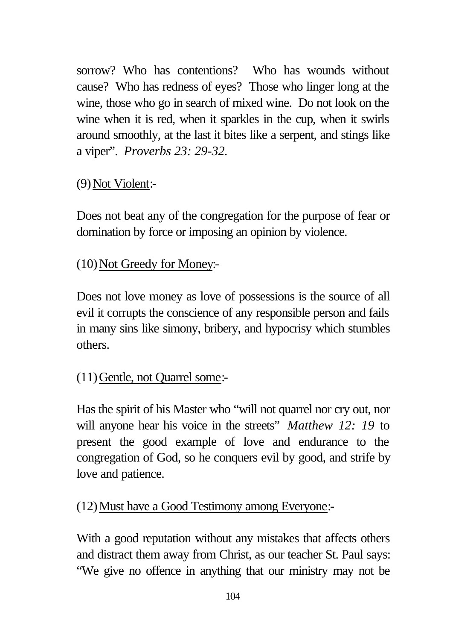sorrow? Who has contentions? Who has wounds without cause? Who has redness of eyes? Those who linger long at the wine, those who go in search of mixed wine. Do not look on the wine when it is red, when it sparkles in the cup, when it swirls around smoothly, at the last it bites like a serpent, and stings like a viper". *Proverbs 23: 29-32.*

# (9)Not Violent:-

Does not beat any of the congregation for the purpose of fear or domination by force or imposing an opinion by violence.

#### (10)Not Greedy for Money:-

Does not love money as love of possessions is the source of all evil it corrupts the conscience of any responsible person and fails in many sins like simony, bribery, and hypocrisy which stumbles others.

#### (11)Gentle, not Quarrel some:-

Has the spirit of his Master who "will not quarrel nor cry out, nor will anyone hear his voice in the streets" *Matthew 12: 19* to present the good example of love and endurance to the congregation of God, so he conquers evil by good, and strife by love and patience.

#### (12)Must have a Good Testimony among Everyone:-

With a good reputation without any mistakes that affects others and distract them away from Christ, as our teacher St. Paul says: "We give no offence in anything that our ministry may not be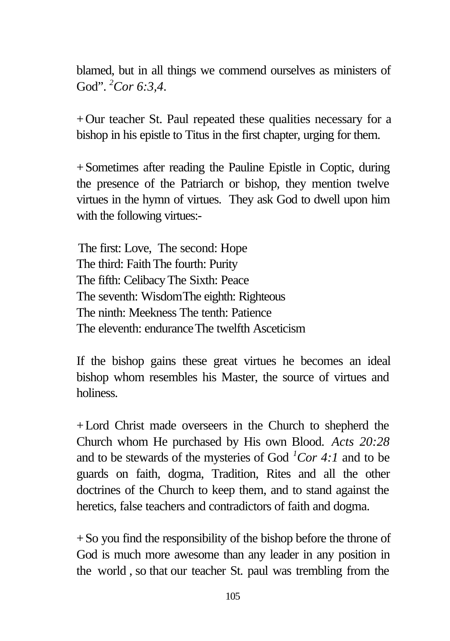blamed, but in all things we commend ourselves as ministers of God". *<sup>2</sup>Cor 6:3,4*.

+Our teacher St. Paul repeated these qualities necessary for a bishop in his epistle to Titus in the first chapter, urging for them.

+Sometimes after reading the Pauline Epistle in Coptic, during the presence of the Patriarch or bishop, they mention twelve virtues in the hymn of virtues. They ask God to dwell upon him with the following virtues:-

The first: Love, The second: Hope The third: Faith The fourth: Purity The fifth: CelibacyThe Sixth: Peace The seventh: WisdomThe eighth: Righteous The ninth: Meekness The tenth: Patience The eleventh: enduranceThe twelfth Asceticism

If the bishop gains these great virtues he becomes an ideal bishop whom resembles his Master, the source of virtues and holiness.

+Lord Christ made overseers in the Church to shepherd the Church whom He purchased by His own Blood. *Acts 20:28* and to be stewards of the mysteries of God  $^{1}$ Cor 4:1 and to be guards on faith, dogma, Tradition, Rites and all the other doctrines of the Church to keep them, and to stand against the heretics, false teachers and contradictors of faith and dogma.

+So you find the responsibility of the bishop before the throne of God is much more awesome than any leader in any position in the world , so that our teacher St. paul was trembling from the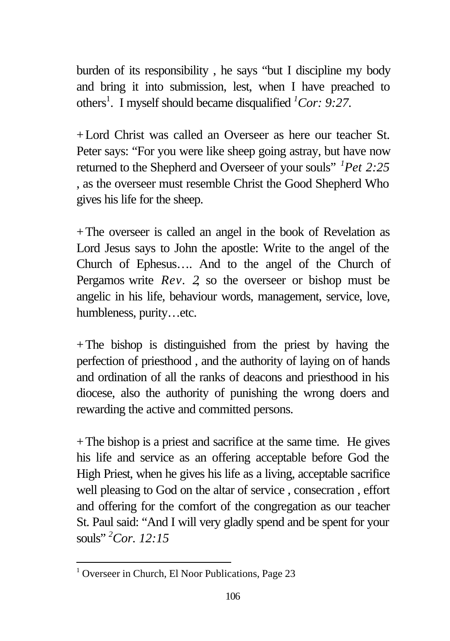burden of its responsibility , he says "but I discipline my body and bring it into submission, lest, when I have preached to others<sup>1</sup>. I myself should became disqualified <sup>1</sup>Cor: 9:27.

+Lord Christ was called an Overseer as here our teacher St. Peter says: "For you were like sheep going astray, but have now returned to the Shepherd and Overseer of your souls" *<sup>1</sup>Pet 2:25* , as the overseer must resemble Christ the Good Shepherd Who gives his life for the sheep.

+The overseer is called an angel in the book of Revelation as Lord Jesus says to John the apostle: Write to the angel of the Church of Ephesus…. And to the angel of the Church of Pergamos write *Rev. 2*, so the overseer or bishop must be angelic in his life, behaviour words, management, service, love, humbleness, purity…etc.

 $+$ The bishop is distinguished from the priest by having the perfection of priesthood , and the authority of laying on of hands and ordination of all the ranks of deacons and priesthood in his diocese, also the authority of punishing the wrong doers and rewarding the active and committed persons.

+The bishop is a priest and sacrifice at the same time. He gives his life and service as an offering acceptable before God the High Priest, when he gives his life as a living, acceptable sacrifice well pleasing to God on the altar of service , consecration , effort and offering for the comfort of the congregation as our teacher St. Paul said: "And I will very gladly spend and be spent for your souls" *<sup>2</sup>Cor. 12:15*

l

<sup>&</sup>lt;sup>1</sup> Overseer in Church, El Noor Publications, Page 23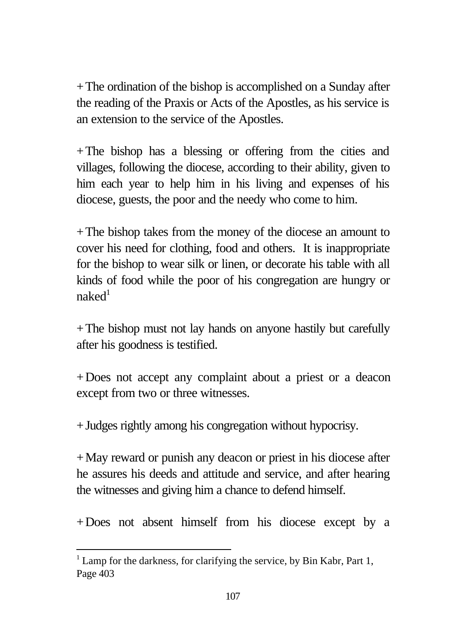+The ordination of the bishop is accomplished on a Sunday after the reading of the Praxis or Acts of the Apostles, as his service is an extension to the service of the Apostles.

+The bishop has a blessing or offering from the cities and villages, following the diocese, according to their ability, given to him each year to help him in his living and expenses of his diocese, guests, the poor and the needy who come to him.

+The bishop takes from the money of the diocese an amount to cover his need for clothing, food and others. It is inappropriate for the bishop to wear silk or linen, or decorate his table with all kinds of food while the poor of his congregation are hungry or  $n$ aked $1$ 

+The bishop must not lay hands on anyone hastily but carefully after his goodness is testified.

+Does not accept any complaint about a priest or a deacon except from two or three witnesses.

+Judges rightly among his congregation without hypocrisy.

+May reward or punish any deacon or priest in his diocese after he assures his deeds and attitude and service, and after hearing the witnesses and giving him a chance to defend himself.

+Does not absent himself from his diocese except by a

l

 $1$  Lamp for the darkness, for clarifying the service, by Bin Kabr, Part 1, Page 403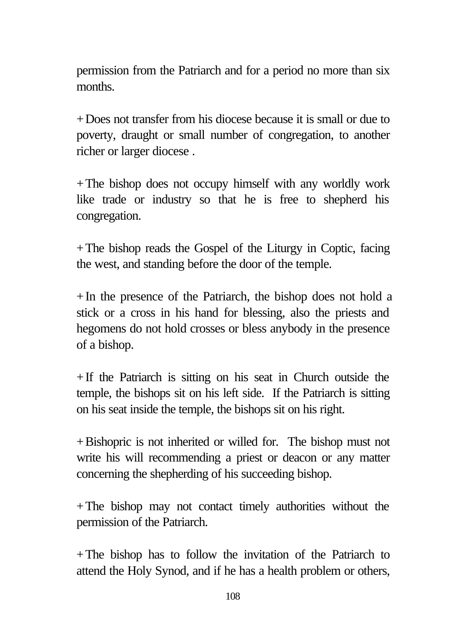permission from the Patriarch and for a period no more than six months.

+Does not transfer from his diocese because it is small or due to poverty, draught or small number of congregation, to another richer or larger diocese .

+The bishop does not occupy himself with any worldly work like trade or industry so that he is free to shepherd his congregation.

+The bishop reads the Gospel of the Liturgy in Coptic, facing the west, and standing before the door of the temple.

+In the presence of the Patriarch, the bishop does not hold a stick or a cross in his hand for blessing, also the priests and hegomens do not hold crosses or bless anybody in the presence of a bishop.

+If the Patriarch is sitting on his seat in Church outside the temple, the bishops sit on his left side. If the Patriarch is sitting on his seat inside the temple, the bishops sit on his right.

+Bishopric is not inherited or willed for. The bishop must not write his will recommending a priest or deacon or any matter concerning the shepherding of his succeeding bishop.

+The bishop may not contact timely authorities without the permission of the Patriarch.

+The bishop has to follow the invitation of the Patriarch to attend the Holy Synod, and if he has a health problem or others,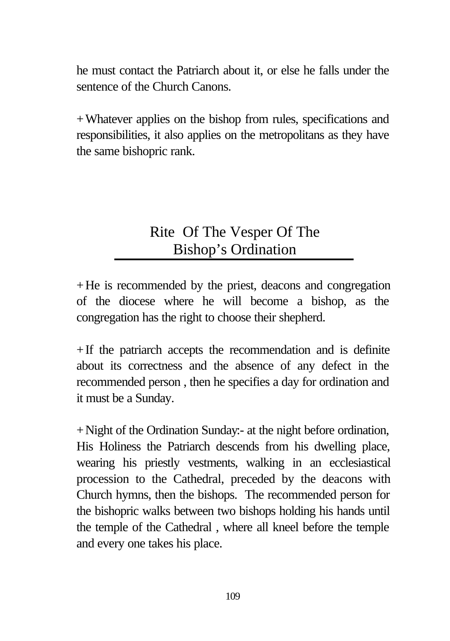he must contact the Patriarch about it, or else he falls under the sentence of the Church Canons.

+Whatever applies on the bishop from rules, specifications and responsibilities, it also applies on the metropolitans as they have the same bishopric rank.

# Rite Of The Vesper Of The Bishop's Ordination

+He is recommended by the priest, deacons and congregation of the diocese where he will become a bishop, as the congregation has the right to choose their shepherd.

 $+$ If the patriarch accepts the recommendation and is definite about its correctness and the absence of any defect in the recommended person , then he specifies a day for ordination and it must be a Sunday.

+Night of the Ordination Sunday:- at the night before ordination, His Holiness the Patriarch descends from his dwelling place, wearing his priestly vestments, walking in an ecclesiastical procession to the Cathedral, preceded by the deacons with Church hymns, then the bishops. The recommended person for the bishopric walks between two bishops holding his hands until the temple of the Cathedral , where all kneel before the temple and every one takes his place.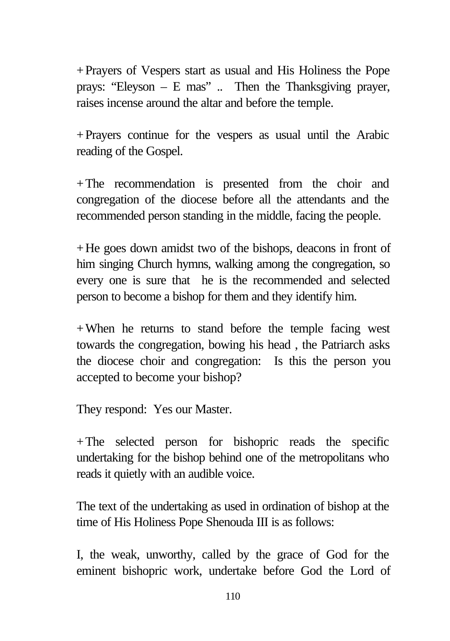+Prayers of Vespers start as usual and His Holiness the Pope prays: "Eleyson – E mas" .. Then the Thanksgiving prayer, raises incense around the altar and before the temple.

+Prayers continue for the vespers as usual until the Arabic reading of the Gospel.

+The recommendation is presented from the choir and congregation of the diocese before all the attendants and the recommended person standing in the middle, facing the people.

+He goes down amidst two of the bishops, deacons in front of him singing Church hymns, walking among the congregation, so every one is sure that he is the recommended and selected person to become a bishop for them and they identify him.

+When he returns to stand before the temple facing west towards the congregation, bowing his head , the Patriarch asks the diocese choir and congregation: Is this the person you accepted to become your bishop?

They respond: Yes our Master.

+The selected person for bishopric reads the specific undertaking for the bishop behind one of the metropolitans who reads it quietly with an audible voice.

The text of the undertaking as used in ordination of bishop at the time of His Holiness Pope Shenouda III is as follows:

I, the weak, unworthy, called by the grace of God for the eminent bishopric work, undertake before God the Lord of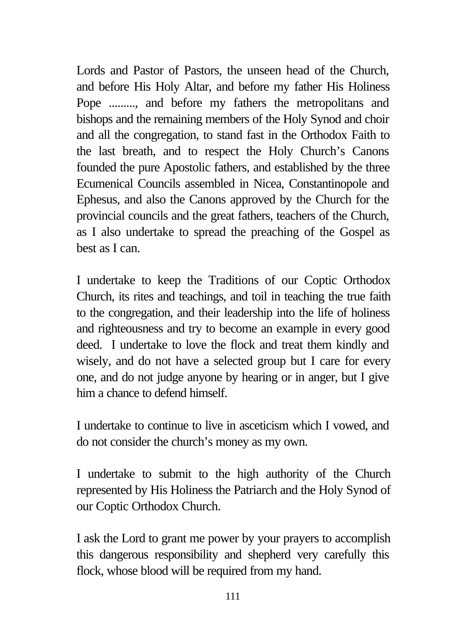Lords and Pastor of Pastors, the unseen head of the Church, and before His Holy Altar, and before my father His Holiness Pope ........., and before my fathers the metropolitans and bishops and the remaining members of the Holy Synod and choir and all the congregation, to stand fast in the Orthodox Faith to the last breath, and to respect the Holy Church's Canons founded the pure Apostolic fathers, and established by the three Ecumenical Councils assembled in Nicea, Constantinopole and Ephesus, and also the Canons approved by the Church for the provincial councils and the great fathers, teachers of the Church, as I also undertake to spread the preaching of the Gospel as best as I can.

I undertake to keep the Traditions of our Coptic Orthodox Church, its rites and teachings, and toil in teaching the true faith to the congregation, and their leadership into the life of holiness and righteousness and try to become an example in every good deed. I undertake to love the flock and treat them kindly and wisely, and do not have a selected group but I care for every one, and do not judge anyone by hearing or in anger, but I give him a chance to defend himself

I undertake to continue to live in asceticism which I vowed, and do not consider the church's money as my own.

I undertake to submit to the high authority of the Church represented by His Holiness the Patriarch and the Holy Synod of our Coptic Orthodox Church.

I ask the Lord to grant me power by your prayers to accomplish this dangerous responsibility and shepherd very carefully this flock, whose blood will be required from my hand.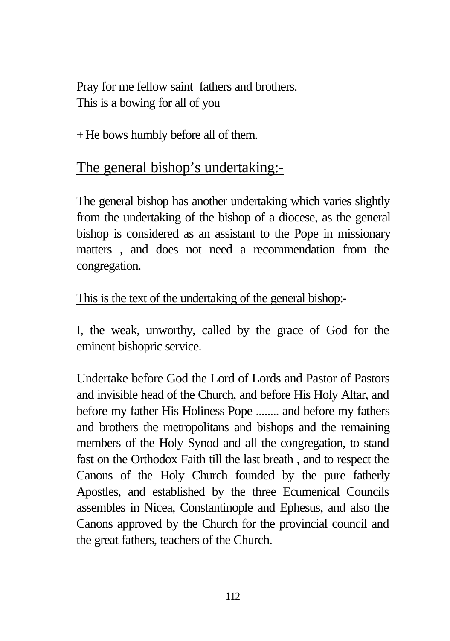Pray for me fellow saint fathers and brothers. This is a bowing for all of you

+He bows humbly before all of them.

# The general bishop's undertaking:-

The general bishop has another undertaking which varies slightly from the undertaking of the bishop of a diocese, as the general bishop is considered as an assistant to the Pope in missionary matters , and does not need a recommendation from the congregation.

### This is the text of the undertaking of the general bishop:-

I, the weak, unworthy, called by the grace of God for the eminent bishopric service.

Undertake before God the Lord of Lords and Pastor of Pastors and invisible head of the Church, and before His Holy Altar, and before my father His Holiness Pope ........ and before my fathers and brothers the metropolitans and bishops and the remaining members of the Holy Synod and all the congregation, to stand fast on the Orthodox Faith till the last breath , and to respect the Canons of the Holy Church founded by the pure fatherly Apostles, and established by the three Ecumenical Councils assembles in Nicea, Constantinople and Ephesus, and also the Canons approved by the Church for the provincial council and the great fathers, teachers of the Church.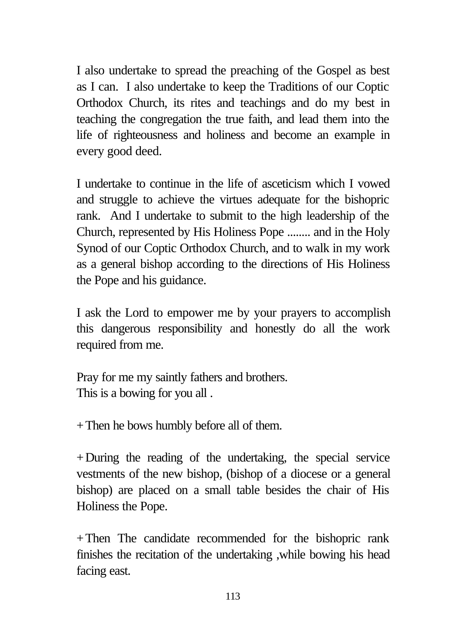I also undertake to spread the preaching of the Gospel as best as I can. I also undertake to keep the Traditions of our Coptic Orthodox Church, its rites and teachings and do my best in teaching the congregation the true faith, and lead them into the life of righteousness and holiness and become an example in every good deed.

I undertake to continue in the life of asceticism which I vowed and struggle to achieve the virtues adequate for the bishopric rank. And I undertake to submit to the high leadership of the Church, represented by His Holiness Pope ........ and in the Holy Synod of our Coptic Orthodox Church, and to walk in my work as a general bishop according to the directions of His Holiness the Pope and his guidance.

I ask the Lord to empower me by your prayers to accomplish this dangerous responsibility and honestly do all the work required from me.

Pray for me my saintly fathers and brothers. This is a bowing for you all .

+Then he bows humbly before all of them.

+During the reading of the undertaking, the special service vestments of the new bishop, (bishop of a diocese or a general bishop) are placed on a small table besides the chair of His Holiness the Pope.

+Then The candidate recommended for the bishopric rank finishes the recitation of the undertaking ,while bowing his head facing east.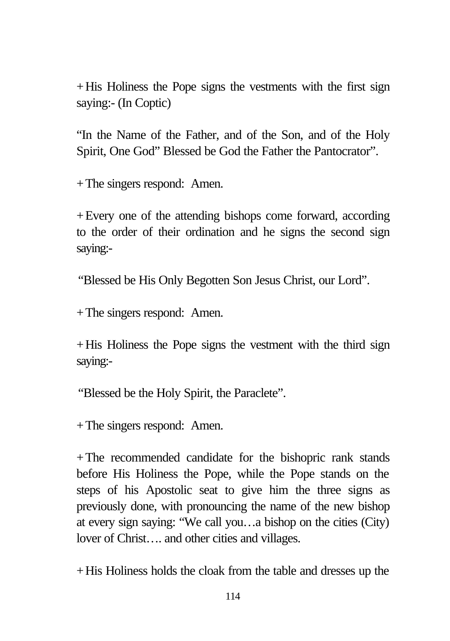+His Holiness the Pope signs the vestments with the first sign saying:- (In Coptic)

"In the Name of the Father, and of the Son, and of the Holy Spirit, One God" Blessed be God the Father the Pantocrator".

+The singers respond: Amen.

+Every one of the attending bishops come forward, according to the order of their ordination and he signs the second sign saying:-

"Blessed be His Only Begotten Son Jesus Christ, our Lord".

+The singers respond: Amen.

 $+$ His Holiness the Pope signs the vestment with the third sign saying:-

"Blessed be the Holy Spirit, the Paraclete".

+The singers respond: Amen.

+The recommended candidate for the bishopric rank stands before His Holiness the Pope, while the Pope stands on the steps of his Apostolic seat to give him the three signs as previously done, with pronouncing the name of the new bishop at every sign saying: "We call you…a bishop on the cities (City) lover of Christ…. and other cities and villages.

+His Holiness holds the cloak from the table and dresses up the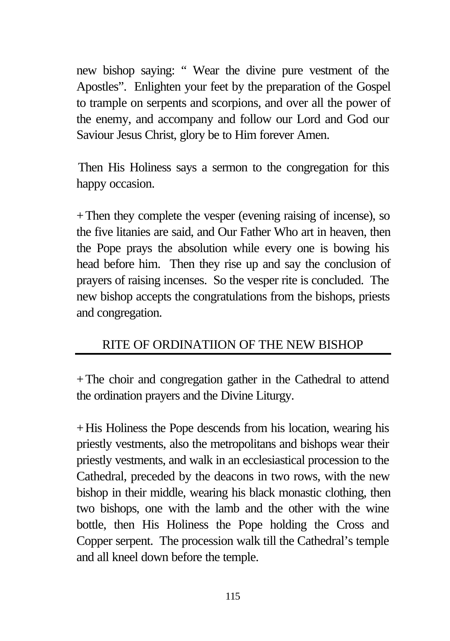new bishop saying: " Wear the divine pure vestment of the Apostles". Enlighten your feet by the preparation of the Gospel to trample on serpents and scorpions, and over all the power of the enemy, and accompany and follow our Lord and God our Saviour Jesus Christ, glory be to Him forever Amen.

Then His Holiness says a sermon to the congregation for this happy occasion.

+Then they complete the vesper (evening raising of incense), so the five litanies are said, and Our Father Who art in heaven, then the Pope prays the absolution while every one is bowing his head before him. Then they rise up and say the conclusion of prayers of raising incenses. So the vesper rite is concluded. The new bishop accepts the congratulations from the bishops, priests and congregation.

## RITE OF ORDINATIION OF THE NEW BISHOP

+The choir and congregation gather in the Cathedral to attend the ordination prayers and the Divine Liturgy.

+His Holiness the Pope descends from his location, wearing his priestly vestments, also the metropolitans and bishops wear their priestly vestments, and walk in an ecclesiastical procession to the Cathedral, preceded by the deacons in two rows, with the new bishop in their middle, wearing his black monastic clothing, then two bishops, one with the lamb and the other with the wine bottle, then His Holiness the Pope holding the Cross and Copper serpent. The procession walk till the Cathedral's temple and all kneel down before the temple.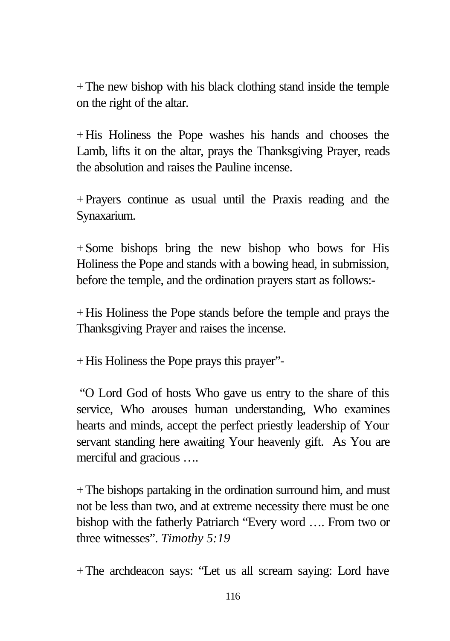$+$ The new bishop with his black clothing stand inside the temple on the right of the altar.

+His Holiness the Pope washes his hands and chooses the Lamb, lifts it on the altar, prays the Thanksgiving Prayer, reads the absolution and raises the Pauline incense.

+Prayers continue as usual until the Praxis reading and the Synaxarium.

+Some bishops bring the new bishop who bows for His Holiness the Pope and stands with a bowing head, in submission, before the temple, and the ordination prayers start as follows:-

+His Holiness the Pope stands before the temple and prays the Thanksgiving Prayer and raises the incense.

+His Holiness the Pope prays this prayer"-

"O Lord God of hosts Who gave us entry to the share of this service, Who arouses human understanding, Who examines hearts and minds, accept the perfect priestly leadership of Your servant standing here awaiting Your heavenly gift. As You are merciful and gracious ….

+The bishops partaking in the ordination surround him, and must not be less than two, and at extreme necessity there must be one bishop with the fatherly Patriarch "Every word …. From two or three witnesses". *Timothy 5:19*

+The archdeacon says: "Let us all scream saying: Lord have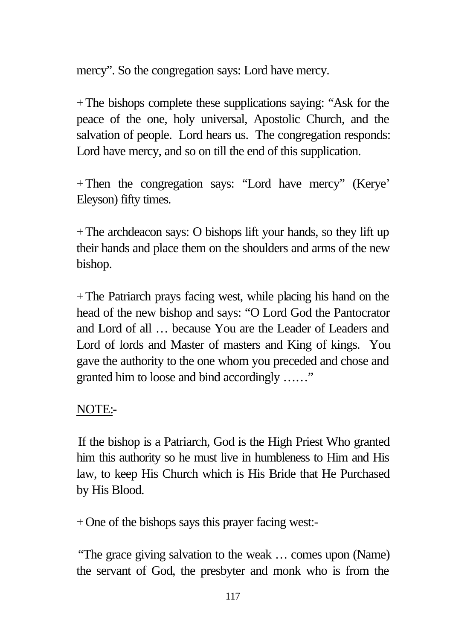mercy". So the congregation says: Lord have mercy.

+The bishops complete these supplications saying: "Ask for the peace of the one, holy universal, Apostolic Church, and the salvation of people. Lord hears us. The congregation responds: Lord have mercy, and so on till the end of this supplication.

+Then the congregation says: "Lord have mercy" (Kerye' Eleyson) fifty times.

+The archdeacon says: O bishops lift your hands, so they lift up their hands and place them on the shoulders and arms of the new bishop.

 $+$ The Patriarch prays facing west, while placing his hand on the head of the new bishop and says: "O Lord God the Pantocrator and Lord of all … because You are the Leader of Leaders and Lord of lords and Master of masters and King of kings. You gave the authority to the one whom you preceded and chose and granted him to loose and bind accordingly ……"

### NOTE:-

If the bishop is a Patriarch, God is the High Priest Who granted him this authority so he must live in humbleness to Him and His law, to keep His Church which is His Bride that He Purchased by His Blood.

+One of the bishops says this prayer facing west:-

"The grace giving salvation to the weak … comes upon (Name) the servant of God, the presbyter and monk who is from the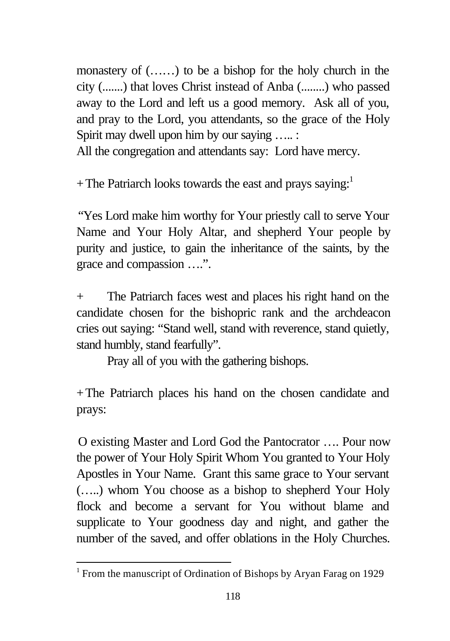monastery of (……) to be a bishop for the holy church in the city (.......) that loves Christ instead of Anba (........) who passed away to the Lord and left us a good memory. Ask all of you, and pray to the Lord, you attendants, so the grace of the Holy Spirit may dwell upon him by our saying ….. :

All the congregation and attendants say: Lord have mercy.

+ The Patriarch looks towards the east and prays saying:<sup>1</sup>

"Yes Lord make him worthy for Your priestly call to serve Your Name and Your Holy Altar, and shepherd Your people by purity and justice, to gain the inheritance of the saints, by the grace and compassion ….".

+ The Patriarch faces west and places his right hand on the candidate chosen for the bishopric rank and the archdeacon cries out saying: "Stand well, stand with reverence, stand quietly, stand humbly, stand fearfully".

Pray all of you with the gathering bishops.

+The Patriarch places his hand on the chosen candidate and prays:

O existing Master and Lord God the Pantocrator …. Pour now the power of Your Holy Spirit Whom You granted to Your Holy Apostles in Your Name. Grant this same grace to Your servant (…..) whom You choose as a bishop to shepherd Your Holy flock and become a servant for You without blame and supplicate to Your goodness day and night, and gather the number of the saved, and offer oblations in the Holy Churches.

l

<sup>&</sup>lt;sup>1</sup> From the manuscript of Ordination of Bishops by Aryan Farag on 1929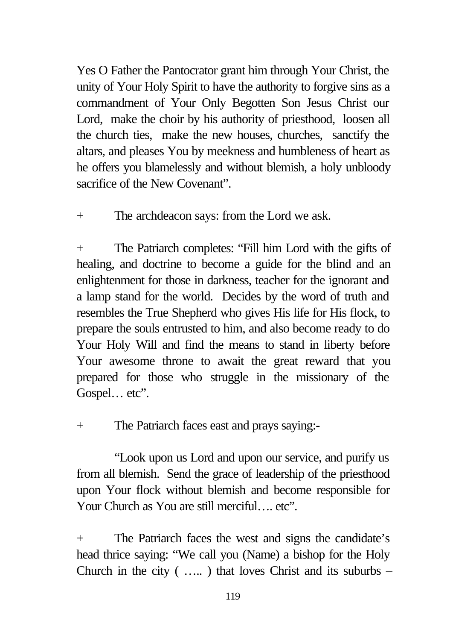Yes O Father the Pantocrator grant him through Your Christ, the unity of Your Holy Spirit to have the authority to forgive sins as a commandment of Your Only Begotten Son Jesus Christ our Lord, make the choir by his authority of priesthood, loosen all the church ties, make the new houses, churches, sanctify the altars, and pleases You by meekness and humbleness of heart as he offers you blamelessly and without blemish, a holy unbloody sacrifice of the New Covenant".

+ The archdeacon says: from the Lord we ask.

+ The Patriarch completes: "Fill him Lord with the gifts of healing, and doctrine to become a guide for the blind and an enlightenment for those in darkness, teacher for the ignorant and a lamp stand for the world. Decides by the word of truth and resembles the True Shepherd who gives His life for His flock, to prepare the souls entrusted to him, and also become ready to do Your Holy Will and find the means to stand in liberty before Your awesome throne to await the great reward that you prepared for those who struggle in the missionary of the Gospel... etc".

+ The Patriarch faces east and prays saying:-

"Look upon us Lord and upon our service, and purify us from all blemish. Send the grace of leadership of the priesthood upon Your flock without blemish and become responsible for Your Church as You are still merciful…. etc".

+ The Patriarch faces the west and signs the candidate's head thrice saying: "We call you (Name) a bishop for the Holy Church in the city  $($  .....) that loves Christ and its suburbs –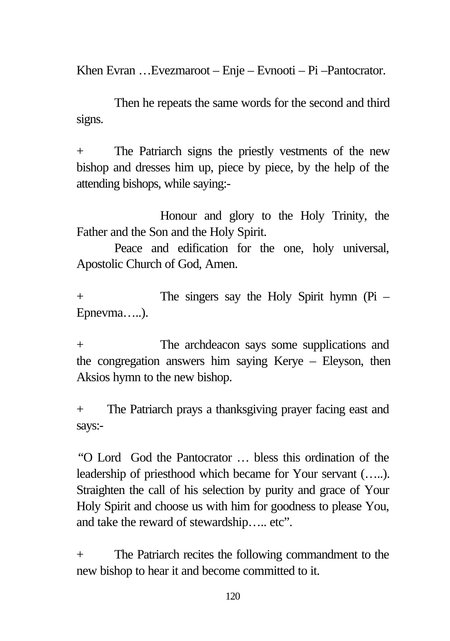Khen Evran …Evezmaroot – Enje – Evnooti – Pi –Pantocrator.

Then he repeats the same words for the second and third signs.

+ The Patriarch signs the priestly vestments of the new bishop and dresses him up, piece by piece, by the help of the attending bishops, while saying:-

Honour and glory to the Holy Trinity, the Father and the Son and the Holy Spirit.

Peace and edification for the one, holy universal, Apostolic Church of God, Amen.

+ The singers say the Holy Spirit hymn (Pi – Epnevma…..).

+ The archdeacon says some supplications and the congregation answers him saying Kerye – Eleyson, then Aksios hymn to the new bishop.

+ The Patriarch prays a thanksgiving prayer facing east and says:-

"O Lord God the Pantocrator … bless this ordination of the leadership of priesthood which became for Your servant (…..). Straighten the call of his selection by purity and grace of Your Holy Spirit and choose us with him for goodness to please You, and take the reward of stewardship….. etc".

+ The Patriarch recites the following commandment to the new bishop to hear it and become committed to it.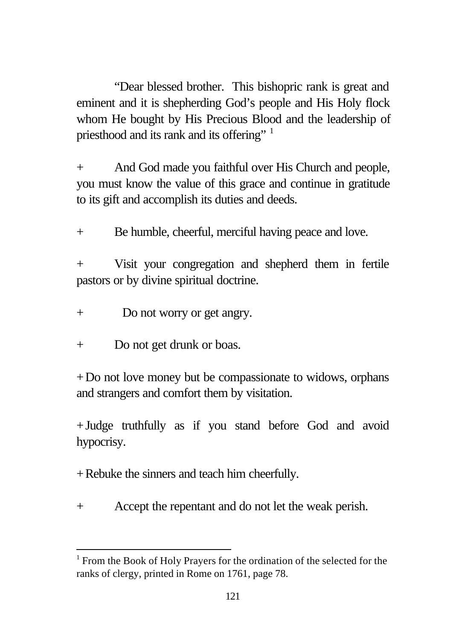"Dear blessed brother. This bishopric rank is great and eminent and it is shepherding God's people and His Holy flock whom He bought by His Precious Blood and the leadership of priesthood and its rank and its offering" <sup>1</sup>

+ And God made you faithful over His Church and people, you must know the value of this grace and continue in gratitude to its gift and accomplish its duties and deeds.

+ Be humble, cheerful, merciful having peace and love.

+ Visit your congregation and shepherd them in fertile pastors or by divine spiritual doctrine.

- + Do not worry or get angry.
- + Do not get drunk or boas.

l

+Do not love money but be compassionate to widows, orphans and strangers and comfort them by visitation.

+Judge truthfully as if you stand before God and avoid hypocrisy.

+Rebuke the sinners and teach him cheerfully.

+ Accept the repentant and do not let the weak perish.

<sup>&</sup>lt;sup>1</sup> From the Book of Holy Prayers for the ordination of the selected for the ranks of clergy, printed in Rome on 1761, page 78.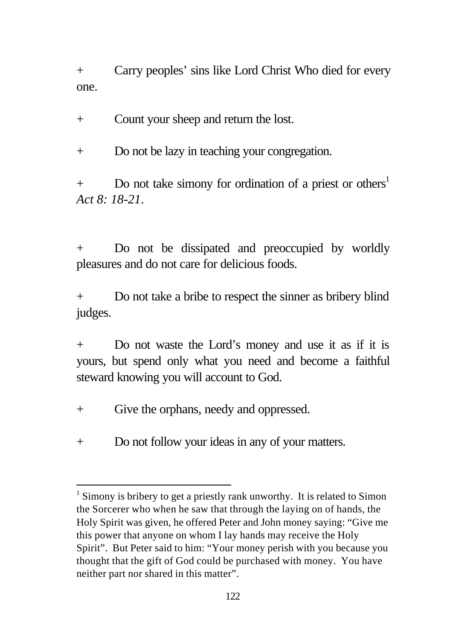+ Carry peoples' sins like Lord Christ Who died for every one.

+ Count your sheep and return the lost.

+ Do not be lazy in teaching your congregation.

 $+$  Do not take simony for ordination of a priest or others<sup>1</sup> *Act 8: 18-21*.

+ Do not be dissipated and preoccupied by worldly pleasures and do not care for delicious foods.

+ Do not take a bribe to respect the sinner as bribery blind judges.

+ Do not waste the Lord's money and use it as if it is yours, but spend only what you need and become a faithful steward knowing you will account to God.

+ Give the orphans, needy and oppressed.

l

+ Do not follow your ideas in any of your matters.

 $1$  Simony is bribery to get a priestly rank unworthy. It is related to Simon the Sorcerer who when he saw that through the laying on of hands, the Holy Spirit was given, he offered Peter and John money saying: "Give me this power that anyone on whom I lay hands may receive the Holy Spirit". But Peter said to him: "Your money perish with you because you thought that the gift of God could be purchased with money. You have neither part nor shared in this matter".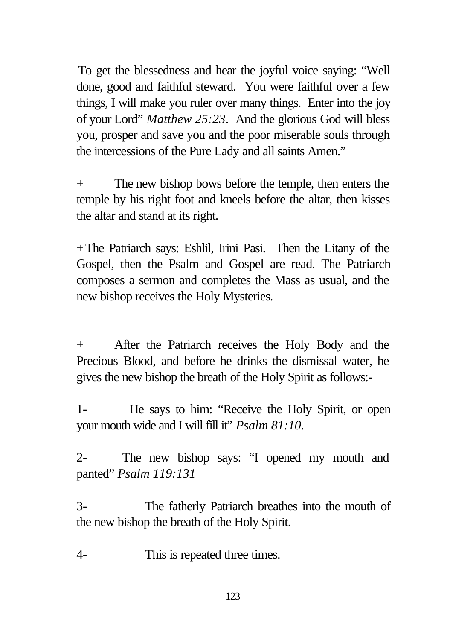To get the blessedness and hear the joyful voice saying: "Well done, good and faithful steward. You were faithful over a few things, I will make you ruler over many things. Enter into the joy of your Lord" *Matthew 25:23*. And the glorious God will bless you, prosper and save you and the poor miserable souls through the intercessions of the Pure Lady and all saints Amen."

+ The new bishop bows before the temple, then enters the temple by his right foot and kneels before the altar, then kisses the altar and stand at its right.

+The Patriarch says: Eshlil, Irini Pasi. Then the Litany of the Gospel, then the Psalm and Gospel are read. The Patriarch composes a sermon and completes the Mass as usual, and the new bishop receives the Holy Mysteries.

+ After the Patriarch receives the Holy Body and the Precious Blood, and before he drinks the dismissal water, he gives the new bishop the breath of the Holy Spirit as follows:-

1- He says to him: "Receive the Holy Spirit, or open your mouth wide and I will fill it" *Psalm 81:10.*

2- The new bishop says: "I opened my mouth and panted" *Psalm 119:131*

3- The fatherly Patriarch breathes into the mouth of the new bishop the breath of the Holy Spirit.

4- This is repeated three times.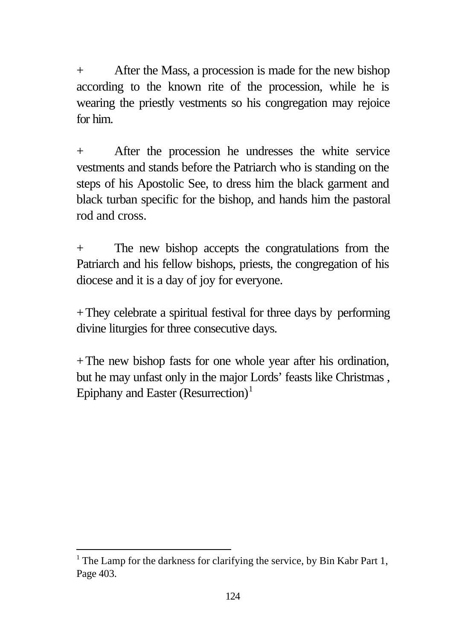+ After the Mass, a procession is made for the new bishop according to the known rite of the procession, while he is wearing the priestly vestments so his congregation may rejoice for him.

+ After the procession he undresses the white service vestments and stands before the Patriarch who is standing on the steps of his Apostolic See, to dress him the black garment and black turban specific for the bishop, and hands him the pastoral rod and cross.

+ The new bishop accepts the congratulations from the Patriarch and his fellow bishops, priests, the congregation of his diocese and it is a day of joy for everyone.

+They celebrate a spiritual festival for three days by performing divine liturgies for three consecutive days.

+The new bishop fasts for one whole year after his ordination, but he may unfast only in the major Lords' feasts like Christmas , Epiphany and Easter (Resurrection)<sup>1</sup>

l

<sup>&</sup>lt;sup>1</sup> The Lamp for the darkness for clarifying the service, by Bin Kabr Part 1, Page 403.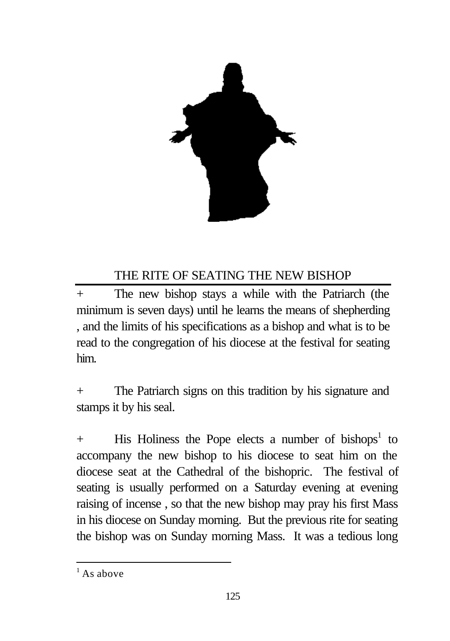

### THE RITE OF SEATING THE NEW BISHOP

+ The new bishop stays a while with the Patriarch (the minimum is seven days) until he learns the means of shepherding , and the limits of his specifications as a bishop and what is to be read to the congregation of his diocese at the festival for seating him.

+ The Patriarch signs on this tradition by his signature and stamps it by his seal.

+ His Holiness the Pope elects a number of bishops<sup>1</sup> to accompany the new bishop to his diocese to seat him on the diocese seat at the Cathedral of the bishopric. The festival of seating is usually performed on a Saturday evening at evening raising of incense , so that the new bishop may pray his first Mass in his diocese on Sunday morning. But the previous rite for seating the bishop was on Sunday morning Mass. It was a tedious long

l

 $<sup>1</sup>$  As above</sup>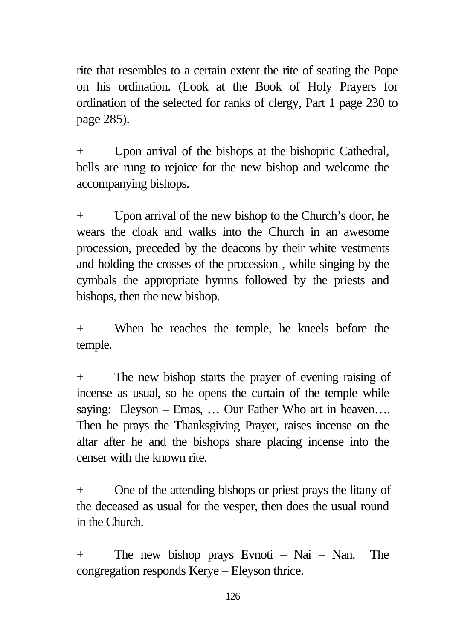rite that resembles to a certain extent the rite of seating the Pope on his ordination. (Look at the Book of Holy Prayers for ordination of the selected for ranks of clergy, Part 1 page 230 to page 285).

+ Upon arrival of the bishops at the bishopric Cathedral, bells are rung to rejoice for the new bishop and welcome the accompanying bishops.

+ Upon arrival of the new bishop to the Church's door, he wears the cloak and walks into the Church in an awesome procession, preceded by the deacons by their white vestments and holding the crosses of the procession , while singing by the cymbals the appropriate hymns followed by the priests and bishops, then the new bishop.

+ When he reaches the temple, he kneels before the temple.

+ The new bishop starts the prayer of evening raising of incense as usual, so he opens the curtain of the temple while saying: Eleyson – Emas, ... Our Father Who art in heaven.... Then he prays the Thanksgiving Prayer, raises incense on the altar after he and the bishops share placing incense into the censer with the known rite.

+ One of the attending bishops or priest prays the litany of the deceased as usual for the vesper, then does the usual round in the Church.

+ The new bishop prays Evnoti – Nai – Nan. The congregation responds Kerye – Eleyson thrice.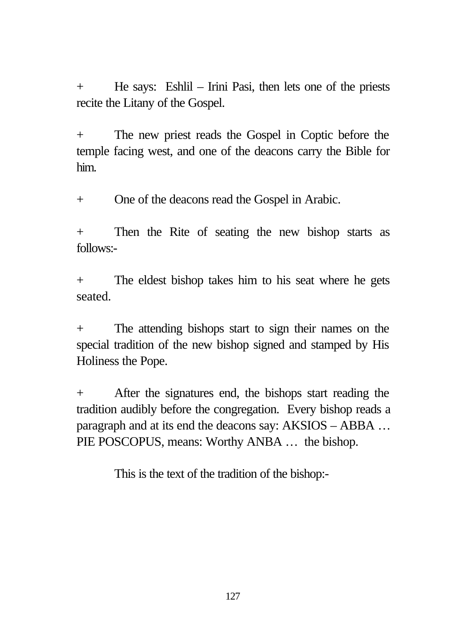+ He says: Eshlil – Irini Pasi, then lets one of the priests recite the Litany of the Gospel.

+ The new priest reads the Gospel in Coptic before the temple facing west, and one of the deacons carry the Bible for him.

+ One of the deacons read the Gospel in Arabic.

+ Then the Rite of seating the new bishop starts as follows:-

+ The eldest bishop takes him to his seat where he gets seated.

+ The attending bishops start to sign their names on the special tradition of the new bishop signed and stamped by His Holiness the Pope.

After the signatures end, the bishops start reading the tradition audibly before the congregation. Every bishop reads a paragraph and at its end the deacons say: AKSIOS – ABBA … PIE POSCOPUS, means: Worthy ANBA ... the bishop.

This is the text of the tradition of the bishop:-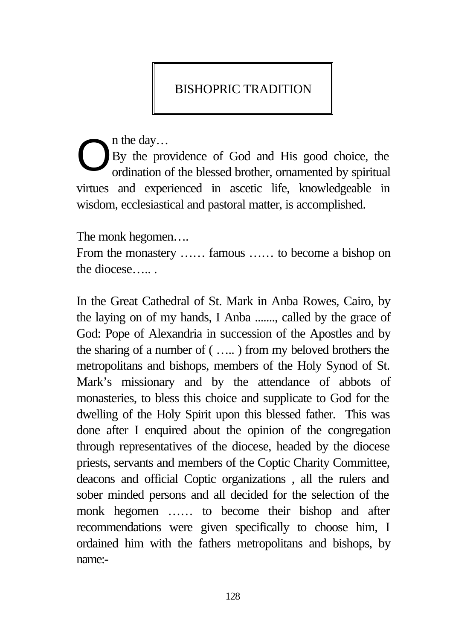## BISHOPRIC TRADITION

n the day…

By the providence of God and His good choice, the ordination of the blessed brother, ornamented by spiritual virtues and experienced in ascetic life, knowledgeable in wisdom, ecclesiastical and pastoral matter, is accomplished. O

The monk hegomen….

From the monastery …… famous …… to become a bishop on the diocese….. .

In the Great Cathedral of St. Mark in Anba Rowes, Cairo, by the laying on of my hands, I Anba ......., called by the grace of God: Pope of Alexandria in succession of the Apostles and by the sharing of a number of ( ….. ) from my beloved brothers the metropolitans and bishops, members of the Holy Synod of St. Mark's missionary and by the attendance of abbots of monasteries, to bless this choice and supplicate to God for the dwelling of the Holy Spirit upon this blessed father. This was done after I enquired about the opinion of the congregation through representatives of the diocese, headed by the diocese priests, servants and members of the Coptic Charity Committee, deacons and official Coptic organizations , all the rulers and sober minded persons and all decided for the selection of the monk hegomen …… to become their bishop and after recommendations were given specifically to choose him, I ordained him with the fathers metropolitans and bishops, by name:-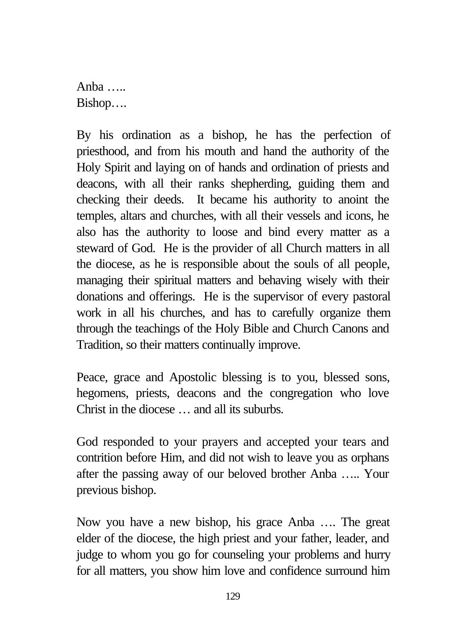Anha  $\ldots$ Bishop….

By his ordination as a bishop, he has the perfection of priesthood, and from his mouth and hand the authority of the Holy Spirit and laying on of hands and ordination of priests and deacons, with all their ranks shepherding, guiding them and checking their deeds. It became his authority to anoint the temples, altars and churches, with all their vessels and icons, he also has the authority to loose and bind every matter as a steward of God. He is the provider of all Church matters in all the diocese, as he is responsible about the souls of all people, managing their spiritual matters and behaving wisely with their donations and offerings. He is the supervisor of every pastoral work in all his churches, and has to carefully organize them through the teachings of the Holy Bible and Church Canons and Tradition, so their matters continually improve.

Peace, grace and Apostolic blessing is to you, blessed sons, hegomens, priests, deacons and the congregation who love Christ in the diocese … and all its suburbs.

God responded to your prayers and accepted your tears and contrition before Him, and did not wish to leave you as orphans after the passing away of our beloved brother Anba ….. Your previous bishop.

Now you have a new bishop, his grace Anba …. The great elder of the diocese, the high priest and your father, leader, and judge to whom you go for counseling your problems and hurry for all matters, you show him love and confidence surround him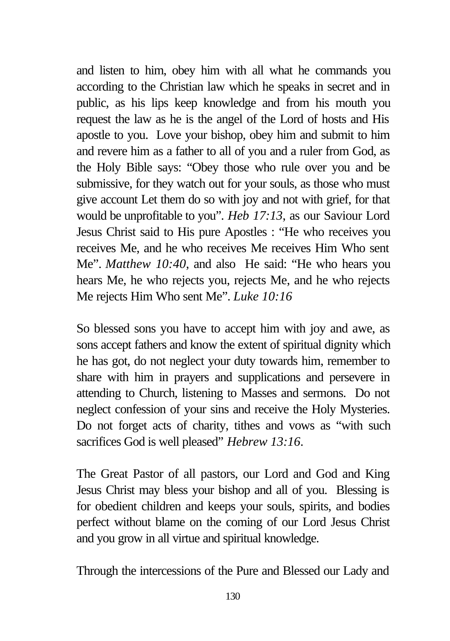and listen to him, obey him with all what he commands you according to the Christian law which he speaks in secret and in public, as his lips keep knowledge and from his mouth you request the law as he is the angel of the Lord of hosts and His apostle to you. Love your bishop, obey him and submit to him and revere him as a father to all of you and a ruler from God, as the Holy Bible says: "Obey those who rule over you and be submissive, for they watch out for your souls, as those who must give account Let them do so with joy and not with grief, for that would be unprofitable to you". *Heb 17:13*, as our Saviour Lord Jesus Christ said to His pure Apostles : "He who receives you receives Me, and he who receives Me receives Him Who sent Me". *Matthew 10:40*, and also He said: "He who hears you hears Me, he who rejects you, rejects Me, and he who rejects Me rejects Him Who sent Me". *Luke 10:16*

So blessed sons you have to accept him with joy and awe, as sons accept fathers and know the extent of spiritual dignity which he has got, do not neglect your duty towards him, remember to share with him in prayers and supplications and persevere in attending to Church, listening to Masses and sermons. Do not neglect confession of your sins and receive the Holy Mysteries. Do not forget acts of charity, tithes and vows as "with such sacrifices God is well pleased" *Hebrew 13:16*.

The Great Pastor of all pastors, our Lord and God and King Jesus Christ may bless your bishop and all of you. Blessing is for obedient children and keeps your souls, spirits, and bodies perfect without blame on the coming of our Lord Jesus Christ and you grow in all virtue and spiritual knowledge.

Through the intercessions of the Pure and Blessed our Lady and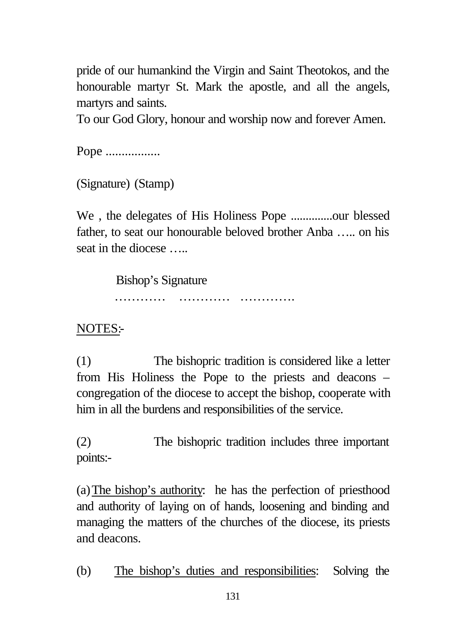pride of our humankind the Virgin and Saint Theotokos, and the honourable martyr St. Mark the apostle, and all the angels, martyrs and saints.

To our God Glory, honour and worship now and forever Amen.

Pope ..................

(Signature) (Stamp)

We , the delegates of His Holiness Pope ..............our blessed father, to seat our honourable beloved brother Anba ….. on his seat in the diocese

Bishop's Signature

………… ………… ………….

NOTES:-

(1) The bishopric tradition is considered like a letter from His Holiness the Pope to the priests and deacons – congregation of the diocese to accept the bishop, cooperate with him in all the burdens and responsibilities of the service.

(2) The bishopric tradition includes three important points:-

(a)The bishop's authority: he has the perfection of priesthood and authority of laying on of hands, loosening and binding and managing the matters of the churches of the diocese, its priests and deacons.

(b) The bishop's duties and responsibilities: Solving the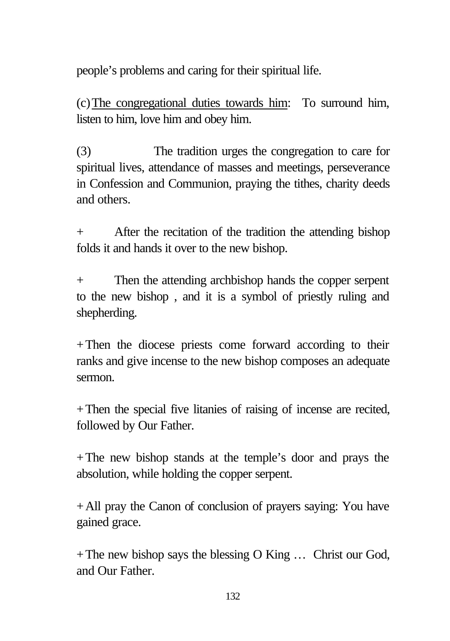people's problems and caring for their spiritual life.

(c)The congregational duties towards him: To surround him, listen to him, love him and obey him.

(3) The tradition urges the congregation to care for spiritual lives, attendance of masses and meetings, perseverance in Confession and Communion, praying the tithes, charity deeds and others.

+ After the recitation of the tradition the attending bishop folds it and hands it over to the new bishop.

+ Then the attending archbishop hands the copper serpent to the new bishop , and it is a symbol of priestly ruling and shepherding.

+Then the diocese priests come forward according to their ranks and give incense to the new bishop composes an adequate sermon.

+Then the special five litanies of raising of incense are recited, followed by Our Father.

+The new bishop stands at the temple's door and prays the absolution, while holding the copper serpent.

+All pray the Canon of conclusion of prayers saying: You have gained grace.

 $+$ The new bishop says the blessing O King  $\ldots$  Christ our God, and Our Father.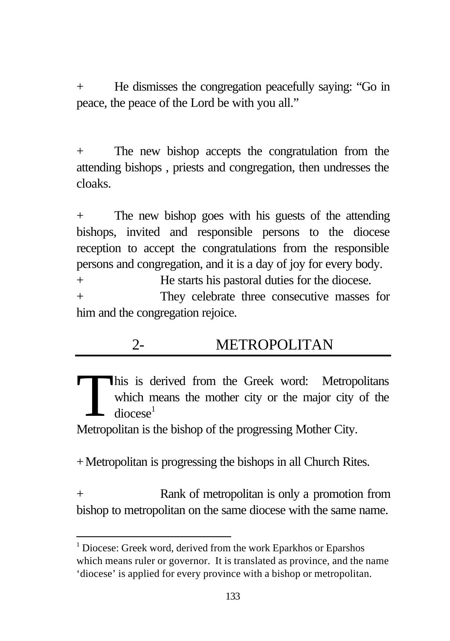+ He dismisses the congregation peacefully saying: "Go in peace, the peace of the Lord be with you all."

+ The new bishop accepts the congratulation from the attending bishops , priests and congregation, then undresses the cloaks.

+ The new bishop goes with his guests of the attending bishops, invited and responsible persons to the diocese reception to accept the congratulations from the responsible persons and congregation, and it is a day of joy for every body.

+ He starts his pastoral duties for the diocese. + They celebrate three consecutive masses for him and the congregation rejoice.

# 2- METROPOLITAN

his is derived from the Greek word: Metropolitans which means the mother city or the major city of the  $d$ iocese<sup>1</sup> T

Metropolitan is the bishop of the progressing Mother City.

+Metropolitan is progressing the bishops in all Church Rites.

l

+ Rank of metropolitan is only a promotion from bishop to metropolitan on the same diocese with the same name.

<sup>&</sup>lt;sup>1</sup> Diocese: Greek word, derived from the work Eparkhos or Eparshos which means ruler or governor. It is translated as province, and the name 'diocese' is applied for every province with a bishop or metropolitan.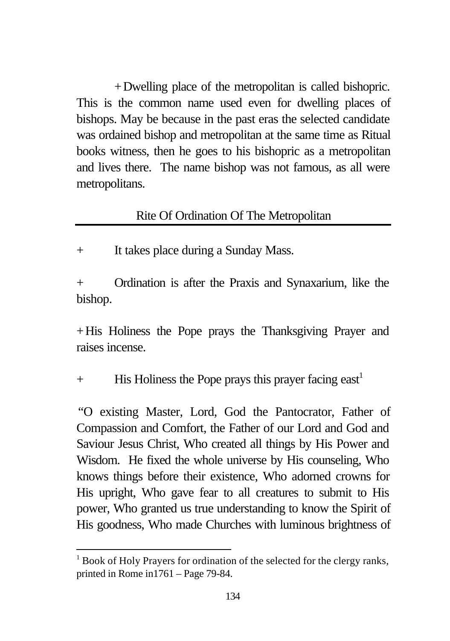+Dwelling place of the metropolitan is called bishopric. This is the common name used even for dwelling places of bishops. May be because in the past eras the selected candidate was ordained bishop and metropolitan at the same time as Ritual books witness, then he goes to his bishopric as a metropolitan and lives there. The name bishop was not famous, as all were metropolitans.

#### Rite Of Ordination Of The Metropolitan

+ It takes place during a Sunday Mass.

+ Ordination is after the Praxis and Synaxarium, like the bishop.

+His Holiness the Pope prays the Thanksgiving Prayer and raises incense.

 $+$  His Holiness the Pope prays this prayer facing east<sup>1</sup>

"O existing Master, Lord, God the Pantocrator, Father of Compassion and Comfort, the Father of our Lord and God and Saviour Jesus Christ, Who created all things by His Power and Wisdom. He fixed the whole universe by His counseling, Who knows things before their existence, Who adorned crowns for His upright, Who gave fear to all creatures to submit to His power, Who granted us true understanding to know the Spirit of His goodness, Who made Churches with luminous brightness of

l

<sup>&</sup>lt;sup>1</sup> Book of Holy Prayers for ordination of the selected for the clergy ranks, printed in Rome in1761 – Page 79-84.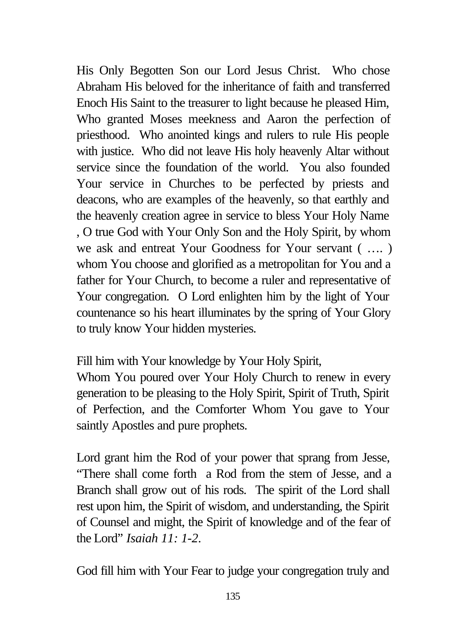His Only Begotten Son our Lord Jesus Christ. Who chose Abraham His beloved for the inheritance of faith and transferred Enoch His Saint to the treasurer to light because he pleased Him, Who granted Moses meekness and Aaron the perfection of priesthood. Who anointed kings and rulers to rule His people with justice. Who did not leave His holy heavenly Altar without service since the foundation of the world. You also founded Your service in Churches to be perfected by priests and deacons, who are examples of the heavenly, so that earthly and the heavenly creation agree in service to bless Your Holy Name , O true God with Your Only Son and the Holy Spirit, by whom we ask and entreat Your Goodness for Your servant ( …. ) whom You choose and glorified as a metropolitan for You and a father for Your Church, to become a ruler and representative of Your congregation. O Lord enlighten him by the light of Your countenance so his heart illuminates by the spring of Your Glory to truly know Your hidden mysteries.

Fill him with Your knowledge by Your Holy Spirit,

Whom You poured over Your Holy Church to renew in every generation to be pleasing to the Holy Spirit, Spirit of Truth, Spirit of Perfection, and the Comforter Whom You gave to Your saintly Apostles and pure prophets.

Lord grant him the Rod of your power that sprang from Jesse, "There shall come forth a Rod from the stem of Jesse, and a Branch shall grow out of his rods. The spirit of the Lord shall rest upon him, the Spirit of wisdom, and understanding, the Spirit of Counsel and might, the Spirit of knowledge and of the fear of the Lord" *Isaiah 11: 1-2*.

God fill him with Your Fear to judge your congregation truly and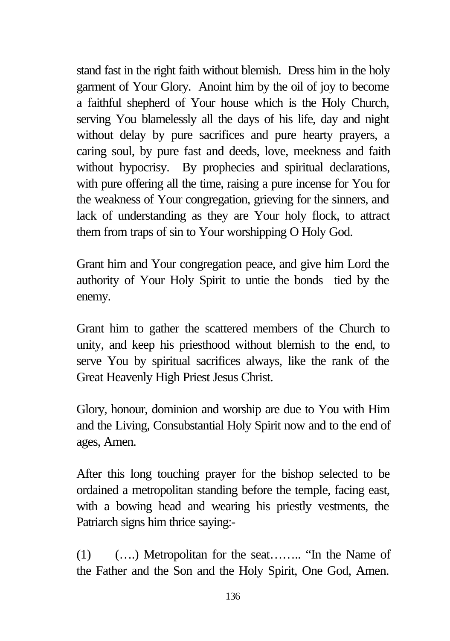stand fast in the right faith without blemish. Dress him in the holy garment of Your Glory. Anoint him by the oil of joy to become a faithful shepherd of Your house which is the Holy Church, serving You blamelessly all the days of his life, day and night without delay by pure sacrifices and pure hearty prayers, a caring soul, by pure fast and deeds, love, meekness and faith without hypocrisy. By prophecies and spiritual declarations, with pure offering all the time, raising a pure incense for You for the weakness of Your congregation, grieving for the sinners, and lack of understanding as they are Your holy flock, to attract them from traps of sin to Your worshipping O Holy God.

Grant him and Your congregation peace, and give him Lord the authority of Your Holy Spirit to untie the bonds tied by the enemy.

Grant him to gather the scattered members of the Church to unity, and keep his priesthood without blemish to the end, to serve You by spiritual sacrifices always, like the rank of the Great Heavenly High Priest Jesus Christ.

Glory, honour, dominion and worship are due to You with Him and the Living, Consubstantial Holy Spirit now and to the end of ages, Amen.

After this long touching prayer for the bishop selected to be ordained a metropolitan standing before the temple, facing east, with a bowing head and wearing his priestly vestments, the Patriarch signs him thrice saying:-

(1) (….) Metropolitan for the seat…….. "In the Name of the Father and the Son and the Holy Spirit, One God, Amen.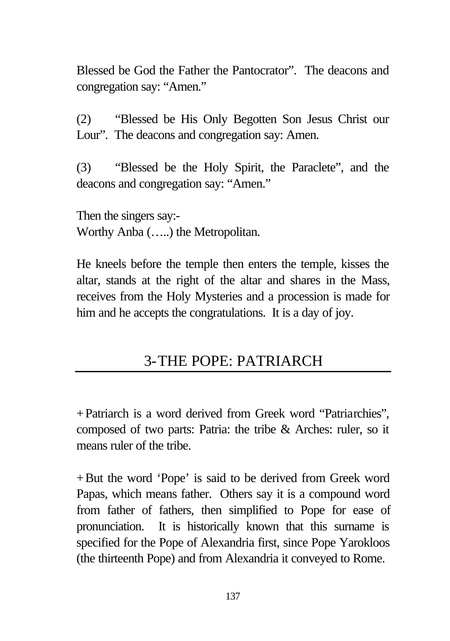Blessed be God the Father the Pantocrator". The deacons and congregation say: "Amen."

(2) "Blessed be His Only Begotten Son Jesus Christ our Lour". The deacons and congregation say: Amen.

(3) "Blessed be the Holy Spirit, the Paraclete", and the deacons and congregation say: "Amen."

Then the singers say:- Worthy Anba (…..) the Metropolitan.

He kneels before the temple then enters the temple, kisses the altar, stands at the right of the altar and shares in the Mass, receives from the Holy Mysteries and a procession is made for him and he accepts the congratulations. It is a day of joy.

# 3-THE POPE: PATRIARCH

+Patriarch is a word derived from Greek word "Patriarchies", composed of two parts: Patria: the tribe & Arches: ruler, so it means ruler of the tribe.

+But the word 'Pope' is said to be derived from Greek word Papas, which means father. Others say it is a compound word from father of fathers, then simplified to Pope for ease of pronunciation. It is historically known that this surname is specified for the Pope of Alexandria first, since Pope Yarokloos (the thirteenth Pope) and from Alexandria it conveyed to Rome.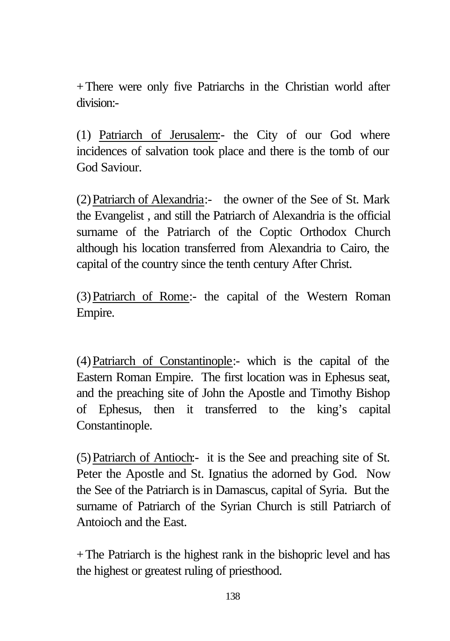+There were only five Patriarchs in the Christian world after division:-

(1) Patriarch of Jerusalem:- the City of our God where incidences of salvation took place and there is the tomb of our God Saviour.

(2)Patriarch of Alexandria:- the owner of the See of St. Mark the Evangelist , and still the Patriarch of Alexandria is the official surname of the Patriarch of the Coptic Orthodox Church although his location transferred from Alexandria to Cairo, the capital of the country since the tenth century After Christ.

(3)Patriarch of Rome:- the capital of the Western Roman Empire.

(4)Patriarch of Constantinople:- which is the capital of the Eastern Roman Empire. The first location was in Ephesus seat, and the preaching site of John the Apostle and Timothy Bishop of Ephesus, then it transferred to the king's capital Constantinople.

(5)Patriarch of Antioch:- it is the See and preaching site of St. Peter the Apostle and St. Ignatius the adorned by God. Now the See of the Patriarch is in Damascus, capital of Syria. But the surname of Patriarch of the Syrian Church is still Patriarch of Antoioch and the East.

+The Patriarch is the highest rank in the bishopric level and has the highest or greatest ruling of priesthood.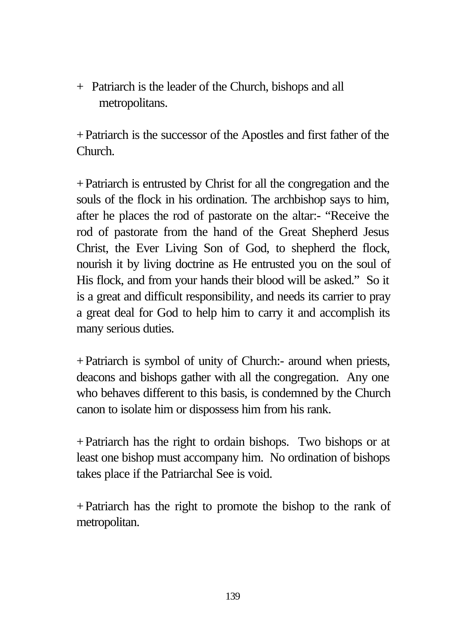+ Patriarch is the leader of the Church, bishops and all metropolitans.

+Patriarch is the successor of the Apostles and first father of the Church.

+Patriarch is entrusted by Christ for all the congregation and the souls of the flock in his ordination. The archbishop says to him, after he places the rod of pastorate on the altar:- "Receive the rod of pastorate from the hand of the Great Shepherd Jesus Christ, the Ever Living Son of God, to shepherd the flock, nourish it by living doctrine as He entrusted you on the soul of His flock, and from your hands their blood will be asked." So it is a great and difficult responsibility, and needs its carrier to pray a great deal for God to help him to carry it and accomplish its many serious duties.

+Patriarch is symbol of unity of Church:- around when priests, deacons and bishops gather with all the congregation. Any one who behaves different to this basis, is condemned by the Church canon to isolate him or dispossess him from his rank.

+Patriarch has the right to ordain bishops. Two bishops or at least one bishop must accompany him. No ordination of bishops takes place if the Patriarchal See is void.

+Patriarch has the right to promote the bishop to the rank of metropolitan.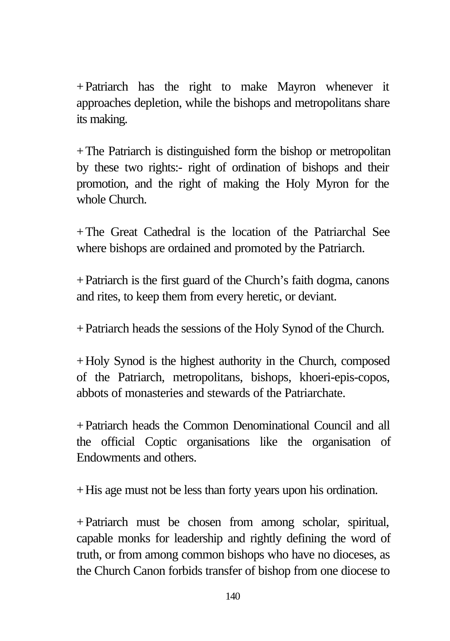+Patriarch has the right to make Mayron whenever it approaches depletion, while the bishops and metropolitans share its making.

+The Patriarch is distinguished form the bishop or metropolitan by these two rights:- right of ordination of bishops and their promotion, and the right of making the Holy Myron for the whole Church.

+The Great Cathedral is the location of the Patriarchal See where bishops are ordained and promoted by the Patriarch.

+Patriarch is the first guard of the Church's faith dogma, canons and rites, to keep them from every heretic, or deviant.

+Patriarch heads the sessions of the Holy Synod of the Church.

+Holy Synod is the highest authority in the Church, composed of the Patriarch, metropolitans, bishops, khoeri-epis-copos, abbots of monasteries and stewards of the Patriarchate.

+Patriarch heads the Common Denominational Council and all the official Coptic organisations like the organisation of Endowments and others.

+His age must not be less than forty years upon his ordination.

+Patriarch must be chosen from among scholar, spiritual, capable monks for leadership and rightly defining the word of truth, or from among common bishops who have no dioceses, as the Church Canon forbids transfer of bishop from one diocese to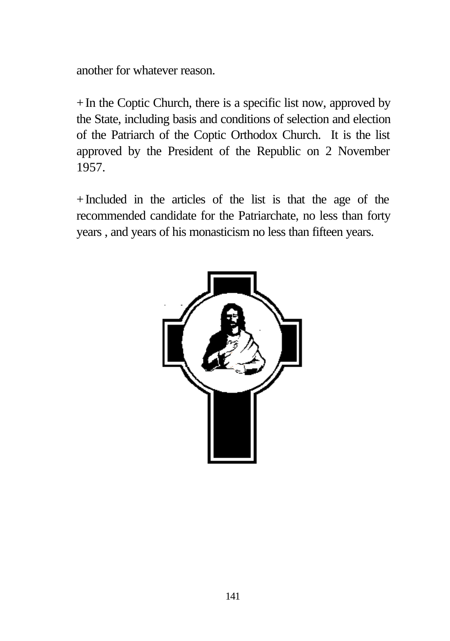another for whatever reason.

+In the Coptic Church, there is a specific list now, approved by the State, including basis and conditions of selection and election of the Patriarch of the Coptic Orthodox Church. It is the list approved by the President of the Republic on 2 November 1957.

+Included in the articles of the list is that the age of the recommended candidate for the Patriarchate, no less than forty years , and years of his monasticism no less than fifteen years.

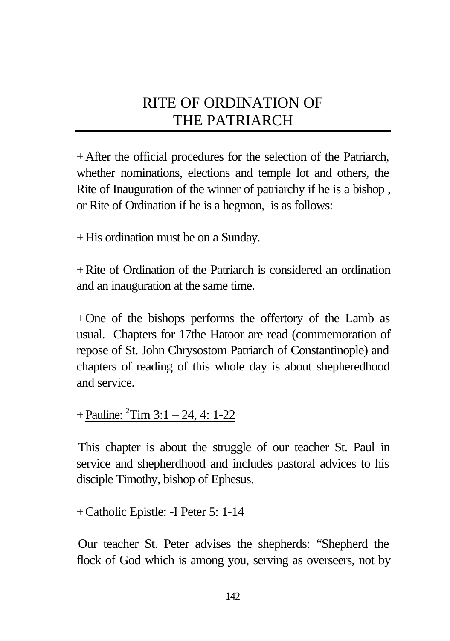# RITE OF ORDINATION OF THE PATRIARCH

+After the official procedures for the selection of the Patriarch, whether nominations, elections and temple lot and others, the Rite of Inauguration of the winner of patriarchy if he is a bishop , or Rite of Ordination if he is a hegmon, is as follows:

+His ordination must be on a Sunday.

+Rite of Ordination of the Patriarch is considered an ordination and an inauguration at the same time.

+One of the bishops performs the offertory of the Lamb as usual. Chapters for 17the Hatoor are read (commemoration of repose of St. John Chrysostom Patriarch of Constantinople) and chapters of reading of this whole day is about shepheredhood and service.

## $+$ Pauline:  $^{2}$ Tim 3:1 – 24, 4: 1-22

This chapter is about the struggle of our teacher St. Paul in service and shepherdhood and includes pastoral advices to his disciple Timothy, bishop of Ephesus.

### +Catholic Epistle: -I Peter 5: 1-14

Our teacher St. Peter advises the shepherds: "Shepherd the flock of God which is among you, serving as overseers, not by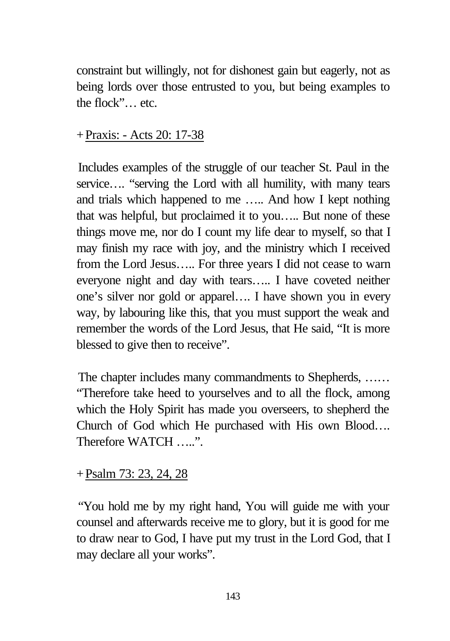constraint but willingly, not for dishonest gain but eagerly, not as being lords over those entrusted to you, but being examples to the flock"… etc.

#### +Praxis: - Acts 20: 17-38

Includes examples of the struggle of our teacher St. Paul in the service.... "serving the Lord with all humility, with many tears and trials which happened to me ….. And how I kept nothing that was helpful, but proclaimed it to you….. But none of these things move me, nor do I count my life dear to myself, so that I may finish my race with joy, and the ministry which I received from the Lord Jesus….. For three years I did not cease to warn everyone night and day with tears….. I have coveted neither one's silver nor gold or apparel…. I have shown you in every way, by labouring like this, that you must support the weak and remember the words of the Lord Jesus, that He said, "It is more blessed to give then to receive".

The chapter includes many commandments to Shepherds, …… "Therefore take heed to yourselves and to all the flock, among which the Holy Spirit has made you overseers, to shepherd the Church of God which He purchased with His own Blood…. Therefore WATCH .....".

### +Psalm 73: 23, 24, 28

"You hold me by my right hand, You will guide me with your counsel and afterwards receive me to glory, but it is good for me to draw near to God, I have put my trust in the Lord God, that I may declare all your works".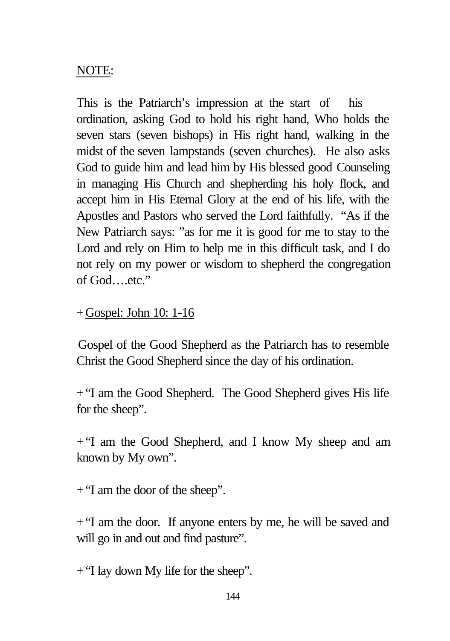## NOTE:

This is the Patriarch's impression at the start of his ordination, asking God to hold his right hand, Who holds the seven stars (seven bishops) in His right hand, walking in the midst of the seven lampstands (seven churches). He also asks God to guide him and lead him by His blessed good Counseling in managing His Church and shepherding his holy flock, and accept him in His Eternal Glory at the end of his life, with the Apostles and Pastors who served the Lord faithfully. "As if the New Patriarch says: "as for me it is good for me to stay to the Lord and rely on Him to help me in this difficult task, and I do not rely on my power or wisdom to shepherd the congregation of God….etc."

### +Gospel: John 10: 1-16

Gospel of the Good Shepherd as the Patriarch has to resemble Christ the Good Shepherd since the day of his ordination.

+"I am the Good Shepherd. The Good Shepherd gives His life for the sheep".

+"I am the Good Shepherd, and I know My sheep and am known by My own".

+"I am the door of the sheep".

+"I am the door. If anyone enters by me, he will be saved and will go in and out and find pasture".

+"I lay down My life for the sheep".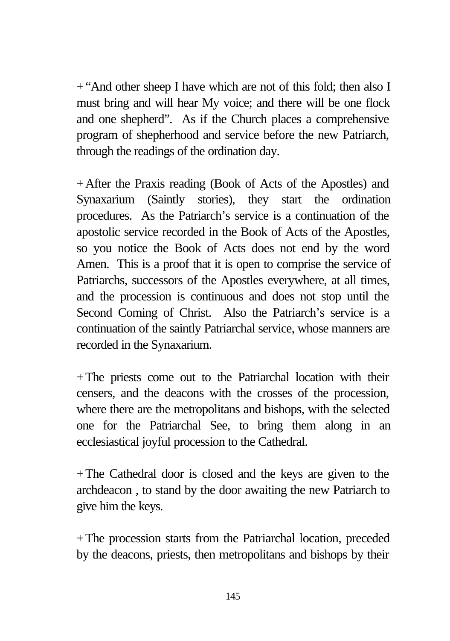+"And other sheep I have which are not of this fold; then also I must bring and will hear My voice; and there will be one flock and one shepherd". As if the Church places a comprehensive program of shepherhood and service before the new Patriarch, through the readings of the ordination day.

+After the Praxis reading (Book of Acts of the Apostles) and Synaxarium (Saintly stories), they start the ordination procedures. As the Patriarch's service is a continuation of the apostolic service recorded in the Book of Acts of the Apostles, so you notice the Book of Acts does not end by the word Amen. This is a proof that it is open to comprise the service of Patriarchs, successors of the Apostles everywhere, at all times, and the procession is continuous and does not stop until the Second Coming of Christ. Also the Patriarch's service is a continuation of the saintly Patriarchal service, whose manners are recorded in the Synaxarium.

+The priests come out to the Patriarchal location with their censers, and the deacons with the crosses of the procession, where there are the metropolitans and bishops, with the selected one for the Patriarchal See, to bring them along in an ecclesiastical joyful procession to the Cathedral.

+The Cathedral door is closed and the keys are given to the archdeacon , to stand by the door awaiting the new Patriarch to give him the keys.

+The procession starts from the Patriarchal location, preceded by the deacons, priests, then metropolitans and bishops by their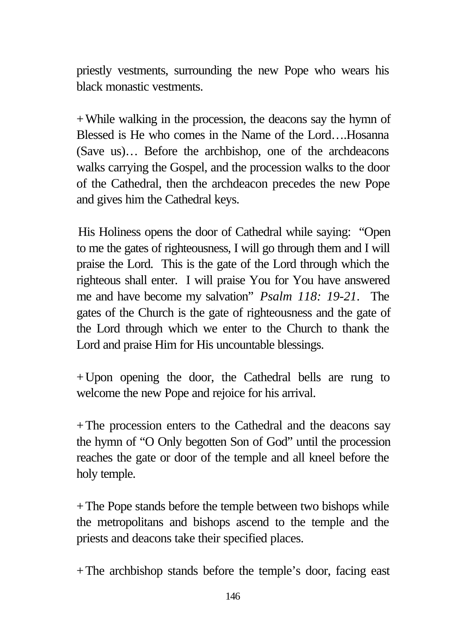priestly vestments, surrounding the new Pope who wears his black monastic vestments.

+While walking in the procession, the deacons say the hymn of Blessed is He who comes in the Name of the Lord….Hosanna (Save us)… Before the archbishop, one of the archdeacons walks carrying the Gospel, and the procession walks to the door of the Cathedral, then the archdeacon precedes the new Pope and gives him the Cathedral keys.

His Holiness opens the door of Cathedral while saying: "Open to me the gates of righteousness, I will go through them and I will praise the Lord. This is the gate of the Lord through which the righteous shall enter. I will praise You for You have answered me and have become my salvation" *Psalm 118: 19-21*. The gates of the Church is the gate of righteousness and the gate of the Lord through which we enter to the Church to thank the Lord and praise Him for His uncountable blessings.

+Upon opening the door, the Cathedral bells are rung to welcome the new Pope and rejoice for his arrival.

+The procession enters to the Cathedral and the deacons say the hymn of "O Only begotten Son of God" until the procession reaches the gate or door of the temple and all kneel before the holy temple.

+The Pope stands before the temple between two bishops while the metropolitans and bishops ascend to the temple and the priests and deacons take their specified places.

+The archbishop stands before the temple's door, facing east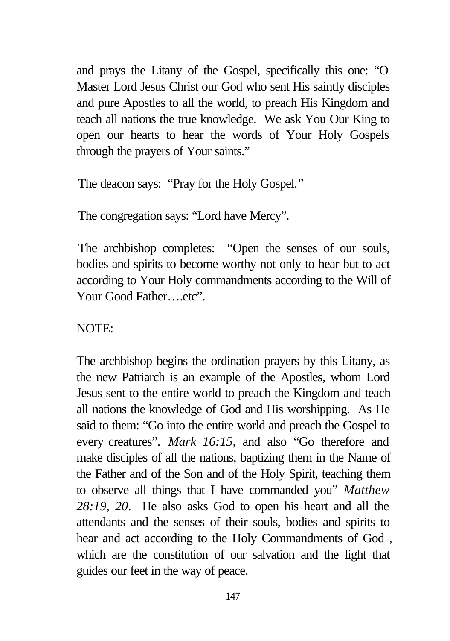and prays the Litany of the Gospel, specifically this one: "O Master Lord Jesus Christ our God who sent His saintly disciples and pure Apostles to all the world, to preach His Kingdom and teach all nations the true knowledge. We ask You Our King to open our hearts to hear the words of Your Holy Gospels through the prayers of Your saints."

The deacon says: "Pray for the Holy Gospel."

The congregation says: "Lord have Mercy".

The archbishop completes: "Open the senses of our souls, bodies and spirits to become worthy not only to hear but to act according to Your Holy commandments according to the Will of Your Good Father….etc".

# NOTE:

The archbishop begins the ordination prayers by this Litany, as the new Patriarch is an example of the Apostles, whom Lord Jesus sent to the entire world to preach the Kingdom and teach all nations the knowledge of God and His worshipping. As He said to them: "Go into the entire world and preach the Gospel to every creatures". *Mark 16:15*, and also "Go therefore and make disciples of all the nations, baptizing them in the Name of the Father and of the Son and of the Holy Spirit, teaching them to observe all things that I have commanded you" *Matthew 28:19, 20*. He also asks God to open his heart and all the attendants and the senses of their souls, bodies and spirits to hear and act according to the Holy Commandments of God , which are the constitution of our salvation and the light that guides our feet in the way of peace.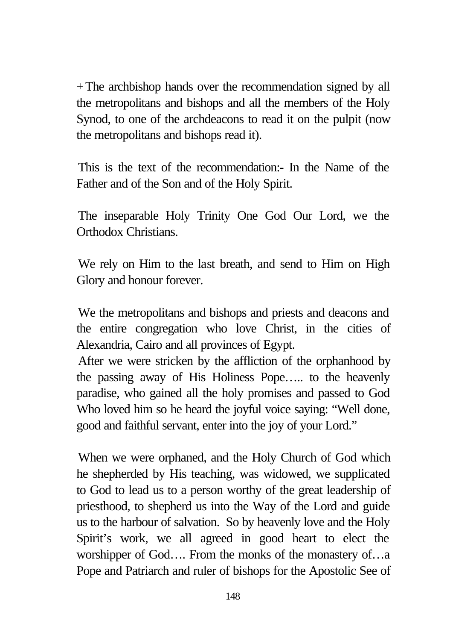+The archbishop hands over the recommendation signed by all the metropolitans and bishops and all the members of the Holy Synod, to one of the archdeacons to read it on the pulpit (now the metropolitans and bishops read it).

This is the text of the recommendation:- In the Name of the Father and of the Son and of the Holy Spirit.

The inseparable Holy Trinity One God Our Lord, we the Orthodox Christians.

We rely on Him to the last breath, and send to Him on High Glory and honour forever.

We the metropolitans and bishops and priests and deacons and the entire congregation who love Christ, in the cities of Alexandria, Cairo and all provinces of Egypt.

After we were stricken by the affliction of the orphanhood by the passing away of His Holiness Pope….. to the heavenly paradise, who gained all the holy promises and passed to God Who loved him so he heard the joyful voice saying: "Well done, good and faithful servant, enter into the joy of your Lord."

When we were orphaned, and the Holy Church of God which he shepherded by His teaching, was widowed, we supplicated to God to lead us to a person worthy of the great leadership of priesthood, to shepherd us into the Way of the Lord and guide us to the harbour of salvation. So by heavenly love and the Holy Spirit's work, we all agreed in good heart to elect the worshipper of God.... From the monks of the monastery of...a Pope and Patriarch and ruler of bishops for the Apostolic See of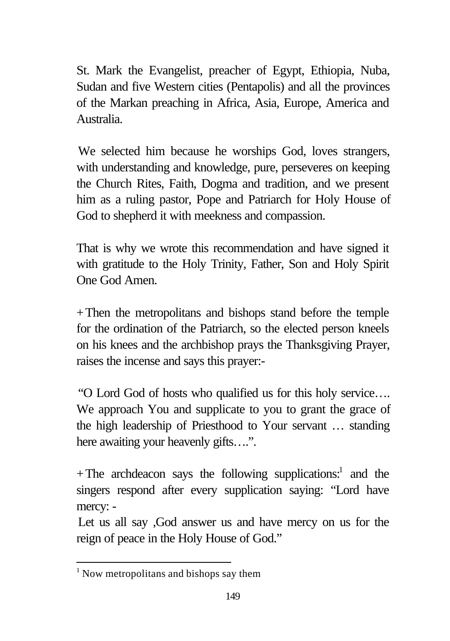St. Mark the Evangelist, preacher of Egypt, Ethiopia, Nuba, Sudan and five Western cities (Pentapolis) and all the provinces of the Markan preaching in Africa, Asia, Europe, America and Australia.

We selected him because he worships God, loves strangers, with understanding and knowledge, pure, perseveres on keeping the Church Rites, Faith, Dogma and tradition, and we present him as a ruling pastor, Pope and Patriarch for Holy House of God to shepherd it with meekness and compassion.

That is why we wrote this recommendation and have signed it with gratitude to the Holy Trinity, Father, Son and Holy Spirit One God Amen.

+Then the metropolitans and bishops stand before the temple for the ordination of the Patriarch, so the elected person kneels on his knees and the archbishop prays the Thanksgiving Prayer, raises the incense and says this prayer:-

"O Lord God of hosts who qualified us for this holy service…. We approach You and supplicate to you to grant the grace of the high leadership of Priesthood to Your servant … standing here awaiting your heavenly gifts….".

+The archdeacon says the following supplications:<sup>1</sup> and the singers respond after every supplication saying: "Lord have mercy: -

Let us all say ,God answer us and have mercy on us for the reign of peace in the Holy House of God."

<sup>&</sup>lt;sup>1</sup> Now metropolitans and bishops say them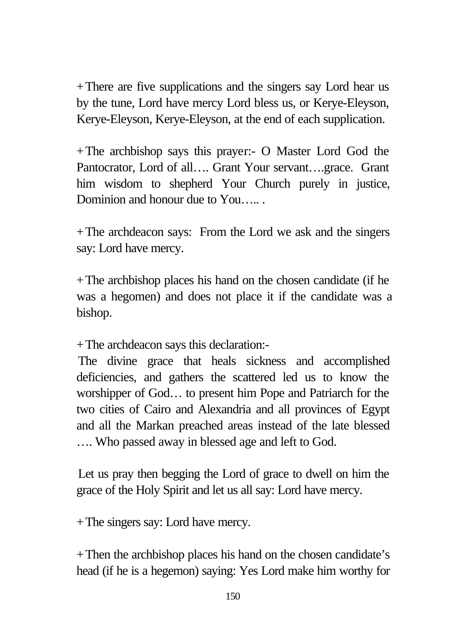+There are five supplications and the singers say Lord hear us by the tune, Lord have mercy Lord bless us, or Kerye-Eleyson, Kerye-Eleyson, Kerye-Eleyson, at the end of each supplication.

+The archbishop says this prayer:- O Master Lord God the Pantocrator, Lord of all…. Grant Your servant….grace. Grant him wisdom to shepherd Your Church purely in justice, Dominion and honour due to You…...

+The archdeacon says: From the Lord we ask and the singers say: Lord have mercy.

+The archbishop places his hand on the chosen candidate (if he was a hegomen) and does not place it if the candidate was a bishop.

+The archdeacon says this declaration:-

The divine grace that heals sickness and accomplished deficiencies, and gathers the scattered led us to know the worshipper of God… to present him Pope and Patriarch for the two cities of Cairo and Alexandria and all provinces of Egypt and all the Markan preached areas instead of the late blessed …. Who passed away in blessed age and left to God.

Let us pray then begging the Lord of grace to dwell on him the grace of the Holy Spirit and let us all say: Lord have mercy.

+The singers say: Lord have mercy.

+Then the archbishop places his hand on the chosen candidate's head (if he is a hegemon) saying: Yes Lord make him worthy for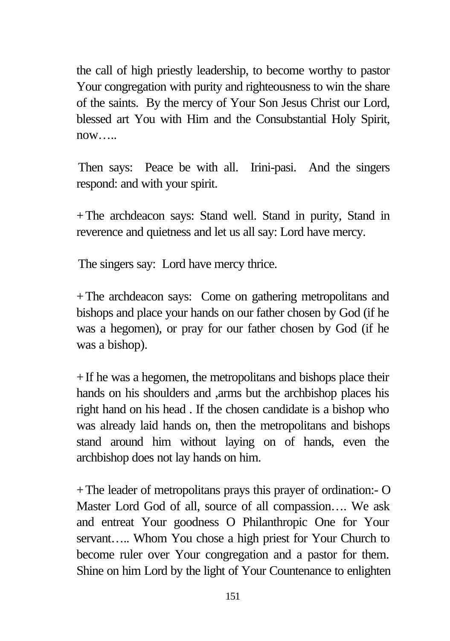the call of high priestly leadership, to become worthy to pastor Your congregation with purity and righteousness to win the share of the saints. By the mercy of Your Son Jesus Christ our Lord, blessed art You with Him and the Consubstantial Holy Spirit,  $now...$ 

Then says: Peace be with all. Irini-pasi. And the singers respond: and with your spirit.

+The archdeacon says: Stand well. Stand in purity, Stand in reverence and quietness and let us all say: Lord have mercy.

The singers say: Lord have mercy thrice.

+The archdeacon says: Come on gathering metropolitans and bishops and place your hands on our father chosen by God (if he was a hegomen), or pray for our father chosen by God (if he was a bishop).

+If he was a hegomen, the metropolitans and bishops place their hands on his shoulders and ,arms but the archbishop places his right hand on his head . If the chosen candidate is a bishop who was already laid hands on, then the metropolitans and bishops stand around him without laying on of hands, even the archbishop does not lay hands on him.

+The leader of metropolitans prays this prayer of ordination:- O Master Lord God of all, source of all compassion…. We ask and entreat Your goodness O Philanthropic One for Your servant….. Whom You chose a high priest for Your Church to become ruler over Your congregation and a pastor for them. Shine on him Lord by the light of Your Countenance to enlighten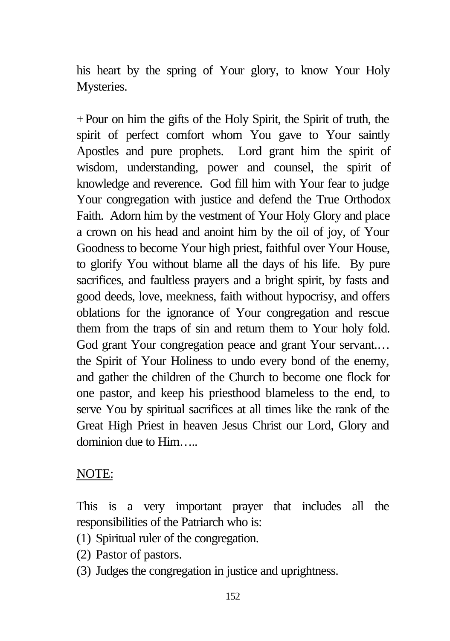his heart by the spring of Your glory, to know Your Holy Mysteries.

+Pour on him the gifts of the Holy Spirit, the Spirit of truth, the spirit of perfect comfort whom You gave to Your saintly Apostles and pure prophets. Lord grant him the spirit of wisdom, understanding, power and counsel, the spirit of knowledge and reverence. God fill him with Your fear to judge Your congregation with justice and defend the True Orthodox Faith. Adorn him by the vestment of Your Holy Glory and place a crown on his head and anoint him by the oil of joy, of Your Goodness to become Your high priest, faithful over Your House, to glorify You without blame all the days of his life. By pure sacrifices, and faultless prayers and a bright spirit, by fasts and good deeds, love, meekness, faith without hypocrisy, and offers oblations for the ignorance of Your congregation and rescue them from the traps of sin and return them to Your holy fold. God grant Your congregation peace and grant Your servant.… the Spirit of Your Holiness to undo every bond of the enemy, and gather the children of the Church to become one flock for one pastor, and keep his priesthood blameless to the end, to serve You by spiritual sacrifices at all times like the rank of the Great High Priest in heaven Jesus Christ our Lord, Glory and dominion due to Him…..

### NOTE:

This is a very important prayer that includes all the responsibilities of the Patriarch who is:

- (1) Spiritual ruler of the congregation.
- (2) Pastor of pastors.
- (3) Judges the congregation in justice and uprightness.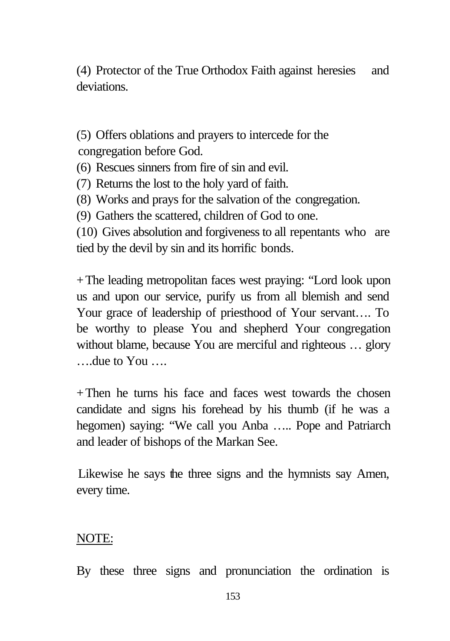(4) Protector of the True Orthodox Faith against heresies and deviations.

(5) Offers oblations and prayers to intercede for the congregation before God.

(6) Rescues sinners from fire of sin and evil.

(7) Returns the lost to the holy yard of faith.

(8) Works and prays for the salvation of the congregation.

(9) Gathers the scattered, children of God to one.

(10) Gives absolution and forgiveness to all repentants who are tied by the devil by sin and its horrific bonds.

+The leading metropolitan faces west praying: "Lord look upon us and upon our service, purify us from all blemish and send Your grace of leadership of priesthood of Your servant…. To be worthy to please You and shepherd Your congregation without blame, because You are merciful and righteous ... glory ….due to You ….

 $+$ Then he turns his face and faces west towards the chosen candidate and signs his forehead by his thumb (if he was a hegomen) saying: "We call you Anba ….. Pope and Patriarch and leader of bishops of the Markan See.

Likewise he says the three signs and the hymnists say Amen, every time.

## NOTE:

By these three signs and pronunciation the ordination is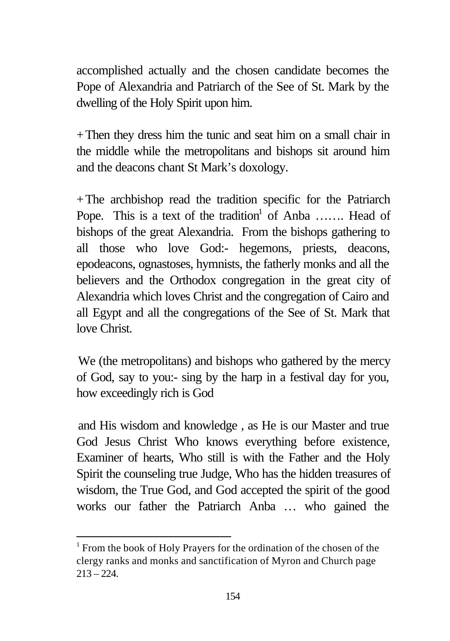accomplished actually and the chosen candidate becomes the Pope of Alexandria and Patriarch of the See of St. Mark by the dwelling of the Holy Spirit upon him.

+Then they dress him the tunic and seat him on a small chair in the middle while the metropolitans and bishops sit around him and the deacons chant St Mark's doxology.

+The archbishop read the tradition specific for the Patriarch Pope. This is a text of the tradition<sup>1</sup> of Anba ....... Head of bishops of the great Alexandria. From the bishops gathering to all those who love God:- hegemons, priests, deacons, epodeacons, ognastoses, hymnists, the fatherly monks and all the believers and the Orthodox congregation in the great city of Alexandria which loves Christ and the congregation of Cairo and all Egypt and all the congregations of the See of St. Mark that love Christ.

We (the metropolitans) and bishops who gathered by the mercy of God, say to you:- sing by the harp in a festival day for you, how exceedingly rich is God

and His wisdom and knowledge , as He is our Master and true God Jesus Christ Who knows everything before existence, Examiner of hearts, Who still is with the Father and the Holy Spirit the counseling true Judge, Who has the hidden treasures of wisdom, the True God, and God accepted the spirit of the good works our father the Patriarch Anba … who gained the

<sup>&</sup>lt;sup>1</sup> From the book of Holy Prayers for the ordination of the chosen of the clergy ranks and monks and sanctification of Myron and Church page  $213 - 224.$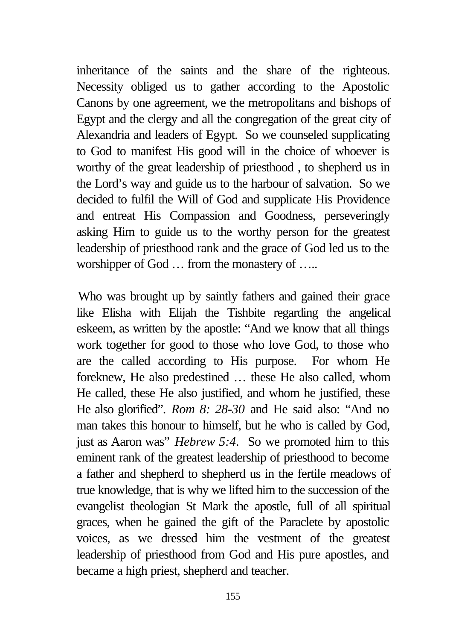inheritance of the saints and the share of the righteous. Necessity obliged us to gather according to the Apostolic Canons by one agreement, we the metropolitans and bishops of Egypt and the clergy and all the congregation of the great city of Alexandria and leaders of Egypt. So we counseled supplicating to God to manifest His good will in the choice of whoever is worthy of the great leadership of priesthood , to shepherd us in the Lord's way and guide us to the harbour of salvation. So we decided to fulfil the Will of God and supplicate His Providence and entreat His Compassion and Goodness, perseveringly asking Him to guide us to the worthy person for the greatest leadership of priesthood rank and the grace of God led us to the worshipper of God ... from the monastery of .....

Who was brought up by saintly fathers and gained their grace like Elisha with Elijah the Tishbite regarding the angelical eskeem, as written by the apostle: "And we know that all things work together for good to those who love God, to those who are the called according to His purpose. For whom He foreknew, He also predestined … these He also called, whom He called, these He also justified, and whom he justified, these He also glorified". *Rom 8: 28-30* and He said also: "And no man takes this honour to himself, but he who is called by God, just as Aaron was" *Hebrew 5:4*. So we promoted him to this eminent rank of the greatest leadership of priesthood to become a father and shepherd to shepherd us in the fertile meadows of true knowledge, that is why we lifted him to the succession of the evangelist theologian St Mark the apostle, full of all spiritual graces, when he gained the gift of the Paraclete by apostolic voices, as we dressed him the vestment of the greatest leadership of priesthood from God and His pure apostles, and became a high priest, shepherd and teacher.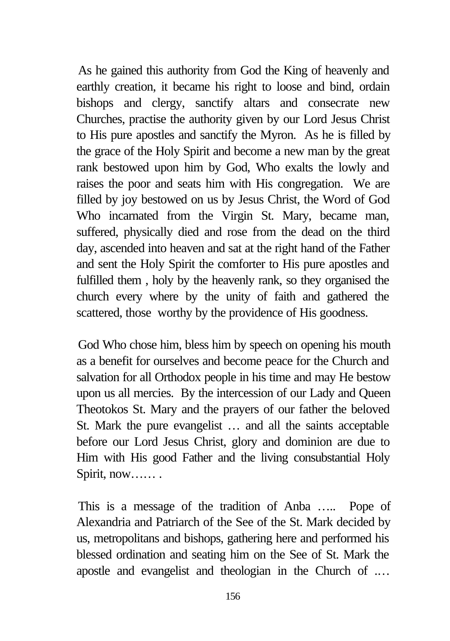As he gained this authority from God the King of heavenly and earthly creation, it became his right to loose and bind, ordain bishops and clergy, sanctify altars and consecrate new Churches, practise the authority given by our Lord Jesus Christ to His pure apostles and sanctify the Myron. As he is filled by the grace of the Holy Spirit and become a new man by the great rank bestowed upon him by God, Who exalts the lowly and raises the poor and seats him with His congregation. We are filled by joy bestowed on us by Jesus Christ, the Word of God Who incarnated from the Virgin St. Mary, became man, suffered, physically died and rose from the dead on the third day, ascended into heaven and sat at the right hand of the Father and sent the Holy Spirit the comforter to His pure apostles and fulfilled them , holy by the heavenly rank, so they organised the church every where by the unity of faith and gathered the scattered, those worthy by the providence of His goodness.

God Who chose him, bless him by speech on opening his mouth as a benefit for ourselves and become peace for the Church and salvation for all Orthodox people in his time and may He bestow upon us all mercies. By the intercession of our Lady and Queen Theotokos St. Mary and the prayers of our father the beloved St. Mark the pure evangelist … and all the saints acceptable before our Lord Jesus Christ, glory and dominion are due to Him with His good Father and the living consubstantial Holy Spirit, now…… .

This is a message of the tradition of Anba ….. Pope of Alexandria and Patriarch of the See of the St. Mark decided by us, metropolitans and bishops, gathering here and performed his blessed ordination and seating him on the See of St. Mark the apostle and evangelist and theologian in the Church of .…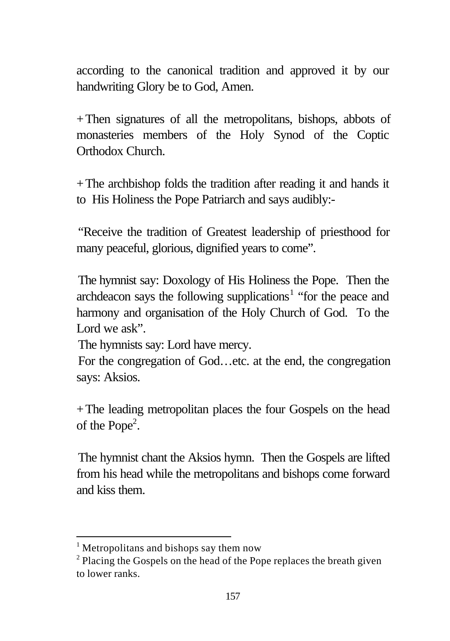according to the canonical tradition and approved it by our handwriting Glory be to God, Amen.

+Then signatures of all the metropolitans, bishops, abbots of monasteries members of the Holy Synod of the Coptic Orthodox Church.

+The archbishop folds the tradition after reading it and hands it to His Holiness the Pope Patriarch and says audibly:-

"Receive the tradition of Greatest leadership of priesthood for many peaceful, glorious, dignified years to come".

The hymnist say: Doxology of His Holiness the Pope. Then the archdeacon says the following supplications<sup>1</sup> "for the peace and harmony and organisation of the Holy Church of God. To the Lord we ask".

The hymnists say: Lord have mercy.

For the congregation of God…etc. at the end, the congregation says: Aksios.

+The leading metropolitan places the four Gospels on the head of the Pope<sup>2</sup>.

The hymnist chant the Aksios hymn. Then the Gospels are lifted from his head while the metropolitans and bishops come forward and kiss them.

<sup>&</sup>lt;sup>1</sup> Metropolitans and bishops say them now

<sup>&</sup>lt;sup>2</sup> Placing the Gospels on the head of the Pope replaces the breath given to lower ranks.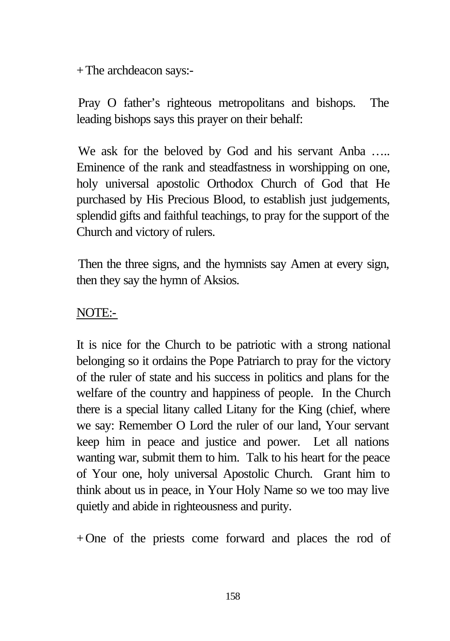+The archdeacon says:-

Pray O father's righteous metropolitans and bishops. The leading bishops says this prayer on their behalf:

We ask for the beloved by God and his servant Anba ..... Eminence of the rank and steadfastness in worshipping on one, holy universal apostolic Orthodox Church of God that He purchased by His Precious Blood, to establish just judgements, splendid gifts and faithful teachings, to pray for the support of the Church and victory of rulers.

Then the three signs, and the hymnists say Amen at every sign, then they say the hymn of Aksios.

## NOTE:-

It is nice for the Church to be patriotic with a strong national belonging so it ordains the Pope Patriarch to pray for the victory of the ruler of state and his success in politics and plans for the welfare of the country and happiness of people. In the Church there is a special litany called Litany for the King (chief, where we say: Remember O Lord the ruler of our land, Your servant keep him in peace and justice and power. Let all nations wanting war, submit them to him. Talk to his heart for the peace of Your one, holy universal Apostolic Church. Grant him to think about us in peace, in Your Holy Name so we too may live quietly and abide in righteousness and purity.

+One of the priests come forward and places the rod of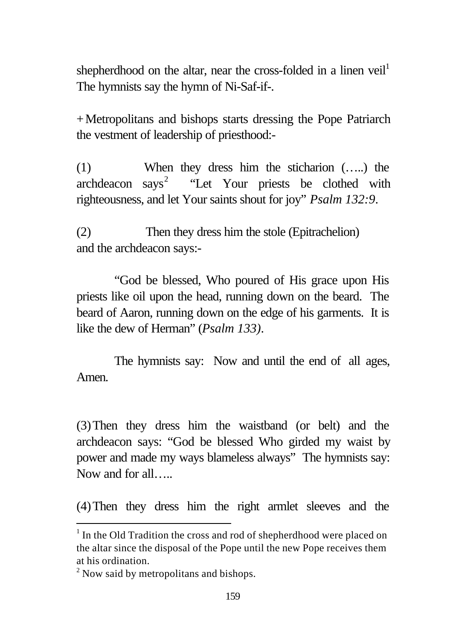shepherdhood on the altar, near the cross-folded in a linen veil<sup>1</sup> The hymnists say the hymn of Ni-Saf-if-.

+Metropolitans and bishops starts dressing the Pope Patriarch the vestment of leadership of priesthood:-

(1) When they dress him the sticharion (…..) the archdeacon says<sup>2</sup> "Let Your priests be clothed with righteousness, and let Your saints shout for joy" *Psalm 132:9*.

(2) Then they dress him the stole (Epitrachelion) and the archdeacon says:-

"God be blessed, Who poured of His grace upon His priests like oil upon the head, running down on the beard. The beard of Aaron, running down on the edge of his garments. It is like the dew of Herman" (*Psalm 133)*.

The hymnists say: Now and until the end of all ages, Amen.

(3)Then they dress him the waistband (or belt) and the archdeacon says: "God be blessed Who girded my waist by power and made my ways blameless always" The hymnists say: Now and for all…..

(4)Then they dress him the right armlet sleeves and the

 $1$  In the Old Tradition the cross and rod of shepherdhood were placed on the altar since the disposal of the Pope until the new Pope receives them at his ordination.

<sup>&</sup>lt;sup>2</sup> Now said by metropolitans and bishops.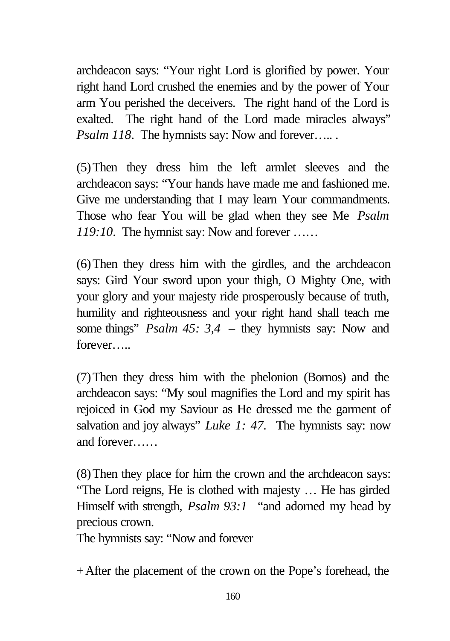archdeacon says: "Your right Lord is glorified by power. Your right hand Lord crushed the enemies and by the power of Your arm You perished the deceivers. The right hand of the Lord is exalted. The right hand of the Lord made miracles always" *Psalm 118*. The hymnists say: Now and forever......

(5)Then they dress him the left armlet sleeves and the archdeacon says: "Your hands have made me and fashioned me. Give me understanding that I may learn Your commandments. Those who fear You will be glad when they see Me *Psalm 119:10*. The hymnist say: Now and forever ……

(6)Then they dress him with the girdles, and the archdeacon says: Gird Your sword upon your thigh, O Mighty One, with your glory and your majesty ride prosperously because of truth, humility and righteousness and your right hand shall teach me some things" *Psalm 45: 3,4* – they hymnists say: Now and forever…..

(7)Then they dress him with the phelonion (Bornos) and the archdeacon says: "My soul magnifies the Lord and my spirit has rejoiced in God my Saviour as He dressed me the garment of salvation and joy always" *Luke 1: 47*. The hymnists say: now and forever……

(8)Then they place for him the crown and the archdeacon says: "The Lord reigns, He is clothed with majesty … He has girded Himself with strength, *Psalm 93:1* "and adorned my head by precious crown.

The hymnists say: "Now and forever

+After the placement of the crown on the Pope's forehead, the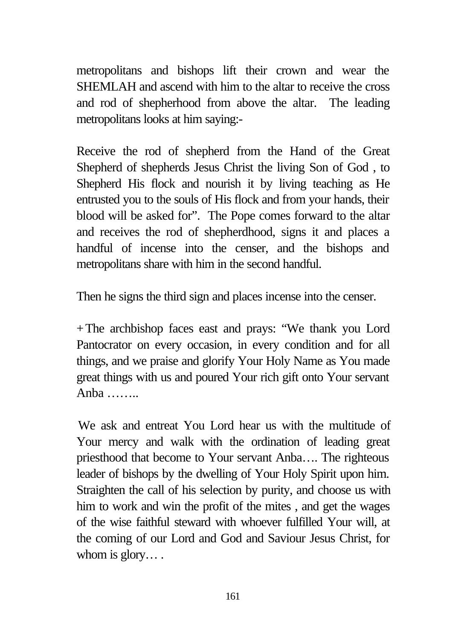metropolitans and bishops lift their crown and wear the SHEMLAH and ascend with him to the altar to receive the cross and rod of shepherhood from above the altar. The leading metropolitans looks at him saying:-

Receive the rod of shepherd from the Hand of the Great Shepherd of shepherds Jesus Christ the living Son of God , to Shepherd His flock and nourish it by living teaching as He entrusted you to the souls of His flock and from your hands, their blood will be asked for". The Pope comes forward to the altar and receives the rod of shepherdhood, signs it and places a handful of incense into the censer, and the bishops and metropolitans share with him in the second handful.

Then he signs the third sign and places incense into the censer.

+The archbishop faces east and prays: "We thank you Lord Pantocrator on every occasion, in every condition and for all things, and we praise and glorify Your Holy Name as You made great things with us and poured Your rich gift onto Your servant Anba ……..

We ask and entreat You Lord hear us with the multitude of Your mercy and walk with the ordination of leading great priesthood that become to Your servant Anba…. The righteous leader of bishops by the dwelling of Your Holy Spirit upon him. Straighten the call of his selection by purity, and choose us with him to work and win the profit of the mites , and get the wages of the wise faithful steward with whoever fulfilled Your will, at the coming of our Lord and God and Saviour Jesus Christ, for whom is glory....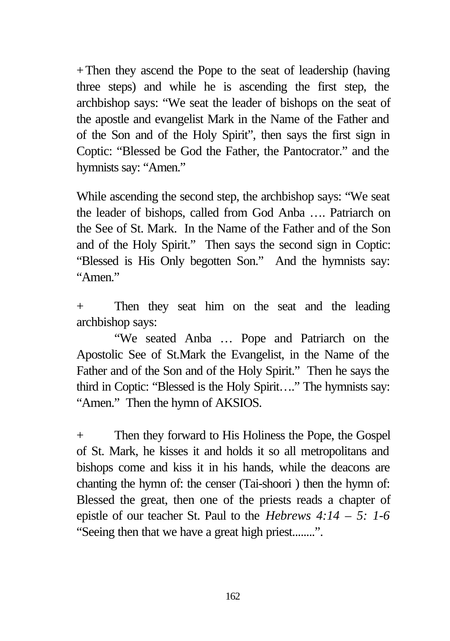+Then they ascend the Pope to the seat of leadership (having three steps) and while he is ascending the first step, the archbishop says: "We seat the leader of bishops on the seat of the apostle and evangelist Mark in the Name of the Father and of the Son and of the Holy Spirit", then says the first sign in Coptic: "Blessed be God the Father, the Pantocrator." and the hymnists say: "Amen."

While ascending the second step, the archbishop says: "We seat the leader of bishops, called from God Anba …. Patriarch on the See of St. Mark. In the Name of the Father and of the Son and of the Holy Spirit." Then says the second sign in Coptic: "Blessed is His Only begotten Son." And the hymnists say: "Amen"

+ Then they seat him on the seat and the leading archbishop says:

"We seated Anba … Pope and Patriarch on the Apostolic See of St.Mark the Evangelist, in the Name of the Father and of the Son and of the Holy Spirit." Then he says the third in Coptic: "Blessed is the Holy Spirit…." The hymnists say: "Amen." Then the hymn of AKSIOS.

+ Then they forward to His Holiness the Pope, the Gospel of St. Mark, he kisses it and holds it so all metropolitans and bishops come and kiss it in his hands, while the deacons are chanting the hymn of: the censer (Tai-shoori ) then the hymn of: Blessed the great, then one of the priests reads a chapter of epistle of our teacher St. Paul to the *Hebrews 4:14 – 5: 1-6* "Seeing then that we have a great high priest........".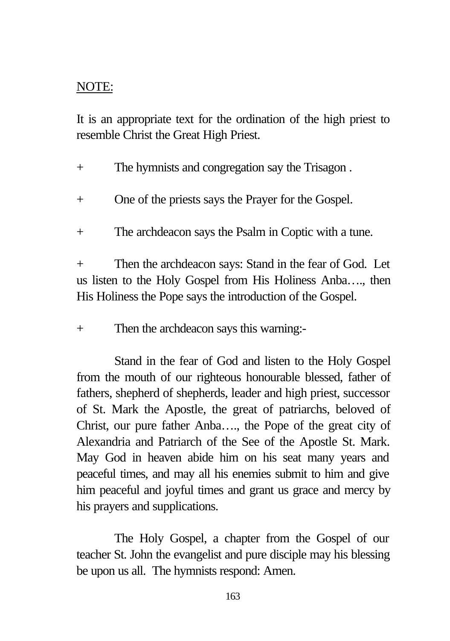### NOTE:

It is an appropriate text for the ordination of the high priest to resemble Christ the Great High Priest.

+ The hymnists and congregation say the Trisagon .

- + One of the priests says the Prayer for the Gospel.
- + The archdeacon says the Psalm in Coptic with a tune.

+ Then the archdeacon says: Stand in the fear of God. Let us listen to the Holy Gospel from His Holiness Anba…., then His Holiness the Pope says the introduction of the Gospel.

+ Then the archdeacon says this warning:-

Stand in the fear of God and listen to the Holy Gospel from the mouth of our righteous honourable blessed, father of fathers, shepherd of shepherds, leader and high priest, successor of St. Mark the Apostle, the great of patriarchs, beloved of Christ, our pure father Anba…., the Pope of the great city of Alexandria and Patriarch of the See of the Apostle St. Mark. May God in heaven abide him on his seat many years and peaceful times, and may all his enemies submit to him and give him peaceful and joyful times and grant us grace and mercy by his prayers and supplications.

The Holy Gospel, a chapter from the Gospel of our teacher St. John the evangelist and pure disciple may his blessing be upon us all. The hymnists respond: Amen.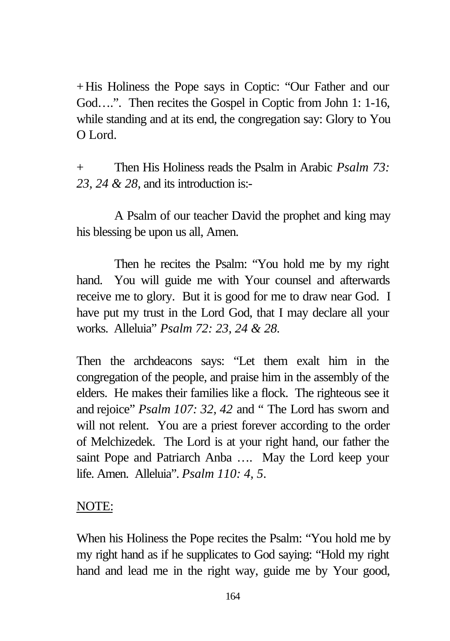+His Holiness the Pope says in Coptic: "Our Father and our God....". Then recites the Gospel in Coptic from John 1: 1-16, while standing and at its end, the congregation say: Glory to You O Lord.

+ Then His Holiness reads the Psalm in Arabic *Psalm 73: 23, 24 & 28*, and its introduction is:-

A Psalm of our teacher David the prophet and king may his blessing be upon us all, Amen.

Then he recites the Psalm: "You hold me by my right hand. You will guide me with Your counsel and afterwards receive me to glory. But it is good for me to draw near God. I have put my trust in the Lord God, that I may declare all your works. Alleluia" *Psalm 72: 23, 24 & 28.*

Then the archdeacons says: "Let them exalt him in the congregation of the people, and praise him in the assembly of the elders. He makes their families like a flock. The righteous see it and rejoice" *Psalm 107: 32, 42* and " The Lord has sworn and will not relent. You are a priest forever according to the order of Melchizedek. The Lord is at your right hand, our father the saint Pope and Patriarch Anba …. May the Lord keep your life. Amen. Alleluia". *Psalm 110: 4, 5*.

NOTE:

When his Holiness the Pope recites the Psalm: "You hold me by my right hand as if he supplicates to God saying: "Hold my right hand and lead me in the right way, guide me by Your good,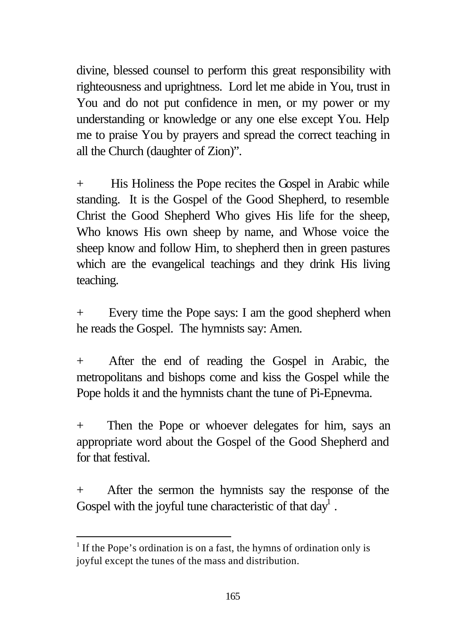divine, blessed counsel to perform this great responsibility with righteousness and uprightness. Lord let me abide in You, trust in You and do not put confidence in men, or my power or my understanding or knowledge or any one else except You. Help me to praise You by prayers and spread the correct teaching in all the Church (daughter of Zion)".

+ His Holiness the Pope recites the Gospel in Arabic while standing. It is the Gospel of the Good Shepherd, to resemble Christ the Good Shepherd Who gives His life for the sheep, Who knows His own sheep by name, and Whose voice the sheep know and follow Him, to shepherd then in green pastures which are the evangelical teachings and they drink His living teaching.

+ Every time the Pope says: I am the good shepherd when he reads the Gospel. The hymnists say: Amen.

+ After the end of reading the Gospel in Arabic, the metropolitans and bishops come and kiss the Gospel while the Pope holds it and the hymnists chant the tune of Pi-Epnevma.

+ Then the Pope or whoever delegates for him, says an appropriate word about the Gospel of the Good Shepherd and for that festival.

+ After the sermon the hymnists say the response of the Gospel with the joyful tune characteristic of that  $day<sup>1</sup>$ .

<sup>&</sup>lt;sup>1</sup> If the Pope's ordination is on a fast, the hymns of ordination only is joyful except the tunes of the mass and distribution.